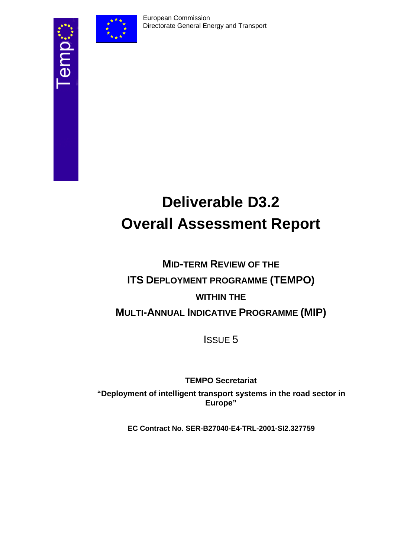

# **Deliverable D3.2 Overall Assessment Report**

## **MID-TERM REVIEW OF THE ITS DEPLOYMENT PROGRAMME (TEMPO) WITHIN THE MULTI-ANNUAL INDICATIVE PROGRAMME (MIP)**

ISSUE 5

**TEMPO Secretariat** 

**"Deployment of intelligent transport systems in the road sector in Europe"** 

**EC Contract No. SER-B27040-E4-TRL-2001-SI2.327759**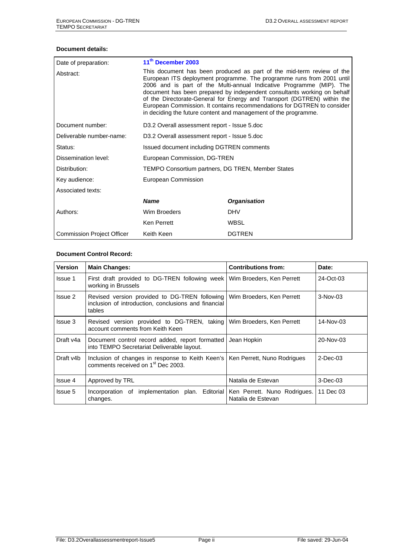#### **Document details:**

| Date of preparation:              | 11 <sup>th</sup> December 2003                                                                                                                                                                                                                                                                                                                                                                                                                                                                                             |                     |  |  |  |
|-----------------------------------|----------------------------------------------------------------------------------------------------------------------------------------------------------------------------------------------------------------------------------------------------------------------------------------------------------------------------------------------------------------------------------------------------------------------------------------------------------------------------------------------------------------------------|---------------------|--|--|--|
| Abstract:                         | This document has been produced as part of the mid-term review of the<br>European ITS deployment programme. The programme runs from 2001 until<br>2006 and is part of the Multi-annual Indicative Programme (MIP). The<br>document has been prepared by independent consultants working on behalf<br>of the Directorate-General for Energy and Transport (DGTREN) within the<br>European Commission. It contains recommendations for DGTREN to consider<br>in deciding the future content and management of the programme. |                     |  |  |  |
| Document number:                  | D3.2 Overall assessment report - Issue 5.doc                                                                                                                                                                                                                                                                                                                                                                                                                                                                               |                     |  |  |  |
| Deliverable number-name:          | D3.2 Overall assessment report - Issue 5.doc                                                                                                                                                                                                                                                                                                                                                                                                                                                                               |                     |  |  |  |
| Status:                           | Issued document including DGTREN comments                                                                                                                                                                                                                                                                                                                                                                                                                                                                                  |                     |  |  |  |
| Dissemination level:              | European Commission, DG-TREN                                                                                                                                                                                                                                                                                                                                                                                                                                                                                               |                     |  |  |  |
| Distribution:                     | TEMPO Consortium partners, DG TREN, Member States                                                                                                                                                                                                                                                                                                                                                                                                                                                                          |                     |  |  |  |
| Key audience:                     | European Commission                                                                                                                                                                                                                                                                                                                                                                                                                                                                                                        |                     |  |  |  |
| Associated texts:                 |                                                                                                                                                                                                                                                                                                                                                                                                                                                                                                                            |                     |  |  |  |
|                                   | <b>Name</b>                                                                                                                                                                                                                                                                                                                                                                                                                                                                                                                | <b>Organisation</b> |  |  |  |
| Authors:                          | Wim Broeders                                                                                                                                                                                                                                                                                                                                                                                                                                                                                                               | <b>DHV</b>          |  |  |  |
|                                   | <b>Ken Perrett</b>                                                                                                                                                                                                                                                                                                                                                                                                                                                                                                         | <b>WBSL</b>         |  |  |  |
| <b>Commission Project Officer</b> | Keith Keen                                                                                                                                                                                                                                                                                                                                                                                                                                                                                                                 | <b>DGTREN</b>       |  |  |  |

#### **Document Control Record:**

| <b>Version</b> | <b>Main Changes:</b>                                                                                                             | <b>Contributions from:</b> | Date:       |
|----------------|----------------------------------------------------------------------------------------------------------------------------------|----------------------------|-------------|
| <b>Issue 1</b> | First draft provided to DG-TREN following week<br>working in Brussels                                                            | Wim Broeders, Ken Perrett  | 24-Oct-03   |
| Issue 2        | Revised version provided to DG-TREN following<br>inclusion of introduction, conclusions and financial<br>tables                  | Wim Broeders, Ken Perrett  | $3-Nov-03$  |
| Issue 3        | Revised version provided to DG-TREN, taking Wim Broeders, Ken Perrett<br>account comments from Keith Keen                        |                            | 14-Nov-03   |
| Draft v4a      | Document control record added, report formatted<br>into TEMPO Secretariat Deliverable layout.                                    | Jean Hopkin                | 20-Nov-03   |
| Draft v4b      | Inclusion of changes in response to Keith Keen's   Ken Perrett, Nuno Rodrigues<br>comments received on 1 <sup>st</sup> Dec 2003. |                            | $2$ -Dec-03 |
| Issue 4        | Approved by TRL                                                                                                                  | Natalia de Estevan         | $3$ -Dec-03 |
| Issue 5        | Incorporation of implementation plan. Editorial Ken Perrett. Nuno Rodrigues.<br>changes.                                         | Natalia de Estevan         | 11 Dec 03   |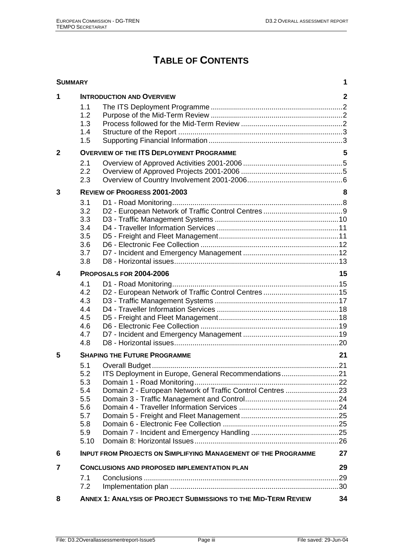## **TABLE OF CONTENTS**

| <b>SUMMARY</b> |                                                                     |                                                                                                                  | 1            |
|----------------|---------------------------------------------------------------------|------------------------------------------------------------------------------------------------------------------|--------------|
| 1              | 1.1<br>1.2<br>1.3<br>1.4<br>1.5                                     | <b>INTRODUCTION AND OVERVIEW</b>                                                                                 | $\mathbf{2}$ |
| $\overline{2}$ |                                                                     | <b>OVERVIEW OF THE ITS DEPLOYMENT PROGRAMME</b>                                                                  | 5            |
|                | 2.1<br>2.2<br>2.3                                                   |                                                                                                                  |              |
| 3              |                                                                     | <b>REVIEW OF PROGRESS 2001-2003</b>                                                                              | 8            |
|                | 3.1<br>3.2<br>3.3<br>3.4<br>3.5<br>3.6<br>3.7<br>3.8                |                                                                                                                  |              |
| 4              |                                                                     | PROPOSALS FOR 2004-2006                                                                                          | 15           |
|                | 4.1<br>4.2<br>4.3<br>4.4<br>4.5<br>4.6<br>4.7<br>4.8                |                                                                                                                  |              |
| 5              |                                                                     | <b>SHAPING THE FUTURE PROGRAMME</b>                                                                              | 21           |
|                | 5.1<br>5.2<br>5.3<br>5.4<br>5.5<br>5.6<br>5.7<br>5.8<br>5.9<br>5.10 | ITS Deployment in Europe, General Recommendations21<br>Domain 2 - European Network of Traffic Control Centres 23 |              |
| 6              |                                                                     | <b>INPUT FROM PROJECTS ON SIMPLIFYING MANAGEMENT OF THE PROGRAMME</b>                                            | 27           |
| $\overline{7}$ |                                                                     | <b>CONCLUSIONS AND PROPOSED IMPLEMENTATION PLAN</b>                                                              | 29           |
|                | 7.1<br>7.2                                                          |                                                                                                                  |              |
| 8              |                                                                     | <b>ANNEX 1: ANALYSIS OF PROJECT SUBMISSIONS TO THE MID-TERM REVIEW</b>                                           | 34           |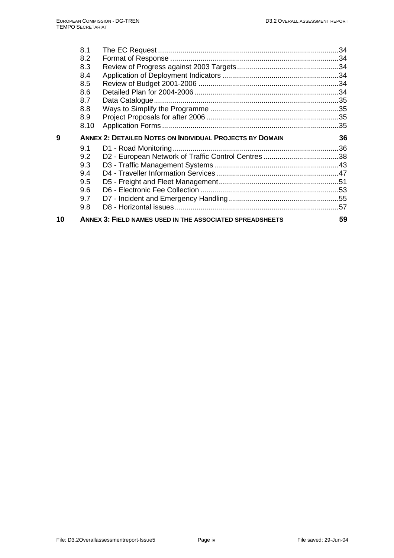|   | 8.1  |                                                                 |    |
|---|------|-----------------------------------------------------------------|----|
|   | 8.2  |                                                                 |    |
|   | 8.3  |                                                                 |    |
|   | 8.4  |                                                                 |    |
|   | 8.5  |                                                                 |    |
|   | 8.6  |                                                                 |    |
|   | 8.7  |                                                                 |    |
|   | 8.8  |                                                                 |    |
|   | 8.9  |                                                                 |    |
|   | 8.10 |                                                                 |    |
| 9 |      | <b>ANNEX 2: DETAILED NOTES ON INDIVIDUAL PROJECTS BY DOMAIN</b> | 36 |
|   |      |                                                                 |    |
|   | 9.1  |                                                                 |    |
|   | 9.2  |                                                                 |    |
|   | 9.3  |                                                                 |    |
|   | 9.4  |                                                                 |    |
|   | 9.5  |                                                                 |    |
|   | 9.6  |                                                                 |    |
|   | 9.7  |                                                                 |    |
|   | 9.8  |                                                                 |    |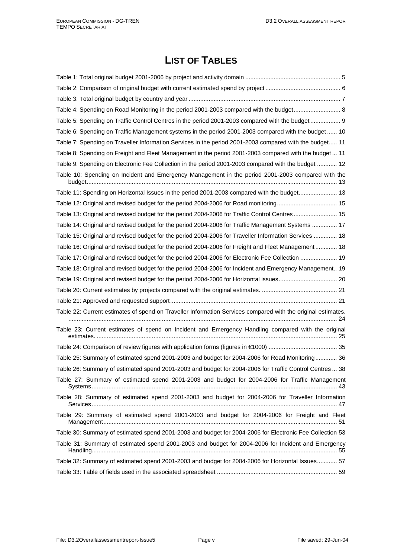## **LIST OF TABLES**

| Table 5: Spending on Traffic Control Centres in the period 2001-2003 compared with the budget 9              |
|--------------------------------------------------------------------------------------------------------------|
| Table 6: Spending on Traffic Management systems in the period 2001-2003 compared with the budget  10         |
| Table 7: Spending on Traveller Information Services in the period 2001-2003 compared with the budget 11      |
| Table 8: Spending on Freight and Fleet Management in the period 2001-2003 compared with the budget  11       |
| Table 9: Spending on Electronic Fee Collection in the period 2001-2003 compared with the budget  12          |
| Table 10: Spending on Incident and Emergency Management in the period 2001-2003 compared with the            |
|                                                                                                              |
| Table 11: Spending on Horizontal Issues in the period 2001-2003 compared with the budget 13                  |
| Table 12: Original and revised budget for the period 2004-2006 for Road monitoring 15                        |
| Table 13: Original and revised budget for the period 2004-2006 for Traffic Control Centres 15                |
| Table 14: Original and revised budget for the period 2004-2006 for Traffic Management Systems  17            |
| Table 15: Original and revised budget for the period 2004-2006 for Traveller Information Services  18        |
| Table 16: Original and revised budget for the period 2004-2006 for Freight and Fleet Management  18          |
| Table 17: Original and revised budget for the period 2004-2006 for Electronic Fee Collection  19             |
| Table 18: Original and revised budget for the period 2004-2006 for Incident and Emergency Management 19      |
| Table 19: Original and revised budget for the period 2004-2006 for Horizontal issues 20                      |
|                                                                                                              |
|                                                                                                              |
| Table 22: Current estimates of spend on Traveller Information Services compared with the original estimates. |
| Table 23: Current estimates of spend on Incident and Emergency Handling compared with the original           |
|                                                                                                              |
| Table 25: Summary of estimated spend 2001-2003 and budget for 2004-2006 for Road Monitoring 36               |
| Table 26: Summary of estimated spend 2001-2003 and budget for 2004-2006 for Traffic Control Centres  38      |
| Table 27: Summary of estimated spend 2001-2003 and budget for 2004-2006 for Traffic Management               |
| Table 28: Summary of estimated spend 2001-2003 and budget for 2004-2006 for Traveller Information            |
| Table 29: Summary of estimated spend 2001-2003 and budget for 2004-2006 for Freight and Fleet                |
| Table 30: Summary of estimated spend 2001-2003 and budget for 2004-2006 for Electronic Fee Collection 53     |
| Table 31: Summary of estimated spend 2001-2003 and budget for 2004-2006 for Incident and Emergency           |
| Table 32: Summary of estimated spend 2001-2003 and budget for 2004-2006 for Horizontal Issues 57             |
|                                                                                                              |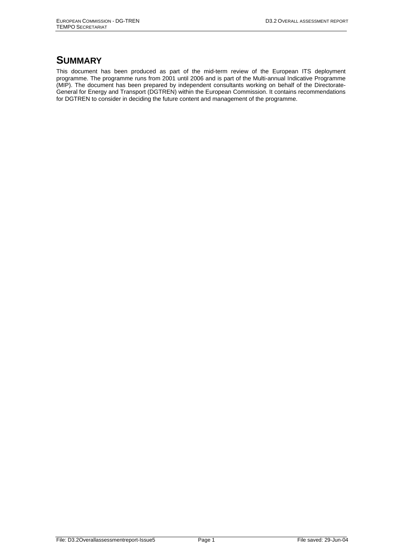## **SUMMARY**

This document has been produced as part of the mid-term review of the European ITS deployment programme. The programme runs from 2001 until 2006 and is part of the Multi-annual Indicative Programme (MIP). The document has been prepared by independent consultants working on behalf of the Directorate-General for Energy and Transport (DGTREN) within the European Commission. It contains recommendations for DGTREN to consider in deciding the future content and management of the programme.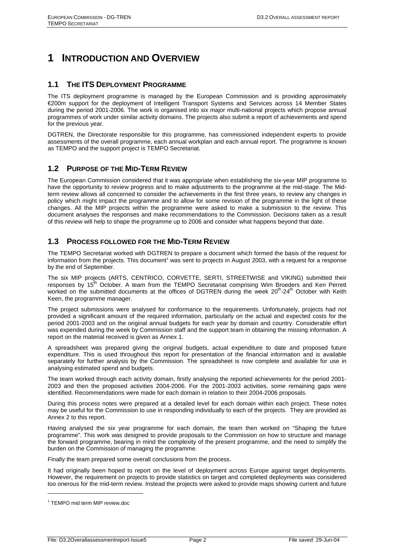## **1 INTRODUCTION AND OVERVIEW**

## **1.1 THE ITS DEPLOYMENT PROGRAMME**

The ITS deployment programme is managed by the European Commission and is providing approximately €200m support for the deployment of Intelligent Transport Systems and Services across 14 Member States during the period 2001-2006. The work is organised into six major multi-national projects which propose annual programmes of work under similar activity domains. The projects also submit a report of achievements and spend for the previous year.

DGTREN, the Directorate responsible for this programme, has commissioned independent experts to provide assessments of the overall programme, each annual workplan and each annual report. The programme is known as TEMPO and the support project is TEMPO Secretariat.

## **1.2 PURPOSE OF THE MID-TERM REVIEW**

The European Commission considered that it was appropriate when establishing the six-year MIP programme to have the opportunity to review progress and to make adjustments to the programme at the mid-stage. The Midterm review allows all concerned to consider the achievements in the first three years, to review any changes in policy which might impact the programme and to allow for some revision of the programme in the light of these changes. All the MIP projects within the programme were asked to make a submission to the review. This document analyses the responses and make recommendations to the Commission. Decisions taken as a result of this review will help to shape the programme up to 2006 and consider what happens beyond that date.

## **1.3 PROCESS FOLLOWED FOR THE MID-TERM REVIEW**

The TEMPO Secretariat worked with DGTREN to prepare a document which formed the basis of the request for information from the projects. This document<sup>1</sup> was sent to projects in August 2003, with a request for a response by the end of September.

The six MIP projects (ARTS, CENTRICO, CORVETTE, SERTI, STREETWISE and VIKING) submitted their responses by 15<sup>th</sup> October. A team from the TEMPO Secretariat comprising Wim Broeders and Ken Perrett worked on the submitted documents at the offices of DGTREN during the week 20<sup>th</sup>-24<sup>th</sup> October with Keith Keen, the programme manager.

The project submissions were analysed for conformance to the requirements. Unfortunately, projects had not provided a significant amount of the required information, particularly on the actual and expected costs for the period 2001-2003 and on the original annual budgets for each year by domain and country. Considerable effort was expended during the week by Commission staff and the support team in obtaining the missing information. A report on the material received is given as Annex 1.

A spreadsheet was prepared giving the original budgets, actual expenditure to date and proposed future expenditure. This is used throughout this report for presentation of the financial information and is available separately for further analysis by the Commission. The spreadsheet is now complete and available for use in analysing estimated spend and budgets.

The team worked through each activity domain, firstly analysing the reported achievements for the period 2001- 2003 and then the proposed activities 2004-2006. For the 2001-2003 activities, some remaining gaps were identified. Recommendations were made for each domain in relation to their 2004-2006 proposals.

During this process notes were prepared at a detailed level for each domain within each project. These notes may be useful for the Commission to use in responding individually to each of the projects. They are provided as Annex 2 to this report.

Having analysed the six year programme for each domain, the team then worked on "Shaping the future programme". This work was designed to provide proposals to the Commission on how to structure and manage the forward programme, bearing in mind the complexity of the present programme, and the need to simplify the burden on the Commission of managing the programme.

Finally the team prepared some overall conclusions from the process.

It had originally been hoped to report on the level of deployment across Europe against target deployments. However, the requirement on projects to provide statistics on target and completed deployments was considered too onerous for the mid-term review. Instead the projects were asked to provide maps showing current and future

 $\overline{a}$ 

<sup>1</sup> TEMPO mid term MIP review.doc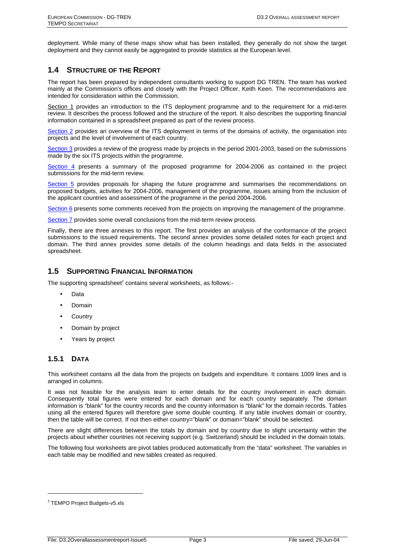deployment. While many of these maps show what has been installed, they generally do not show the target deployment and they cannot easily be aggregated to provide statistics at the European level.

## **1.4 STRUCTURE OF THE REPORT**

The report has been prepared by independent consultants working to support DG TREN. The team has worked mainly at the Commission's offices and closely with the Project Officer, Keith Keen. The recommendations are intended for consideration within the Commission.

Section 1 provides an introduction to the ITS deployment programme and to the requirement for a mid-term review. It describes the process followed and the structure of the report. It also describes the supporting financial information contained in a spreadsheet prepared as part of the review process.

Section 2 provides an overview of the ITS deployment in terms of the domains of activity, the organisation into projects and the level of involvement of each country.

Section 3 provides a review of the progress made by projects in the period 2001-2003, based on the submissions made by the six ITS projects within the programme.

Section 4 presents a summary of the proposed programme for 2004-2006 as contained in the project submissions for the mid-term review.

Section 5 provides proposals for shaping the future programme and summarises the recommendations on proposed budgets, activities for 2004-2006, management of the programme, issues arising from the inclusion of the applicant countries and assessment of the programme in the period 2004-2006.

Section 6 presents some comments received from the projects on improving the management of the programme.

Section 7 provides some overall conclusions from the mid-term review process.

Finally, there are three annexes to this report. The first provides an analysis of the conformance of the project submissions to the issued requirements. The second annex provides some detailed notes for each project and domain. The third annex provides some details of the column headings and data fields in the associated spreadsheet.

## **1.5 SUPPORTING FINANCIAL INFORMATION**

The supporting spreadsheet<sup>2</sup> contains several worksheets, as follows:-

- Data
- Domain
- Country
- Domain by project
- Years by project

#### **1.5.1 DATA**

This worksheet contains all the data from the projects on budgets and expenditure. It contains 1009 lines and is arranged in columns.

It was not feasible for the analysis team to enter details for the country involvement in each domain. Consequently total figures were entered for each domain and for each country separately. The domain information is "blank" for the country records and the country information is "blank" for the domain records. Tables using all the entered figures will therefore give some double counting. If any table involves domain or country, then the table will be correct. If not then either country="blank" or domain="blank" should be selected.

There are slight differences between the totals by domain and by country due to slight uncertainty within the projects about whether countries not receiving support (e.g. Switzerland) should be included in the domain totals.

The following four worksheets are pivot tables produced automatically from the "data" worksheet. The variables in each table may be modified and new tables created as required.

 $\overline{a}$ 

<sup>&</sup>lt;sup>2</sup> TEMPO Project Budgets-v5.xls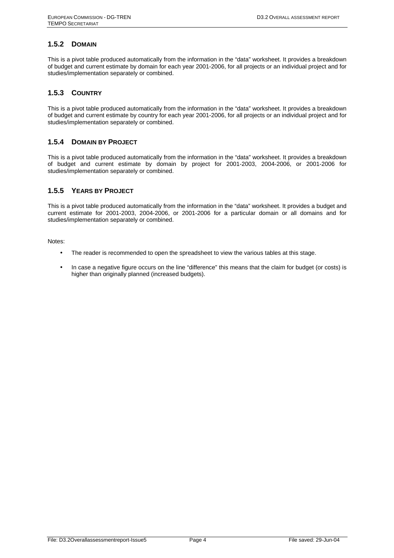## **1.5.2 DOMAIN**

This is a pivot table produced automatically from the information in the "data" worksheet. It provides a breakdown of budget and current estimate by domain for each year 2001-2006, for all projects or an individual project and for studies/implementation separately or combined.

### **1.5.3 COUNTRY**

This is a pivot table produced automatically from the information in the "data" worksheet. It provides a breakdown of budget and current estimate by country for each year 2001-2006, for all projects or an individual project and for studies/implementation separately or combined.

### **1.5.4 DOMAIN BY PROJECT**

This is a pivot table produced automatically from the information in the "data" worksheet. It provides a breakdown of budget and current estimate by domain by project for 2001-2003, 2004-2006, or 2001-2006 for studies/implementation separately or combined.

## **1.5.5 YEARS BY PROJECT**

This is a pivot table produced automatically from the information in the "data" worksheet. It provides a budget and current estimate for 2001-2003, 2004-2006, or 2001-2006 for a particular domain or all domains and for studies/implementation separately or combined.

Notes:

- The reader is recommended to open the spreadsheet to view the various tables at this stage.
- In case a negative figure occurs on the line "difference" this means that the claim for budget (or costs) is higher than originally planned (increased budgets).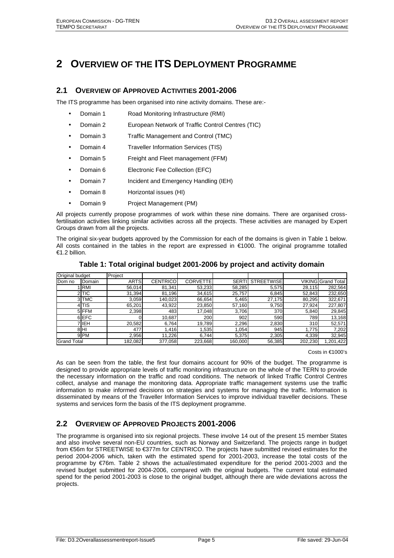## **2 OVERVIEW OF THE ITS DEPLOYMENT PROGRAMME**

## **2.1 OVERVIEW OF APPROVED ACTIVITIES 2001-2006**

The ITS programme has been organised into nine activity domains. These are:-

- Domain 1 Road Monitoring Infrastructure (RMI)
- Domain 2 European Network of Traffic Control Centres (TIC)
- Domain 3 Traffic Management and Control (TMC)
- Domain 4 Traveller Information Services (TIS)
- Domain 5 Freight and Fleet management (FFM)
- Domain 6 Electronic Fee Collection (EFC)
- **Domain 7** Incident and Emergency Handling (IEH)
- Domain 8 Horizontal issues (HI)
- Domain 9 Project Management (PM)

All projects currently propose programmes of work within these nine domains. There are organised crossfertilisation activities linking similar activities across all the projects. These activities are managed by Expert Groups drawn from all the projects.

The original six-year budgets approved by the Commission for each of the domains is given in Table 1 below. All costs contained in the tables in the report are expressed in  $\epsilon$ 1000. The original programme totalled €1.2 billion.

| Original budget    |                 | Project     |                 |                 |              |                   |         |                           |
|--------------------|-----------------|-------------|-----------------|-----------------|--------------|-------------------|---------|---------------------------|
| Dom no             | .Domain         | <b>ARTS</b> | <b>CENTRICO</b> | <b>CORVETTE</b> | <b>SERTI</b> | <b>STREETWISE</b> |         | <b>VIKING Grand Total</b> |
|                    | <b>IRMI</b>     | 56,014      | 81,341          | 53,233          | 58,285       | 5,575             | 28,115  | 282,564                   |
|                    | 2 TIC           | 31,394      | 81,196          | 34,615          | 25,757       | 6,845             | 52,843  | 232,650                   |
|                    | 3 TMC           | 3,059       | 140,023         | 66,654          | 5,465        | 27,175            | 80,295  | 322,671                   |
|                    | 4 TIS           | 65,201      | 43,922          | 23,850          | 57,160       | 9,750             | 27.924  | 227,807                   |
|                    | 5 FFM           | 2,398       | 483             | 17,048          | 3,706        | 370               | 5,840   | 29,845                    |
|                    | 6 EFC           |             | 10,687          | 200             | 902          | 590               | 789     | 13,168                    |
|                    | 'lıEH           | 20,582      | 6,764           | 19,789          | 2,296        | 2,830             | 310     | 52,571                    |
|                    | 8HI             | 477         | 1.416           | .535            | .054         | 945               | 1.775   | 7,202                     |
|                    | 9 <sub>PM</sub> | 2,956       | 11,226          | 6,744           | 5,375        | 2,305             | 4,339   | 32,945                    |
| <b>Grand Total</b> |                 | 182.082     | 377,058         | 223.668         | 160.000      | 56,385            | 202,230 | 1,201,422                 |

#### **Table 1: Total original budget 2001-2006 by project and activity domain**

#### Costs in €1000's

As can be seen from the table, the first four domains account for 90% of the budget. The programme is designed to provide appropriate levels of traffic monitoring infrastructure on the whole of the TERN to provide the necessary information on the traffic and road conditions. The network of linked Traffic Control Centres collect, analyse and manage the monitoring data. Appropriate traffic management systems use the traffic information to make informed decisions on strategies and systems for managing the traffic. Information is disseminated by means of the Traveller Information Services to improve individual traveller decisions. These systems and services form the basis of the ITS deployment programme.

## **2.2 OVERVIEW OF APPROVED PROJECTS 2001-2006**

The programme is organised into six regional projects. These involve 14 out of the present 15 member States and also involve several non-EU countries, such as Norway and Switzerland. The projects range in budget from €56m for STREETWISE to €377m for CENTRICO. The projects have submitted revised estimates for the period 2004-2006 which, taken with the estimated spend for 2001-2003, increase the total costs of the programme by €76m. Table 2 shows the actual/estimated expenditure for the period 2001-2003 and the revised budget submitted for 2004-2006, compared with the original budgets. The current total estimated spend for the period 2001-2003 is close to the original budget, although there are wide deviations across the projects.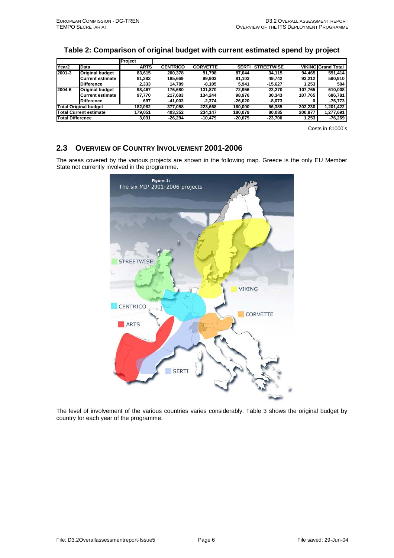## **Table 2: Comparison of original budget with current estimated spend by project**

|                         |                               | Project     |                 |                 |              |                   |         |                           |
|-------------------------|-------------------------------|-------------|-----------------|-----------------|--------------|-------------------|---------|---------------------------|
| Year <sub>2</sub>       | Data                          | <b>ARTS</b> | <b>CENTRICO</b> | <b>CORVETTE</b> | <b>SERTI</b> | <b>STREETWISE</b> |         | <b>VIKING Grand Total</b> |
| 2001-3                  | <b>Original budget</b>        | 83.615      | 200.378         | 91.798          | 87.044       | 34.115            | 94.465  | 591.414                   |
|                         | <b>Current estimate</b>       | 81.282      | 185.669         | 99.903          | 81.103       | 49.742            | 93.212  | 590,910                   |
|                         | <b>Difference</b>             | 2.333       | 14.709          | $-8.105$        | 5.941        | $-15.627$         | 1.253   | 504                       |
| 2004-6                  | <b>Original budget</b>        | 98.467      | 176.680         | 131.870         | 72.956       | 22.270            | 107.765 | 610.008                   |
|                         | <b>Current estimate</b>       | 97.770      | 217.683         | 134.244         | 98.976       | 30.343            | 107.765 | 686.781                   |
|                         | <b>Difference</b>             | 697         | -41.003         | $-2.374$        | $-26.020$    | $-8,073$          |         | -76,773                   |
|                         | <b>Total Original budget</b>  | 182.082     | 377.058         | 223.668         | 160.000      | 56.385            | 202.230 | 1,201,422                 |
|                         | <b>Total Current estimate</b> | 179.051     | 403.352         | 234.147         | 180.079      | 80.085            | 200.977 | 1.277.691                 |
| <b>Total Difference</b> |                               | 3.031       | $-26.294$       | $-10.479$       | -20.079      | -23.700           | 1.253   | -76.269                   |

Costs in €1000's

## **2.3 OVERVIEW OF COUNTRY INVOLVEMENT 2001-2006**

The areas covered by the various projects are shown in the following map. Greece is the only EU Member State not currently involved in the programme.



The level of involvement of the various countries varies considerably. Table 3 shows the original budget by country for each year of the programme.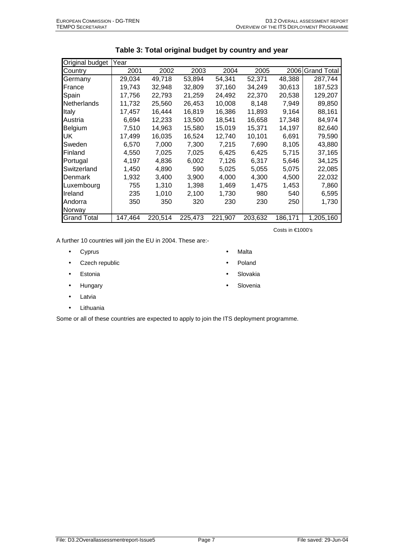| Original budget    | Year    |         |         |         |         |         |                    |
|--------------------|---------|---------|---------|---------|---------|---------|--------------------|
| Country            | 2001    | 2002    | 2003    | 2004    | 2005    | 2006    | <b>Grand Total</b> |
| Germany            | 29,034  | 49,718  | 53,894  | 54,341  | 52,371  | 48,388  | 287,744            |
| France             | 19.743  | 32,948  | 32,809  | 37.160  | 34,249  | 30,613  | 187,523            |
| Spain              | 17,756  | 22,793  | 21,259  | 24,492  | 22,370  | 20,538  | 129,207            |
| <b>Netherlands</b> | 11,732  | 25,560  | 26,453  | 10,008  | 8,148   | 7,949   | 89,850             |
| Italy              | 17,457  | 16,444  | 16,819  | 16,386  | 11,893  | 9,164   | 88,161             |
| Austria            | 6,694   | 12,233  | 13,500  | 18,541  | 16,658  | 17,348  | 84,974             |
| Belgium            | 7,510   | 14,963  | 15,580  | 15,019  | 15,371  | 14,197  | 82,640             |
| UK                 | 17,499  | 16,035  | 16,524  | 12,740  | 10,101  | 6,691   | 79,590             |
| Sweden             | 6,570   | 7,000   | 7,300   | 7,215   | 7,690   | 8,105   | 43,880             |
| Finland            | 4,550   | 7,025   | 7,025   | 6,425   | 6,425   | 5,715   | 37,165             |
| Portugal           | 4,197   | 4,836   | 6,002   | 7,126   | 6,317   | 5,646   | 34,125             |
| Switzerland        | 1,450   | 4,890   | 590     | 5,025   | 5,055   | 5,075   | 22,085             |
| Denmark            | 1,932   | 3,400   | 3,900   | 4,000   | 4,300   | 4,500   | 22,032             |
| Luxembourg         | 755     | 1,310   | 1,398   | 1,469   | 1,475   | 1,453   | 7,860              |
| Ireland            | 235     | 1,010   | 2,100   | 1,730   | 980     | 540     | 6,595              |
| lAndorra           | 350     | 350     | 320     | 230     | 230     | 250     | 1,730              |
| Norway             |         |         |         |         |         |         |                    |
| <b>Grand Total</b> | 147,464 | 220,514 | 225,473 | 221,907 | 203,632 | 186,171 | 1,205,160          |

| Table 3: Total original budget by country and year |  |
|----------------------------------------------------|--|
|----------------------------------------------------|--|

Costs in €1000's

• Malta • Poland • Slovakia • Slovenia

A further 10 countries will join the EU in 2004. These are:-

- Cyprus
- Czech republic
- Estonia
- Hungary
- Latvia
- Lithuania

Some or all of these countries are expected to apply to join the ITS deployment programme.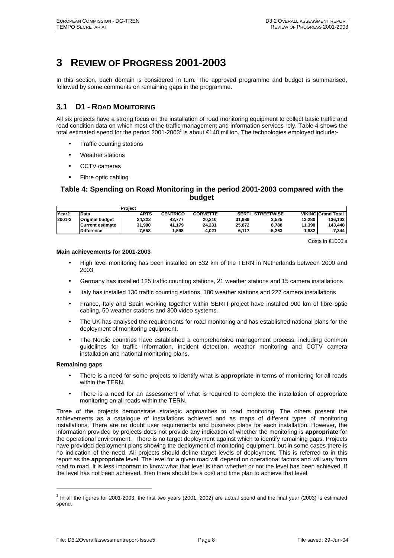## **3 REVIEW OF PROGRESS 2001-2003**

In this section, each domain is considered in turn. The approved programme and budget is summarised, followed by some comments on remaining gaps in the programme.

## **3.1 D1 - ROAD MONITORING**

All six projects have a strong focus on the installation of road monitoring equipment to collect basic traffic and road condition data on which most of the traffic management and information services rely. Table 4 shows the total estimated spend for the period 2001-2003<sup>3</sup> is about €140 million. The technologies employed include:-

- Traffic counting stations
- Weather stations
- CCTV cameras
- Fibre optic cabling

## **Table 4: Spending on Road Monitoring in the period 2001-2003 compared with the budget**

|                   |                        | Project     |                 |                 |              |                   |        |                           |
|-------------------|------------------------|-------------|-----------------|-----------------|--------------|-------------------|--------|---------------------------|
| Year <sub>2</sub> | Data                   | <b>ARTS</b> | <b>CENTRICO</b> | <b>CORVETTE</b> | <b>SERTI</b> | <b>STREETWISE</b> |        | <b>VIKING Grand Total</b> |
| 2001-3            | <b>Original budget</b> | 24.322      | 42.777          | 20.210          | 31.989       | 3.525             | 13.280 | 136.103                   |
|                   | Current estimate       | 31.980      | 41.179          | 24.231          | 25.872       | 8.788             | 11.398 | 143.448                   |
|                   | <b>Difference</b>      | $-7.658$    | .598            | -4.021          | 6.117        | $-5.263$          | 1.882  | -7.344                    |

Costs in €1000's

#### **Main achievements for 2001-2003**

- High level monitoring has been installed on 532 km of the TERN in Netherlands between 2000 and 2003
- Germany has installed 125 traffic counting stations, 21 weather stations and 15 camera installations
- Italy has installed 130 traffic counting stations, 180 weather stations and 227 camera installations
- France, Italy and Spain working together within SERTI project have installed 900 km of fibre optic cabling, 50 weather stations and 300 video systems.
- The UK has analysed the requirements for road monitoring and has established national plans for the deployment of monitoring equipment.
- The Nordic countries have established a comprehensive management process, including common guidelines for traffic information, incident detection, weather monitoring and CCTV camera installation and national monitoring plans.

#### **Remaining gaps**

l

- There is a need for some projects to identify what is **appropriate** in terms of monitoring for all roads within the TERN.
- There is a need for an assessment of what is required to complete the installation of appropriate monitoring on all roads within the TERN.

Three of the projects demonstrate strategic approaches to road monitoring. The others present the achievements as a catalogue of installations achieved and as maps of different types of monitoring installations. There are no doubt user requirements and business plans for each installation. However, the information provided by projects does not provide any indication of whether the monitoring is **appropriate** for the operational environment. There is no target deployment against which to identify remaining gaps. Projects have provided deployment plans showing the deployment of monitoring equipment, but in some cases there is no indication of the need. All projects should define target levels of deployment. This is referred to in this report as the **appropriate** level. The level for a given road will depend on operational factors and will vary from road to road. It is less important to know what that level is than whether or not the level has been achieved. If the level has not been achieved, then there should be a cost and time plan to achieve that level.

 $3$  In all the figures for 2001-2003, the first two years (2001, 2002) are actual spend and the final year (2003) is estimated spend.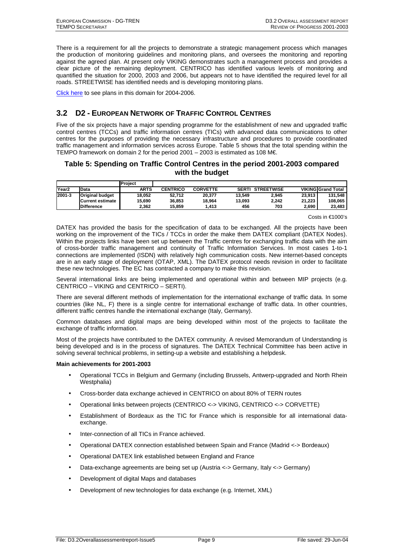There is a requirement for all the projects to demonstrate a strategic management process which manages the production of monitoring guidelines and monitoring plans, and oversees the monitoring and reporting against the agreed plan. At present only VIKING demonstrates such a management process and provides a clear picture of the remaining deployment. CENTRICO has identified various levels of monitoring and quantified the situation for 2000, 2003 and 2006, but appears not to have identified the required level for all roads. STREETWISE has identified needs and is developing monitoring plans.

Click here to see plans in this domain for 2004-2006.

## **3.2 D2 - EUROPEAN NETWORK OF TRAFFIC CONTROL CENTRES**

Five of the six projects have a major spending programme for the establishment of new and upgraded traffic control centres (TCCs) and traffic information centres (TICs) with advanced data communications to other centres for the purposes of providing the necessary infrastructure and procedures to provide coordinated traffic management and information services across Europe. Table 5 shows that the total spending within the TEMPO framework on domain 2 for the period 2001 – 2003 is estimated as 108 M $\epsilon$ .

## **Table 5: Spending on Traffic Control Centres in the period 2001-2003 compared with the budget**

|                   |                        | Project     |                 |                 |        |                   |        |                           |
|-------------------|------------------------|-------------|-----------------|-----------------|--------|-------------------|--------|---------------------------|
| Year <sub>2</sub> | Data                   | <b>ARTS</b> | <b>CENTRICO</b> | <b>CORVETTE</b> | SERTI  | <b>STREETWISE</b> |        | <b>VIKING Grand Total</b> |
| 2001-3            | <b>Original budget</b> | 18.052      | 52.712          | 20.377          | 13.549 | 2.945             | 23.913 | 131.548                   |
|                   | Current estimate       | 15.690      | 36.853          | 18.964          | 13.093 | 2.242             | 21.223 | 108.065                   |
|                   | <b>Difference</b>      | 2.362       | 15.859          | 1.413           | 456    | 703               | 2.690  | 23.483                    |

Costs in €1000's

DATEX has provided the basis for the specification of data to be exchanged. All the projects have been working on the improvement of the TICs / TCCs in order the make them DATEX compliant (DATEX Nodes). Within the projects links have been set up between the Traffic centres for exchanging traffic data with the aim of cross-border traffic management and continuity of Traffic Information Services. In most cases 1-to-1 connections are implemented (ISDN) with relatively high communication costs. New internet-based concepts are in an early stage of deployment (OTAP, XML). The DATEX protocol needs revision in order to facilitate these new technologies. The EC has contracted a company to make this revision.

Several international links are being implemented and operational within and between MIP projects (e.g. CENTRICO – VIKING and CENTRICO – SERTI).

There are several different methods of implementation for the international exchange of traffic data. In some countries (like NL, F) there is a single centre for international exchange of traffic data. In other countries, different traffic centres handle the international exchange (Italy, Germany).

Common databases and digital maps are being developed within most of the projects to facilitate the exchange of traffic information.

Most of the projects have contributed to the DATEX community. A revised Memorandum of Understanding is being developed and is in the process of signatures. The DATEX Technical Committee has been active in solving several technical problems, in setting-up a website and establishing a helpdesk.

#### **Main achievements for 2001-2003**

- Operational TCCs in Belgium and Germany (including Brussels, Antwerp-upgraded and North Rhein Westphalia)
- Cross-border data exchange achieved in CENTRICO on about 80% of TERN routes
- Operational links between projects (CENTRICO <-> VIKING, CENTRICO <-> CORVETTE)
- Establishment of Bordeaux as the TIC for France which is responsible for all international dataexchange.
- Inter-connection of all TICs in France achieved.
- Operational DATEX connection established between Spain and France (Madrid <-> Bordeaux)
- Operational DATEX link established between England and France
- Data-exchange agreements are being set up (Austria <-> Germany, Italy <-> Germany)
- Development of digital Maps and databases
- Development of new technologies for data exchange (e.g. Internet, XML)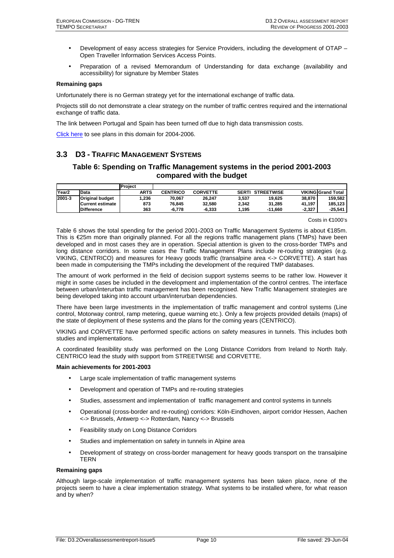- Development of easy access strategies for Service Providers, including the development of OTAP Open Traveller Information Services Access Points.
- Preparation of a revised Memorandum of Understanding for data exchange (availability and accessibility) for signature by Member States

#### **Remaining gaps**

Unfortunately there is no German strategy yet for the international exchange of traffic data.

Projects still do not demonstrate a clear strategy on the number of traffic centres required and the international exchange of traffic data.

The link between Portugal and Spain has been turned off due to high data transmission costs.

Click here to see plans in this domain for 2004-2006.

## **3.3 D3 - TRAFFIC MANAGEMENT SYSTEMS**

## **Table 6: Spending on Traffic Management systems in the period 2001-2003 compared with the budget**

|                   |                        | <b>Project</b> |                 |                 |              |                   |          |                           |
|-------------------|------------------------|----------------|-----------------|-----------------|--------------|-------------------|----------|---------------------------|
| Year <sub>2</sub> | <b>Data</b>            | <b>ARTS</b>    | <b>CENTRICO</b> | <b>CORVETTE</b> | <b>SERTI</b> | <b>STREETWISE</b> |          | <b>VIKING Grand Total</b> |
| 2001-3            | <b>Original budget</b> | 1.236          | 70.067          | 26.247          | 3.537        | 19.625            | 38.870   | 159.582                   |
|                   | Current estimate       | 873            | 76.845          | 32.580          | 2.342        | 31.285            | 41.197   | 185.123                   |
|                   | <b>Difference</b>      | 363            | -6.778          | $-6.333$        | .195         | $-11.660$         | $-2.327$ | -25.541                   |

Costs in €1000's

Table 6 shows the total spending for the period 2001-2003 on Traffic Management Systems is about €185m. This is €25m more than originally planned. For all the regions traffic management plans (TMPs) have been developed and in most cases they are in operation. Special attention is given to the cross-border TMPs and long distance corridors. In some cases the Traffic Management Plans include re-routing strategies (e.g. VIKING, CENTRICO) and measures for Heavy goods traffic (transalpine area <-> CORVETTE). A start has been made in computerising the TMPs including the development of the required TMP databases.

The amount of work performed in the field of decision support systems seems to be rather low. However it might in some cases be included in the development and implementation of the control centres. The interface between urban/interurban traffic management has been recognised. New Traffic Management strategies are being developed taking into account urban/interurban dependencies.

There have been large investments in the implementation of traffic management and control systems (Line control, Motorway control, ramp metering, queue warning etc.). Only a few projects provided details (maps) of the state of deployment of these systems and the plans for the coming years (CENTRICO).

VIKING and CORVETTE have performed specific actions on safety measures in tunnels. This includes both studies and implementations.

A coordinated feasibility study was performed on the Long Distance Corridors from Ireland to North Italy. CENTRICO lead the study with support from STREETWISE and CORVETTE.

#### **Main achievements for 2001-2003**

- Large scale implementation of traffic management systems
- Development and operation of TMPs and re-routing strategies
- Studies, assessment and implementation of traffic management and control systems in tunnels
- Operational (cross-border and re-routing) corridors: Köln-Eindhoven, airport corridor Hessen, Aachen <-> Brussels, Antwerp <-> Rotterdam, Nancy <-> Brussels
- Feasibility study on Long Distance Corridors
- Studies and implementation on safety in tunnels in Alpine area
- Development of strategy on cross-border management for heavy goods transport on the transalpine TERN

#### **Remaining gaps**

Although large-scale implementation of traffic management systems has been taken place, none of the projects seem to have a clear implementation strategy. What systems to be installed where, for what reason and by when?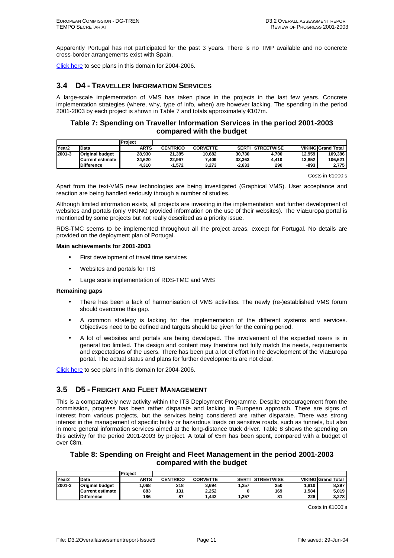Apparently Portugal has not participated for the past 3 years. There is no TMP available and no concrete cross-border arrangements exist with Spain.

Click here to see plans in this domain for 2004-2006.

## **3.4 D4 - TRAVELLER INFORMATION SERVICES**

A large-scale implementation of VMS has taken place in the projects in the last few years. Concrete implementation strategies (where, why, type of info, when) are however lacking. The spending in the period 2001-2003 by each project is shown in Table 7 and totals approximately €107m.

## **Table 7: Spending on Traveller Information Services in the period 2001-2003 compared with the budget**

|                   |                        | Project     |                 |                 |              |                   |        |                           |
|-------------------|------------------------|-------------|-----------------|-----------------|--------------|-------------------|--------|---------------------------|
| Year <sub>2</sub> | Data                   | <b>ARTS</b> | <b>CENTRICO</b> | <b>CORVETTE</b> | <b>SERTI</b> | <b>STREETWISE</b> |        | <b>VIKING Grand Total</b> |
| 2001-3            | <b>Original budget</b> | 28.930      | 21.395          | 10.682          | 30.730       | 4.700             | 12.959 | 109.396                   |
|                   | Current estimate       | 24.620      | 22.967          | .409            | 33.363       | 4.410             | 13.852 | 106.621                   |
|                   | <b>Difference</b>      | 4.310       | $-1.572$        | 3.273           | $-2.633$     | 290               | -893   | 2.775                     |

Costs in €1000's

Apart from the text-VMS new technologies are being investigated (Graphical VMS). User acceptance and reaction are being handled seriously through a number of studies.

Although limited information exists, all projects are investing in the implementation and further development of websites and portals (only VIKING provided information on the use of their websites). The ViaEuropa portal is mentioned by some projects but not really described as a priority issue.

RDS-TMC seems to be implemented throughout all the project areas, except for Portugal. No details are provided on the deployment plan of Portugal.

#### **Main achievements for 2001-2003**

- First development of travel time services
- Websites and portals for TIS
- Large scale implementation of RDS-TMC and VMS

#### **Remaining gaps**

- There has been a lack of harmonisation of VMS activities. The newly (re-)established VMS forum should overcome this gap.
- A common strategy is lacking for the implementation of the different systems and services. Objectives need to be defined and targets should be given for the coming period.
- A lot of websites and portals are being developed. The involvement of the expected users is in general too limited. The design and content may therefore not fully match the needs, requirements and expectations of the users. There has been put a lot of effort in the development of the ViaEuropa portal. The actual status and plans for further developments are not clear.

Click here to see plans in this domain for 2004-2006.

## **3.5 D5 - FREIGHT AND FLEET MANAGEMENT**

This is a comparatively new activity within the ITS Deployment Programme. Despite encouragement from the commission, progress has been rather disparate and lacking in European approach. There are signs of interest from various projects, but the services being considered are rather disparate. There was strong interest in the management of specific bulky or hazardous loads on sensitive roads, such as tunnels, but also in more general information services aimed at the long-distance truck driver. Table 8 shows the spending on this activity for the period 2001-2003 by project. A total of €5m has been spent, compared with a budget of over €8m.

## **Table 8: Spending on Freight and Fleet Management in the period 2001-2003 compared with the budget**

|                   |                        | Project |                 |                 |              |                   |       |                           |
|-------------------|------------------------|---------|-----------------|-----------------|--------------|-------------------|-------|---------------------------|
| Year <sub>2</sub> | Data                   | ARTS    | <b>CENTRICO</b> | <b>CORVETTE</b> | <b>SERTI</b> | <b>STREETWISE</b> |       | <b>VIKING Grand Total</b> |
| 2001-3            | <b>Original budget</b> | .068    | 218             | 3.694           | .257         | 250               | 1.810 | 8.297                     |
|                   | Current estimate       | 883     | 131             | 2.252           |              | 169               | . 584 | 5.019                     |
|                   | <b>Difference</b>      | 186     | 87              | .442            | .257         | 81                | 226   | 3,278                     |

Costs in €1000's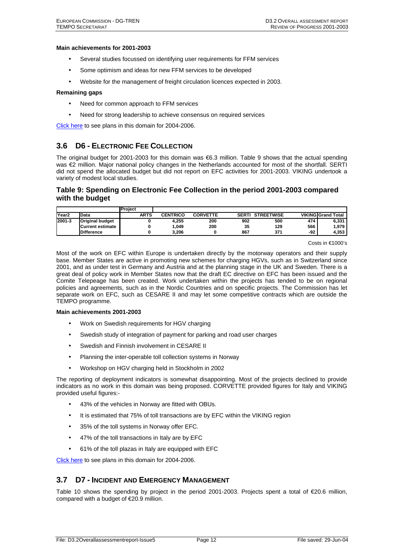#### **Main achievements for 2001-2003**

- Several studies focussed on identifying user requirements for FFM services
- Some optimism and ideas for new FFM services to be developed
- Website for the management of freight circulation licences expected in 2003.

#### **Remaining gaps**

- Need for common approach to FFM services
- Need for strong leadership to achieve consensus on required services

Click here to see plans in this domain for 2004-2006.

## **3.6 D6 - ELECTRONIC FEE COLLECTION**

The original budget for 2001-2003 for this domain was €6.3 million. Table 9 shows that the actual spending was €2 million. Major national policy changes in the Netherlands accounted for most of the shortfall. SERTI did not spend the allocated budget but did not report on EFC activities for 2001-2003. VIKING undertook a variety of modest local studies.

### **Table 9: Spending on Electronic Fee Collection in the period 2001-2003 compared with the budget**

|                   |                        | Project     |                 |                 |       |                   |     |                           |
|-------------------|------------------------|-------------|-----------------|-----------------|-------|-------------------|-----|---------------------------|
| Year <sub>2</sub> | Data                   | <b>ARTS</b> | <b>CENTRICO</b> | <b>CORVETTE</b> | SERTI | <b>STREETWISE</b> |     | <b>VIKING Grand Total</b> |
| 2001-3            | <b>Original budget</b> |             | 4.255           | 200             | 902   | 500               | 474 | 6,331                     |
|                   | Current estimate       |             | .049            | 200             | 35    | 129               | 566 | 1,979                     |
|                   | <b>Difference</b>      |             | 3.206           |                 | 867   | 371               | -92 | 4.353                     |

#### Costs in €1000's

Most of the work on EFC within Europe is undertaken directly by the motorway operators and their supply base. Member States are active in promoting new schemes for charging HGVs, such as in Switzerland since 2001, and as under test in Germany and Austria and at the planning stage in the UK and Sweden. There is a great deal of policy work in Member States now that the draft EC directive on EFC has been issued and the Comite Telepeage has been created. Work undertaken within the projects has tended to be on regional policies and agreements, such as in the Nordic Countries and on specific projects. The Commission has let separate work on EFC, such as CESARE II and may let some competitive contracts which are outside the TEMPO programme.

#### **Main achievements 2001-2003**

- Work on Swedish requirements for HGV charging
- Swedish study of integration of payment for parking and road user charges
- Swedish and Finnish involvement in CESARE II
- Planning the inter-operable toll collection systems in Norway
- Workshop on HGV charging held in Stockholm in 2002

The reporting of deployment indicators is somewhat disappointing. Most of the projects declined to provide indicators as no work in this domain was being proposed. CORVETTE provided figures for Italy and VIKING provided useful figures:-

- 43% of the vehicles in Norway are fitted with OBUs.
- It is estimated that 75% of toll transactions are by EFC within the VIKING region
- 35% of the toll systems in Norway offer EFC.
- 47% of the toll transactions in Italy are by EFC
- 61% of the toll plazas in Italy are equipped with EFC

Click here to see plans in this domain for 2004-2006.

## **3.7 D7 - INCIDENT AND EMERGENCY MANAGEMENT**

Table 10 shows the spending by project in the period 2001-2003. Projects spent a total of €20.6 million, compared with a budget of €20.9 million.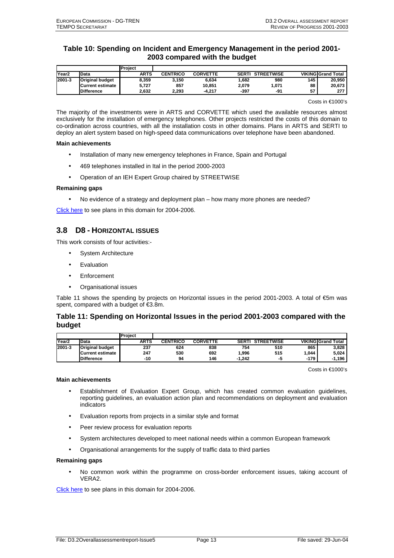## **Table 10: Spending on Incident and Emergency Management in the period 2001- 2003 compared with the budget**

|                   |                        | Project     |                 |                 |              |                   |     |                           |
|-------------------|------------------------|-------------|-----------------|-----------------|--------------|-------------------|-----|---------------------------|
| Year <sub>2</sub> | <b>IData</b>           | <b>ARTS</b> | <b>CENTRICO</b> | <b>CORVETTE</b> | <b>SERTI</b> | <b>STREETWISE</b> |     | <b>VIKING Grand Total</b> |
| 2001-3            | <b>Original budget</b> | 8.359       | 3.150           | 6.634           | .682         | 980               | 145 | 20.950                    |
|                   | Current estimate       | 5,727       | 857             | 10.851          | 2.079        | 1.071             | 88  | 20,673                    |
|                   | <b>Difference</b>      | 2.632       | 2.293           | $-4.217$        | $-397$       | -91               | 57  | 277                       |

Costs in €1000's

The majority of the investments were in ARTS and CORVETTE which used the available resources almost exclusively for the installation of emergency telephones. Other projects restricted the costs of this domain to co-ordination across countries, with all the installation costs in other domains. Plans in ARTS and SERTI to deploy an alert system based on high-speed data communications over telephone have been abandoned.

#### **Main achievements**

- Installation of many new emergency telephones in France, Spain and Portugal
- 469 telephones installed in Ital in the period 2000-2003
- Operation of an IEH Expert Group chaired by STREETWISE

#### **Remaining gaps**

• No evidence of a strategy and deployment plan – how many more phones are needed?

Click here to see plans in this domain for 2004-2006.

## **3.8 D8 - HORIZONTAL ISSUES**

This work consists of four activities:-

- System Architecture
- Evaluation
- **Enforcement**
- Organisational issues

Table 11 shows the spending by projects on Horizontal issues in the period 2001-2003. A total of €5m was spent, compared with a budget of €3.8m.

## **Table 11: Spending on Horizontal Issues in the period 2001-2003 compared with the budget**

|                   |                        | Project     |                 |                 |              |                   |      |                           |
|-------------------|------------------------|-------------|-----------------|-----------------|--------------|-------------------|------|---------------------------|
| Year <sub>2</sub> | <b>Data</b>            | <b>ARTS</b> | <b>CENTRICO</b> | <b>CORVETTE</b> | <b>SERTI</b> | <b>STREETWISE</b> |      | <b>VIKING Grand Total</b> |
| 2001-3            | <b>Original budget</b> | 237         | 624             | 838             | 754          | 510               | 865  | 3.828                     |
|                   | Current estimate       | 247         | 530             | 692             | .996         | 515               | .044 | 5.024                     |
|                   | <b>Difference</b>      | -10         | 94              | 146             | $-1.242$     | - -               | -179 | $-1.196$                  |

Costs in €1000's

#### **Main achievements**

- Establishment of Evaluation Expert Group, which has created common evaluation guidelines, reporting guidelines, an evaluation action plan and recommendations on deployment and evaluation indicators
- Evaluation reports from projects in a similar style and format
- Peer review process for evaluation reports
- System architectures developed to meet national needs within a common European framework
- Organisational arrangements for the supply of traffic data to third parties

## **Remaining gaps**

• No common work within the programme on cross-border enforcement issues, taking account of VERA2.

Click here to see plans in this domain for 2004-2006.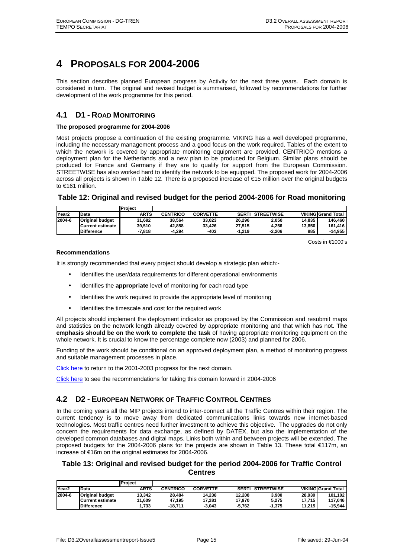## **4 PROPOSALS FOR 2004-2006**

This section describes planned European progress by Activity for the next three years. Each domain is considered in turn. The original and revised budget is summarised, followed by recommendations for further development of the work programme for this period.

## **4.1 D1 - ROAD MONITORING**

#### **The proposed programme for 2004-2006**

Most projects propose a continuation of the existing programme. VIKING has a well developed programme, including the necessary management process and a good focus on the work required. Tables of the extent to which the network is covered by appropriate monitoring equipment are provided. CENTRICO mentions a deployment plan for the Netherlands and a new plan to be produced for Belgium. Similar plans should be produced for France and Germany if they are to qualify for support from the European Commission. STREETWISE has also worked hard to identify the network to be equipped. The proposed work for 2004-2006 across all projects is shown in Table 12. There is a proposed increase of €15 million over the original budgets to €161 million.

## **Table 12: Original and revised budget for the period 2004-2006 for Road monitoring**

|                   |                        | Project |                 |                 |              |                   |        |                           |
|-------------------|------------------------|---------|-----------------|-----------------|--------------|-------------------|--------|---------------------------|
| Year <sub>2</sub> | Data                   | ARTS    | <b>CENTRICO</b> | <b>CORVETTE</b> | <b>SERTI</b> | <b>STREETWISE</b> |        | <b>VIKING Grand Total</b> |
| 2004-6            | <b>Original budget</b> | 31.692  | 38.564          | 33.023          | 26.296       | 2.050             | 14.835 | 146.460                   |
|                   | Current estimate       | 39.510  | 42.858          | 33.426          | 27.515       | 4.256             | 13.850 | 161.416                   |
|                   | <b>Difference</b>      | -7.818  | -4.294          | -403            | $-1.219$     | $-2.206$          | 985    | -14.955                   |

Costs in €1000's

#### **Recommendations**

It is strongly recommended that every project should develop a strategic plan which:-

- Identifies the user/data requirements for different operational environments
- Identifies the **appropriate** level of monitoring for each road type
- Identifies the work required to provide the appropriate level of monitoring
- Identifies the timescale and cost for the required work

All projects should implement the deployment indicator as proposed by the Commission and resubmit maps and statistics on the network length already covered by appropriate monitoring and that which has not. **The emphasis should be on the work to complete the task** of having appropriate monitoring equipment on the whole network. It is crucial to know the percentage complete now (2003) and planned for 2006.

Funding of the work should be conditional on an approved deployment plan, a method of monitoring progress and suitable management processes in place.

Click here to return to the 2001-2003 progress for the next domain.

Click here to see the recommendations for taking this domain forward in 2004-2006

## **4.2 D2 - EUROPEAN NETWORK OF TRAFFIC CONTROL CENTRES**

In the coming years all the MIP projects intend to inter-connect all the Traffic Centres within their region. The current tendency is to move away from dedicated communications links towards new internet-based technologies. Most traffic centres need further investment to achieve this objective. The upgrades do not only concern the requirements for data exchange, as defined by DATEX, but also the implementation of the developed common databases and digital maps. Links both within and between projects will be extended. The proposed budgets for the 2004-2006 plans for the projects are shown in Table 13. These total €117m, an increase of €16m on the original estimates for 2004-2006.

### **Table 13: Original and revised budget for the period 2004-2006 for Traffic Control Centres**

|                   |                        | Project     |                 |                 |              |                   |        |                           |
|-------------------|------------------------|-------------|-----------------|-----------------|--------------|-------------------|--------|---------------------------|
| Year <sub>2</sub> | Data                   | <b>ARTS</b> | <b>CENTRICO</b> | <b>CORVETTE</b> | <b>SERTI</b> | <b>STREETWISE</b> |        | <b>VIKING Grand Total</b> |
| 2004-6            | <b>Original budget</b> | 13.342      | 28.484          | 14.238          | 12.208       | 3.900             | 28.930 | 101.102                   |
|                   | Current estimate       | 11.609      | 47.195          | 17.281          | 17.970       | 5.275             | 17.715 | 117.046                   |
|                   | <b>Difference</b>      | 1.733       | $-18.711$       | $-3.043$        | $-5.762$     | $-1.375$          | 11.215 | $-15.944$                 |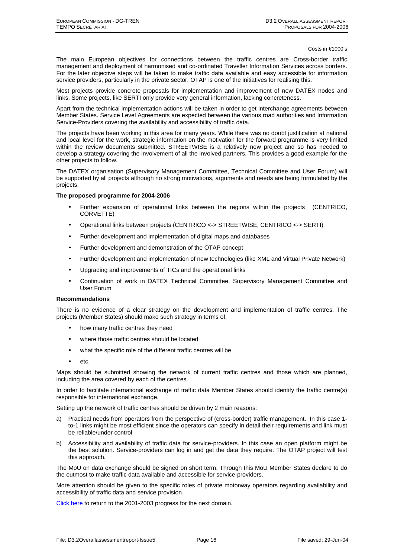Costs in €1000's

The main European objectives for connections between the traffic centres are Cross-border traffic management and deployment of harmonised and co-ordinated Traveller Information Services across borders. For the later objective steps will be taken to make traffic data available and easy accessible for information service providers, particularly in the private sector. OTAP is one of the initiatives for realising this.

Most projects provide concrete proposals for implementation and improvement of new DATEX nodes and links. Some projects, like SERTI only provide very general information, lacking concreteness.

Apart from the technical implementation actions will be taken in order to get interchange agreements between Member States. Service Level Agreements are expected between the various road authorities and Information Service-Providers covering the availability and accessibility of traffic data.

The projects have been working in this area for many years. While there was no doubt justification at national and local level for the work, strategic information on the motivation for the forward programme is very limited within the review documents submitted. STREETWISE is a relatively new project and so has needed to develop a strategy covering the involvement of all the involved partners. This provides a good example for the other projects to follow.

The DATEX organisation (Supervisory Management Committee, Technical Committee and User Forum) will be supported by all projects although no strong motivations, arguments and needs are being formulated by the projects.

#### **The proposed programme for 2004-2006**

- Further expansion of operational links between the regions within the projects (CENTRICO, CORVETTE)
- Operational links between projects (CENTRICO <-> STREETWISE, CENTRICO <-> SERTI)
- Further development and implementation of digital maps and databases
- Further development and demonstration of the OTAP concept
- Further development and implementation of new technologies (like XML and Virtual Private Network)
- Upgrading and improvements of TICs and the operational links
- Continuation of work in DATEX Technical Committee, Supervisory Management Committee and User Forum

#### **Recommendations**

There is no evidence of a clear strategy on the development and implementation of traffic centres. The projects (Member States) should make such strategy in terms of:

- how many traffic centres they need
- where those traffic centres should be located
- what the specific role of the different traffic centres will be
- etc.

Maps should be submitted showing the network of current traffic centres and those which are planned, including the area covered by each of the centres.

In order to facilitate international exchange of traffic data Member States should identify the traffic centre(s) responsible for international exchange.

Setting up the network of traffic centres should be driven by 2 main reasons:

- a) Practical needs from operators from the perspective of (cross-border) traffic management. In this case 1 to-1 links might be most efficient since the operators can specify in detail their requirements and link must be reliable/under control
- b) Accessibility and availability of traffic data for service-providers. In this case an open platform might be the best solution. Service-providers can log in and get the data they require. The OTAP project will test this approach.

The MoU on data exchange should be signed on short term. Through this MoU Member States declare to do the outmost to make traffic data available and accessible for service-providers.

More attention should be given to the specific roles of private motorway operators regarding availability and accessibility of traffic data and service provision.

Click here to return to the 2001-2003 progress for the next domain.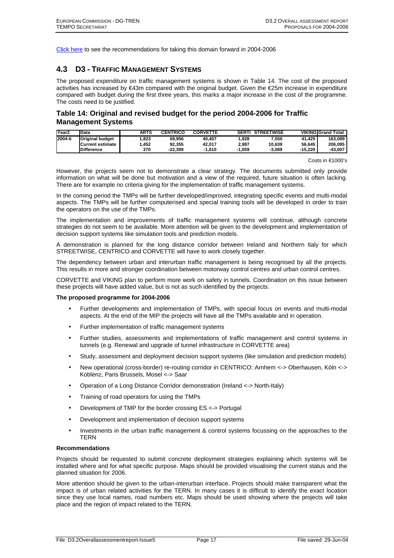Click here to see the recommendations for taking this domain forward in 2004-2006

## **4.3 D3 - TRAFFIC MANAGEMENT SYSTEMS**

The proposed expenditure on traffic management systems is shown in Table 14. The cost of the proposed activities has increased by €43m compared with the original budget. Given the €25m increase in expenditure compared with budget during the first three years, this marks a major increase in the cost of the programme. The costs need to be justified.

## **Table 14: Original and revised budget for the period 2004-2006 for Traffic Management Systems**

| Year <sub>2</sub> | Data                     | ARTS  | <b>CENTRICO</b> | <b>CORVETTE</b> | <b>SERTI</b> | <b>STREETWISE</b> |         | <b>VIKING Grand Total</b> |
|-------------------|--------------------------|-------|-----------------|-----------------|--------------|-------------------|---------|---------------------------|
| 2004-6            | <b>Original budget</b>   | 1.823 | 69.956          | 40.407          | .928         | .550              | 41.425  | 163.089                   |
|                   | <b>ICurrent estimate</b> | .452  | 92.355          | 42.017          | 2.987        | 10.639            | 56.645  | 206.095                   |
|                   | <b>Difference</b>        | 370   | $-22.399$       | $-1.610$        | .059         | $-3.089$          | -15.220 | -43.007                   |

Costs in €1000's

However, the projects seem not to demonstrate a clear strategy. The documents submitted only provide information on what will be done but motivation and a view of the required, future situation is often lacking. There are for example no criteria giving for the implementation of traffic management systems.

In the coming period the TMPs will be further developed/improved, integrating specific events and multi-modal aspects. The TMPs will be further computerised and special training tools will be developed in order to train the operators on the use of the TMPs.

The implementation and improvements of traffic management systems will continue, although concrete strategies do not seem to be available. More attention will be given to the development and implementation of decision support systems like simulation tools and prediction models.

A demonstration is planned for the long distance corridor between Ireland and Northern Italy for which STREETWISE, CENTRICO and CORVETTE will have to work closely together.

The dependency between urban and interurban traffic management is being recognised by all the projects. This results in more and stronger coordination between motorway control centres and urban control centres.

CORVETTE and VIKING plan to perform more work on safety in tunnels. Coordination on this issue between these projects will have added value, but is not as such identified by the projects.

#### **The proposed programme for 2004-2006**

- Further developments and implementation of TMPs, with special focus on events and multi-modal aspects. At the end of the MIP the projects will have all the TMPs available and in operation.
- Further implementation of traffic management systems
- Further studies, assessments and implementations of traffic management and control systems in tunnels (e.g. Renewal and upgrade of tunnel infrastructure in CORVETTE area)
- Study, assessment and deployment decision support systems (like simulation and prediction models)
- New operational (cross-border) re-routing corridor in CENTRICO: Arnhem <-> Oberhausen, Köln <-> Koblenz, Paris Brussels, Mosel <-> Saar
- Operation of a Long Distance Corridor demonstration (Ireland <-> North-Italy)
- Training of road operators for using the TMPs
- Development of TMP for the border crossing ES <-> Portugal
- Development and implementation of decision support systems
- Investments in the urban traffic management & control systems focussing on the approaches to the **TERN**

#### **Recommendations**

Projects should be requested to submit concrete deployment strategies explaining which systems will be installed where and for what specific purpose. Maps should be provided visualising the current status and the planned situation for 2006.

More attention should be given to the urban-interurban interface. Projects should make transparent what the impact is of urban related activities for the TERN. In many cases it is difficult to identify the exact location since they use local names, road numbers etc. Maps should be used showing where the projects will take place and the region of impact related to the TERN.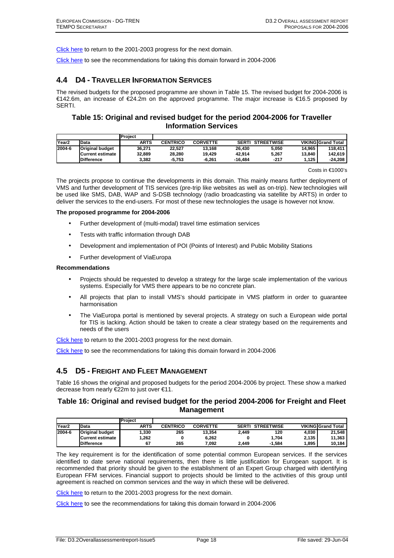Click here to return to the 2001-2003 progress for the next domain.

Click here to see the recommendations for taking this domain forward in 2004-2006

## **4.4 D4 - TRAVELLER INFORMATION SERVICES**

The revised budgets for the proposed programme are shown in Table 15. The revised budget for 2004-2006 is €142.6m, an increase of €24.2m on the approved programme. The major increase is €16.5 proposed by SERTI.

## **Table 15: Original and revised budget for the period 2004-2006 for Traveller Information Services**

|                   |                        | Project     |                 |                 |           |                         |        |                           |
|-------------------|------------------------|-------------|-----------------|-----------------|-----------|-------------------------|--------|---------------------------|
| Year <sub>2</sub> | Data                   | <b>ARTS</b> | <b>CENTRICO</b> | <b>CORVETTE</b> |           | <b>SERTI STREETWISE</b> |        | <b>VIKING Grand Total</b> |
| 2004-6            | <b>Original budget</b> | 36.271      | 22.527          | 13.168          | 26.430    | 5.050                   | 14.965 | 118.411                   |
|                   | Current estimate       | 32.889      | 28.280          | 19.429          | 42.914    | 5.267                   | 13.840 | 142.619                   |
|                   | <b>Difference</b>      | 3.382       | -5.753          | $-6.261$        | $-16.484$ | $-217$                  | 1.125  | -24.208                   |

Costs in €1000's

The projects propose to continue the developments in this domain. This mainly means further deployment of VMS and further development of TIS services (pre-trip like websites as well as on-trip). New technologies will be used like SMS, DAB, WAP and S-DSB technology (radio broadcasting via satellite by ARTS) in order to deliver the services to the end-users. For most of these new technologies the usage is however not know.

#### **The proposed programme for 2004-2006**

- Further development of (multi-modal) travel time estimation services
- Tests with traffic information through DAB
- Development and implementation of POI (Points of Interest) and Public Mobility Stations
- Further development of ViaEuropa

#### **Recommendations**

- Projects should be requested to develop a strategy for the large scale implementation of the various systems. Especially for VMS there appears to be no concrete plan.
- All projects that plan to install VMS's should participate in VMS platform in order to guarantee harmonisation
- The ViaEuropa portal is mentioned by several projects. A strategy on such a European wide portal for TIS is lacking. Action should be taken to create a clear strategy based on the requirements and needs of the users

Click here to return to the 2001-2003 progress for the next domain.

Click here to see the recommendations for taking this domain forward in 2004-2006

## **4.5 D5 - FREIGHT AND FLEET MANAGEMENT**

Table 16 shows the original and proposed budgets for the period 2004-2006 by project. These show a marked decrease from nearly €22m to just over €11.

## **Table 16: Original and revised budget for the period 2004-2006 for Freight and Fleet Management**

|                   |                        | <b>Project</b> |                 |                 |              |                   |       |                           |
|-------------------|------------------------|----------------|-----------------|-----------------|--------------|-------------------|-------|---------------------------|
| Year <sub>2</sub> | <b>IData</b>           | <b>ARTS</b>    | <b>CENTRICO</b> | <b>CORVETTE</b> | <b>SERTI</b> | <b>STREETWISE</b> |       | <b>VIKING Grand Total</b> |
| 2004-6            | <b>Original budget</b> | 1.330          | 265             | 13.354          | 2.449        | 120               | 4.030 | 21.548                    |
|                   | Current estimate       | .262           |                 | 6.262           |              | 1.704             | 2.135 | 11.363                    |
|                   | <b>Difference</b>      | 67             | 265             | 092.'           | 2.449        | $-1.584$          | 895،، | 10.184                    |

The key requirement is for the identification of some potential common European services. If the services identified to date serve national requirements, then there is little justification for European support. It is recommended that priority should be given to the establishment of an Expert Group charged with identifying European FFM services. Financial support to projects should be limited to the activities of this group until agreement is reached on common services and the way in which these will be delivered.

Click here to return to the 2001-2003 progress for the next domain.

Click here to see the recommendations for taking this domain forward in 2004-2006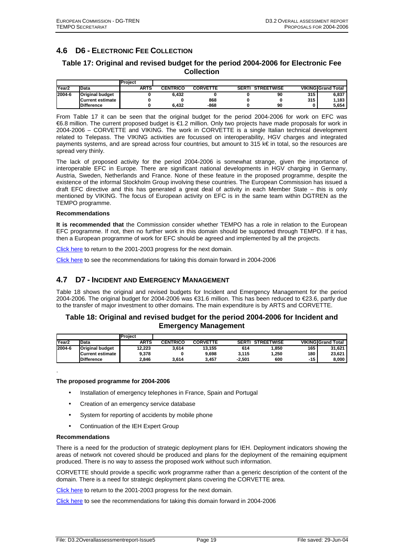## **4.6 D6 - ELECTRONIC FEE COLLECTION**

## **Table 17: Original and revised budget for the period 2004-2006 for Electronic Fee Collection**

|                   |                        | Project     |                 |                 |                         |     |                           |
|-------------------|------------------------|-------------|-----------------|-----------------|-------------------------|-----|---------------------------|
| Year <sub>2</sub> | <b>IData</b>           | <b>ARTS</b> | <b>CENTRICO</b> | <b>CORVETTE</b> | <b>SERTI STREETWISE</b> |     | <b>VIKING Grand Total</b> |
| 2004-6            | <b>Original budget</b> |             | 6.432           |                 | 90                      | 315 | 6,837                     |
|                   | Current estimate       |             |                 | 868             |                         | 315 | 1,183                     |
|                   | <b>Difference</b>      |             | 6.432           | -868            | 90                      |     | 5,654                     |

From Table 17 it can be seen that the original budget for the period 2004-2006 for work on EFC was €6.8 million. The current proposed budget is €1.2 million. Only two projects have made proposals for work in 2004-2006 – CORVETTE and VIKING. The work in CORVETTE is a single Italian technical development related to Telepass. The VIKING activities are focussed on interoperability, HGV charges and integrated payments systems, and are spread across four countries, but amount to 315 k€ in total, so the resources are spread very thinly.

The lack of proposed activity for the period 2004-2006 is somewhat strange, given the importance of interoperable EFC in Europe. There are significant national developments in HGV charging in Germany, Austria, Sweden, Netherlands and France. None of these feature in the proposed programme, despite the existence of the informal Stockholm Group involving these countries. The European Commission has issued a draft EFC directive and this has generated a great deal of activity in each Member State – this is only mentioned by VIKING. The focus of European activity on EFC is in the same team within DGTREN as the TEMPO programme.

#### **Recommendations**

**It is recommended that** the Commission consider whether TEMPO has a role in relation to the European EFC programme. If not, then no further work in this domain should be supported through TEMPO. If it has, then a European programme of work for EFC should be agreed and implemented by all the projects.

Click here to return to the 2001-2003 progress for the next domain.

Click here to see the recommendations for taking this domain forward in 2004-2006

## **4.7 D7 - INCIDENT AND EMERGENCY MANAGEMENT**

Table 18 shows the original and revised budgets for Incident and Emergency Management for the period 2004-2006. The original budget for 2004-2006 was €31.6 million. This has been reduced to €23.6, partly due to the transfer of major investment to other domains. The main expenditure is by ARTS and CORVETTE.

#### **Table 18: Original and revised budget for the period 2004-2006 for Incident and Emergency Management**

|                   |                        | Project |                 |                 |          |                   |       |                           |
|-------------------|------------------------|---------|-----------------|-----------------|----------|-------------------|-------|---------------------------|
| Year <sub>2</sub> | <b>Data</b>            | ARTS    | <b>CENTRICO</b> | <b>CORVETTE</b> | SERTI    | <b>STREETWISE</b> |       | <b>VIKING Grand Total</b> |
| 2004-6            | <b>Original budget</b> | 12.223  | 3.614           | 13.155          | 614      | .850              | 165   | 31.621                    |
|                   | Current estimate       | 9,378   |                 | 9.698           | 3.115    | 1.250             | 180   | 23.621                    |
|                   | <b>Difference</b>      | 2.846   | 3.614           | 3.457           | $-2.501$ | 600               | $-15$ | 8.000                     |

#### **The proposed programme for 2004-2006**

- Installation of emergency telephones in France, Spain and Portugal
- Creation of an emergency service database
- System for reporting of accidents by mobile phone
- Continuation of the IEH Expert Group

#### **Recommendations**

.

There is a need for the production of strategic deployment plans for IEH. Deployment indicators showing the areas of network not covered should be produced and plans for the deployment of the remaining equipment produced. There is no way to assess the proposed work without such information.

CORVETTE should provide a specific work programme rather than a generic description of the content of the domain. There is a need for strategic deployment plans covering the CORVETTE area.

Click here to return to the 2001-2003 progress for the next domain.

Click here to see the recommendations for taking this domain forward in 2004-2006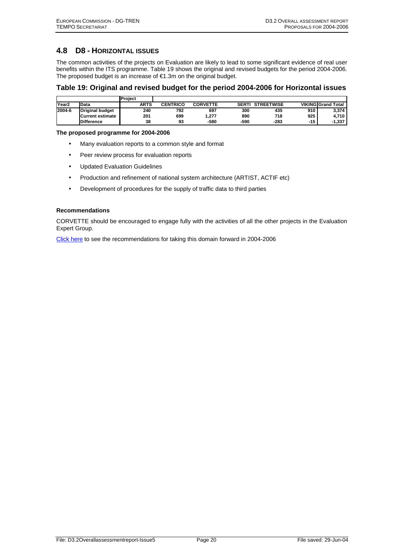## **4.8 D8 - HORIZONTAL ISSUES**

The common activities of the projects on Evaluation are likely to lead to some significant evidence of real user benefits within the ITS programme. Table 19 shows the original and revised budgets for the period 2004-2006. The proposed budget is an increase of €1.3m on the original budget.

#### **Table 19: Original and revised budget for the period 2004-2006 for Horizontal issues**

|                   |                        | <b>Project</b> |                 |                 |              |                   |       |                           |
|-------------------|------------------------|----------------|-----------------|-----------------|--------------|-------------------|-------|---------------------------|
| Year <sub>2</sub> | <b>Data</b>            | <b>ARTS</b>    | <b>CENTRICO</b> | <b>CORVETTE</b> | <b>SERTI</b> | <b>STREETWISE</b> |       | <b>VIKING Grand Total</b> |
| 2004-6            | <b>Original budget</b> | 240            | 792             | 697             | 300          | 435               | 910   | 3.374                     |
|                   | Current estimate       | 201            | 699             | . 277           | 890          | 718               | 925   | 4.710                     |
|                   | <b>Difference</b>      | 38             | 93              | -580            | -590         | -283              | $-15$ | $-1,337$                  |

**The proposed programme for 2004-2006** 

- Many evaluation reports to a common style and format
- Peer review process for evaluation reports
- Updated Evaluation Guidelines
- Production and refinement of national system architecture (ARTIST, ACTIF etc)
- Development of procedures for the supply of traffic data to third parties

#### **Recommendations**

CORVETTE should be encouraged to engage fully with the activities of all the other projects in the Evaluation Expert Group.

Click here to see the recommendations for taking this domain forward in 2004-2006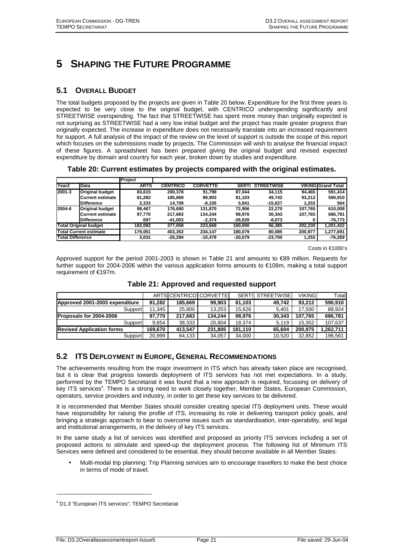## **5 SHAPING THE FUTURE PROGRAMME**

## **5.1 OVERALL BUDGET**

The total budgets proposed by the projects are given in Table 20 below. Expenditure for the first three years is expected to be very close to the original budget, with CENTRICO underspending significantly and STREETWISE overspending. The fact that STREETWISE has spent more money than originally expected is not surprising as STREETWISE had a very low initial budget and the project has made greater progress than originally expected. The increase in expenditure does not necessarily translate into an increased requirement for support. A full analysis of the impact of the review on the level of support is outside the scope of this report which focuses on the submissions made by projects. The Commission will wish to analyse the financial impact of these figures. A spreadsheet has been prepared giving the original budget and revised expected expenditure by domain and country for each year, broken down by studies and expenditure.

**Table 20: Current estimates by projects compared with the original estimates.** 

|                   |                              | Project     |                 |                 |              |                   |         |                           |
|-------------------|------------------------------|-------------|-----------------|-----------------|--------------|-------------------|---------|---------------------------|
| Year <sub>2</sub> | <b>Data</b>                  | <b>ARTS</b> | <b>CENTRICO</b> | <b>CORVETTE</b> | <b>SERTI</b> | <b>STREETWISE</b> |         | <b>VIKING Grand Total</b> |
| 2001-3            | <b>Original budget</b>       | 83.615      | 200.378         | 91.798          | 87.044       | 34.115            | 94,465  | 591,414                   |
|                   | <b>Current estimate</b>      | 81,282      | 185,669         | 99,903          | 81.103       | 49.742            | 93.212  | 590,910                   |
|                   | <b>Difference</b>            | 2.333       | 14.709          | $-8.105$        | 5.941        | $-15.627$         | 1,253   | 504                       |
| 2004-6            | <b>Original budget</b>       | 98.467      | 176.680         | 131.870         | 72.956       | 22.270            | 107.765 | 610.008                   |
|                   | <b>Current estimate</b>      | 97.770      | 217,683         | 134.244         | 98.976       | 30.343            | 107,765 | 686.781                   |
|                   | <b>Difference</b>            | 697         | $-41.003$       | $-2.374$        | $-26.020$    | $-8,073$          |         | -76,773                   |
|                   | <b>Total Original budget</b> | 182.082     | 377.058         | 223.668         | 160.000      | 56.385            | 202.230 | 1.201.422                 |
|                   | Total Current estimate       | 179.051     | 403.352         | 234.147         | 180.079      | 80.085            | 200.977 | 1,277,691                 |
| Total Difference  |                              | 3.031       | $-26.294$       | $-10.479$       | $-20.079$    | $-23.700$         | 1,253   | $-76,269$                 |

Costs in €1000's

Approved support for the period 2001-2003 is shown in Table 21 and amounts to €89 million. Requests for further support for 2004-2006 within the various application forms amounts to €108m, making a total support requirement of €197m.

|                                  |         |         | ARTSICENTRICOLCORVETTEL | SERTIL  | <b>STREETWISE</b> | <b>VIKING</b> | Total    |
|----------------------------------|---------|---------|-------------------------|---------|-------------------|---------------|----------|
| Approved 2001-2003 expenditure   | 81.282  | 185.669 | 99.903                  | 81.103  | 49.742            | 93.212        | 590.910  |
| Support                          | 11.345  | 25.800  | 13.253                  | 15.626  | 5.401             | 17.500        | 88.924   |
| <b>Proposals for 2004-2006</b>   | 97.770  | 217.683 | 134.244                 | 98.976  | 30.343            | 107.765       | 686.781  |
| Support                          | 9.654   | 38,333  | 20.804                  | 18.374  | 5.119             | 15.352        | 107.637  |
| <b>Revised Application forms</b> | 169.670 | 413.547 | 231.805                 | 181.110 | 65.604            | 200.975       | .262.711 |
| Support                          | 20.999  | 64,133  | 34,057                  | 34.000  | 10.520            | 32.852        | 196.561  |

**Table 21: Approved and requested support** 

## **5.2 ITS DEPLOYMENT IN EUROPE, GENERAL RECOMMENDATIONS**

The achievements resulting from the major investment in ITS which has already taken place are recognised, but it is clear that progress towards deployment of ITS services has not met expectations. In a study, performed by the TEMPO Secretariat it was found that a new approach is required, focussing on delivery of key ITS services<sup>4</sup>. There is a strong need to work closely together, Member States, European Commission, operators, service providers and industry, in order to get these key services to be delivered.

It is recommended that Member States should consider creating special ITS deployment units. These would have responsibility for raising the profile of ITS, increasing its role in delivering transport policy goals, and bringing a strategic approach to bear to overcome issues such as standardisation, inter-operability, and legal and institutional arrangements, in the delivery of key ITS services.

In the same study a list of services was identified and proposed as priority ITS services including a set of proposed actions to stimulate and speed-up the deployment process. The following list of Minimum ITS Services were defined and considered to be essential, they should become available in all Member States:

• Multi-modal trip planning: Trip Planning services aim to encourage travellers to make the best choice in terms of mode of travel.

l

<sup>4</sup> D1.3 "European ITS services", TEMPO Secretariat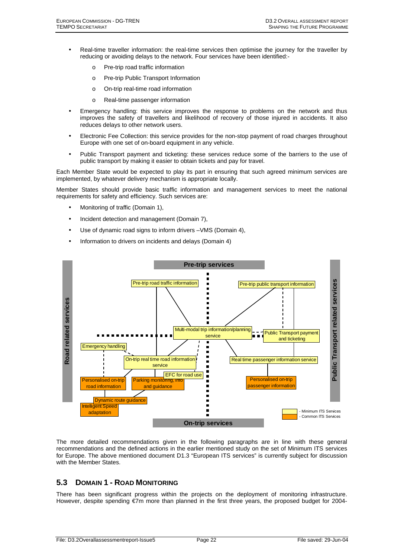- Real-time traveller information: the real-time services then optimise the journey for the traveller by reducing or avoiding delays to the network. Four services have been identified:
	- o Pre-trip road traffic information
	- o Pre-trip Public Transport Information
	- o On-trip real-time road information
	- o Real-time passenger information
- Emergency handling: this service improves the response to problems on the network and thus improves the safety of travellers and likelihood of recovery of those injured in accidents. It also reduces delays to other network users.
- Electronic Fee Collection: this service provides for the non-stop payment of road charges throughout Europe with one set of on-board equipment in any vehicle.
- Public Transport payment and ticketing: these services reduce some of the barriers to the use of public transport by making it easier to obtain tickets and pay for travel.

Each Member State would be expected to play its part in ensuring that such agreed minimum services are implemented, by whatever delivery mechanism is appropriate locally.

Member States should provide basic traffic information and management services to meet the national requirements for safety and efficiency. Such services are:

- Monitoring of traffic (Domain 1),
- Incident detection and management (Domain 7),
- Use of dynamic road signs to inform drivers VMS (Domain 4).
- Information to drivers on incidents and delays (Domain 4)



The more detailed recommendations given in the following paragraphs are in line with these general recommendations and the defined actions in the earlier mentioned study on the set of Minimum ITS services for Europe. The above mentioned document D1.3 "European ITS services" is currently subject for discussion with the Member States.

## **5.3 DOMAIN 1 - ROAD MONITORING**

There has been significant progress within the projects on the deployment of monitoring infrastructure. However, despite spending €7m more than planned in the first three years, the proposed budget for 2004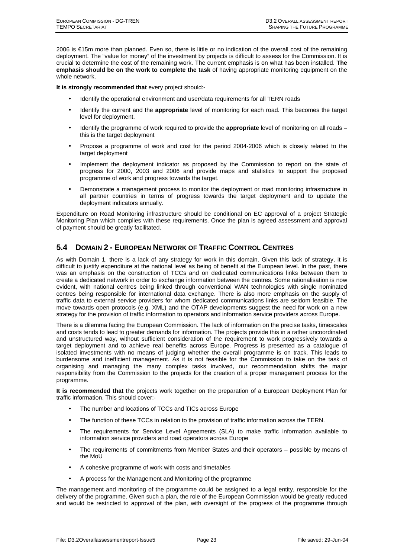2006 is €15m more than planned. Even so, there is little or no indication of the overall cost of the remaining deployment. The "value for money" of the investment by projects is difficult to assess for the Commission. It is crucial to determine the cost of the remaining work. The current emphasis is on what has been installed. **The emphasis should be on the work to complete the task** of having appropriate monitoring equipment on the whole network.

**It is strongly recommended that** every project should:-

- Identify the operational environment and user/data requirements for all TERN roads
- Identify the current and the **appropriate** level of monitoring for each road. This becomes the target level for deployment.
- Identify the programme of work required to provide the **appropriate** level of monitoring on all roads this is the target deployment
- Propose a programme of work and cost for the period 2004-2006 which is closely related to the target deployment
- Implement the deployment indicator as proposed by the Commission to report on the state of progress for 2000, 2003 and 2006 and provide maps and statistics to support the proposed programme of work and progress towards the target.
- Demonstrate a management process to monitor the deployment or road monitoring infrastructure in all partner countries in terms of progress towards the target deployment and to update the deployment indicators annually.

Expenditure on Road Monitoring infrastructure should be conditional on EC approval of a project Strategic Monitoring Plan which complies with these requirements. Once the plan is agreed assessment and approval of payment should be greatly facilitated.

## **5.4 DOMAIN 2 - EUROPEAN NETWORK OF TRAFFIC CONTROL CENTRES**

As with Domain 1, there is a lack of any strategy for work in this domain. Given this lack of strategy, it is difficult to justify expenditure at the national level as being of benefit at the European level. In the past, there was an emphasis on the construction of TCCs and on dedicated communications links between them to create a dedicated network in order to exchange information between the centres. Some rationalisation is now evident, with national centres being linked through conventional WAN technologies with single nominated centres being responsible for international data exchange. There is also more emphasis on the supply of traffic data to external service providers for whom dedicated communications links are seldom feasible. The move towards open protocols (e.g. XML) and the OTAP developments suggest the need for work on a new strategy for the provision of traffic information to operators and information service providers across Europe.

There is a dilemma facing the European Commission. The lack of information on the precise tasks, timescales and costs tends to lead to greater demands for information. The projects provide this in a rather uncoordinated and unstructured way, without sufficient consideration of the requirement to work progressively towards a target deployment and to achieve real benefits across Europe. Progress is presented as a catalogue of isolated investments with no means of judging whether the overall programme is on track. This leads to burdensome and inefficient management. As it is not feasible for the Commission to take on the task of organising and managing the many complex tasks involved, our recommendation shifts the major responsibility from the Commission to the projects for the creation of a proper management process for the programme.

**It is recommended that** the projects work together on the preparation of a European Deployment Plan for traffic information. This should cover:-

- The number and locations of TCCs and TICs across Europe
- The function of these TCCs in relation to the provision of traffic information across the TERN.
- The requirements for Service Level Agreements (SLA) to make traffic information available to information service providers and road operators across Europe
- The requirements of commitments from Member States and their operators possible by means of the MoU
- A cohesive programme of work with costs and timetables
- A process for the Management and Monitoring of the programme

The management and monitoring of the programme could be assigned to a legal entity, responsible for the delivery of the programme. Given such a plan, the role of the European Commission would be greatly reduced and would be restricted to approval of the plan, with oversight of the progress of the programme through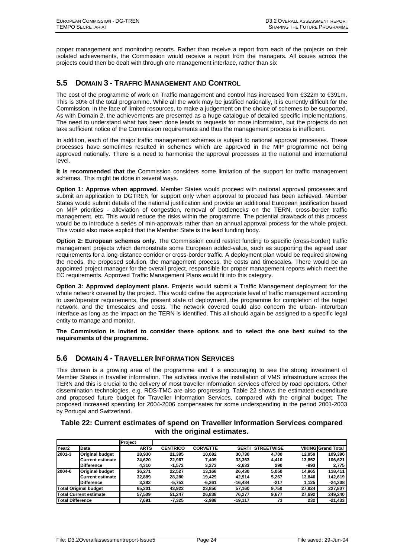proper management and monitoring reports. Rather than receive a report from each of the projects on their isolated achievements, the Commission would receive a report from the managers. All issues across the projects could then be dealt with through one management interface, rather than six

## **5.5 DOMAIN 3 - TRAFFIC MANAGEMENT AND CONTROL**

The cost of the programme of work on Traffic management and control has increased from €322m to €391m. This is 30% of the total programme. While all the work may be justified nationally, it is currently difficult for the Commission, in the face of limited resources, to make a judgement on the choice of schemes to be supported. As with Domain 2, the achievements are presented as a huge catalogue of detailed specific implementations. The need to understand what has been done leads to requests for more information, but the projects do not take sufficient notice of the Commission requirements and thus the management process is inefficient.

In addition, each of the major traffic management schemes is subject to national approval processes. These processes have sometimes resulted in schemes which are approved in the MIP programme not being approved nationally. There is a need to harmonise the approval processes at the national and international level.

**It is recommended that** the Commission considers some limitation of the support for traffic management schemes. This might be done in several ways.

**Option 1: Approve when approved**. Member States would proceed with national approval processes and submit an application to DGTREN for support only when approval to proceed has been achieved. Member States would submit details of the national justification and provide an additional European justification based on MIP priorities - alleviation of congestion, removal of bottlenecks on the TERN, cross-border traffic management, etc. This would reduce the risks within the programme. The potential drawback of this process would be to introduce a series of min-approvals rather than an annual approval process for the whole project. This would also make explicit that the Member State is the lead funding body.

**Option 2: European schemes only.** The Commission could restrict funding to specific (cross-border) traffic management projects which demonstrate some European added-value, such as supporting the agreed user requirements for a long-distance corridor or cross-border traffic. A deployment plan would be required showing the needs, the proposed solution, the management process, the costs and timescales. There would be an appointed project manager for the overall project, responsible for proper management reports which meet the EC requirements. Approved Traffic Management Plans would fit into this category.

**Option 3: Approved deployment plans.** Projects would submit a Traffic Management deployment for the whole network covered by the project. This would define the appropriate level of traffic management according to user/operator requirements, the present state of deployment, the programme for completion of the target network, and the timescales and costs. The network covered could also concern the urban- interurban interface as long as the impact on the TERN is identified. This all should again be assigned to a specific legal entity to manage and monitor.

**The Commission is invited to consider these options and to select the one best suited to the requirements of the programme.** 

## **5.6 DOMAIN 4 - TRAVELLER INFORMATION SERVICES**

This domain is a growing area of the programme and it is encouraging to see the strong investment of Member States in traveller information. The activities involve the installation of VMS infrastructure across the TERN and this is crucial to the delivery of most traveller information services offered by road operators. Other dissemination technologies, e.g. RDS-TMC are also progressing. Table 22 shows the estimated expenditure and proposed future budget for Traveller Information Services, compared with the original budget. The proposed increased spending for 2004-2006 compensates for some underspending in the period 2001-2003 by Portugal and Switzerland.

## **Table 22: Current estimates of spend on Traveller Information Services compared with the original estimates.**

|                         |                               | Project     |                 |                 |              |                   |        |                           |
|-------------------------|-------------------------------|-------------|-----------------|-----------------|--------------|-------------------|--------|---------------------------|
| Year <sub>2</sub>       | <b>Data</b>                   | <b>ARTS</b> | <b>CENTRICO</b> | <b>CORVETTE</b> | <b>SERTI</b> | <b>STREETWISE</b> |        | <b>VIKING Grand Total</b> |
| 2001-3                  | <b>Original budget</b>        | 28.930      | 21,395          | 10.682          | 30.730       | 4.700             | 12,959 | 109.396                   |
|                         | <b>Current estimate</b>       | 24,620      | 22,967          | 7.409           | 33,363       | 4.410             | 13,852 | 106,621                   |
|                         | <b>Difference</b>             | 4.310       | $-1,572$        | 3.273           | $-2,633$     | 290               | -893   | 2,775                     |
| 2004-6                  | <b>Original budget</b>        | 36.271      | 22.527          | 13.168          | 26.430       | 5.050             | 14.965 | 118.411                   |
|                         | <b>Current estimate</b>       | 32.889      | 28.280          | 19.429          | 42.914       | 5.267             | 13,840 | 142.619                   |
|                         | <b>IDifference</b>            | 3.382       | $-5,753$        | $-6.261$        | $-16.484$    | -217              | 1.125  | $-24,208$                 |
|                         | <b>Total Original budget</b>  | 65.201      | 43,922          | 23,850          | 57.160       | 9.750             | 27.924 | 227,807                   |
|                         | <b>Total Current estimate</b> | 57.509      | 51.247          | 26.838          | 76.277       | 9.677             | 27,692 | 249,240                   |
| <b>Total Difference</b> |                               | 7.691       | $-7,325$        | $-2.988$        | -19.117      | 73                | 232    | $-21,433$                 |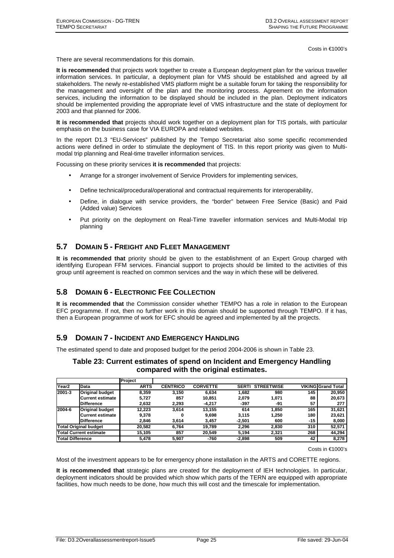Costs in €1000's

There are several recommendations for this domain.

**It is recommended** that projects work together to create a European deployment plan for the various traveller information services. In particular, a deployment plan for VMS should be established and agreed by all stakeholders. The newly re-established VMS platform might be a suitable forum for taking the responsibility for the management and oversight of the plan and the monitoring process. Agreement on the information services, including the information to be displayed should be included in the plan. Deployment indicators should be implemented providing the appropriate level of VMS infrastructure and the state of deployment for 2003 and that planned for 2006.

**It is recommended that** projects should work together on a deployment plan for TIS portals, with particular emphasis on the business case for VIA EUROPA and related websites.

In the report D1.3 "EU-Services" published by the Tempo Secretariat also some specific recommended actions were defined in order to stimulate the deployment of TIS. In this report priority was given to Multimodal trip planning and Real-time traveller information services.

Focussing on these priority services **it is recommended** that projects:

- Arrange for a stronger involvement of Service Providers for implementing services,
- Define technical/procedural/operational and contractual requirements for interoperability,
- Define, in dialogue with service providers, the "border" between Free Service (Basic) and Paid (Added value) Services
- Put priority on the deployment on Real-Time traveller information services and Multi-Modal trip planning

## **5.7 DOMAIN 5 - FREIGHT AND FLEET MANAGEMENT**

**It is recommended that** priority should be given to the establishment of an Expert Group charged with identifying European FFM services. Financial support to projects should be limited to the activities of this group until agreement is reached on common services and the way in which these will be delivered.

## **5.8 DOMAIN 6 - ELECTRONIC FEE COLLECTION**

**It is recommended that** the Commission consider whether TEMPO has a role in relation to the European EFC programme. If not, then no further work in this domain should be supported through TEMPO. If it has, then a European programme of work for EFC should be agreed and implemented by all the projects.

## **5.9 DOMAIN 7 - INCIDENT AND EMERGENCY HANDLING**

The estimated spend to date and proposed budget for the period 2004-2006 is shown in Table 23.

|         | Table 25. Current estimates or spend on incluent and Emergency Handing<br>compared with the original estimates. |
|---------|-----------------------------------------------------------------------------------------------------------------|
| Project |                                                                                                                 |

**Table 23: Current estimates of spend on Incident and Emergency Handling** 

|                         |                               | ILIANCI     |                 |                 |              |                   |     |                           |
|-------------------------|-------------------------------|-------------|-----------------|-----------------|--------------|-------------------|-----|---------------------------|
| Year <sub>2</sub>       | Data                          | <b>ARTS</b> | <b>CENTRICO</b> | <b>CORVETTE</b> | <b>SERTI</b> | <b>STREETWISE</b> |     | <b>VIKING Grand Total</b> |
| 2001-3                  | <b>Original budget</b>        | 8.359       | 3,150           | 6.634           | 1.682        | 980               | 145 | 20,950                    |
|                         | Current estimate              | 5,727       | 857             | 10.851          | 2.079        | 1,071             | 88  | 20,673                    |
|                         | <b>IDifference</b>            | 2.632       | 2.293           | $-4.217$        | -397         | -91               | 57  | 277                       |
| 2004-6                  | <b>Original budget</b>        | 12.223      | 3,614           | 13.155          | 614          | 1,850             | 165 | 31,621                    |
|                         | Current estimate              | 9.378       | 0               | 9.698           | 3.115        | 1.250             | 180 | 23,621                    |
|                         | <b>Difference</b>             | 2.846       | 3.614           | 3.457           | $-2.501$     | 600               | -15 | 8,000                     |
|                         | Total Original budget         | 20.582      | 6.764           | 19.789          | 2.296        | 2.830             | 310 | 52,571                    |
|                         | <b>Total Current estimate</b> | 15.105      | 857             | 20.549          | 5.194        | 2.321             | 268 | 44,294                    |
| <b>Total Difference</b> |                               | 5.478       | 5,907           | -760            | $-2,898$     | 509               | 42  | 8,278                     |

Costs in €1000's

Most of the investment appears to be for emergency phone installation in the ARTS and CORETTE regions.

**It is recommended that** strategic plans are created for the deployment of IEH technologies. In particular, deployment indicators should be provided which show which parts of the TERN are equipped with appropriate facilities, how much needs to be done, how much this will cost and the timescale for implementation.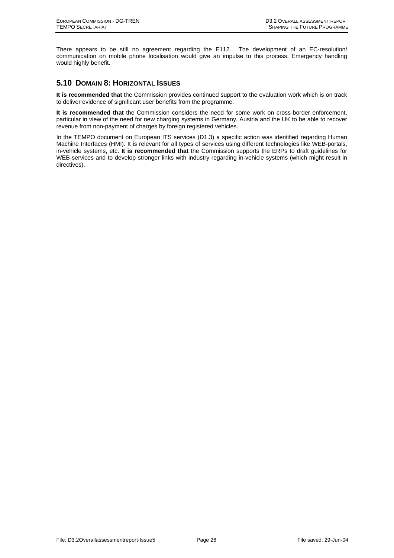There appears to be still no agreement regarding the E112. The development of an EC-resolution/ communication on mobile phone localisation would give an impulse to this process. Emergency handling would highly benefit.

## **5.10 DOMAIN 8: HORIZONTAL ISSUES**

**It is recommended that** the Commission provides continued support to the evaluation work which is on track to deliver evidence of significant user benefits from the programme.

**It is recommended that** the Commission considers the need for some work on cross-border enforcement, particular in view of the need for new charging systems in Germany, Austria and the UK to be able to recover revenue from non-payment of charges by foreign registered vehicles.

In the TEMPO document on European ITS services (D1.3) a specific action was identified regarding Human Machine Interfaces (HMI). It is relevant for all types of services using different technologies like WEB-portals, in-vehicle systems, etc. **It is recommended that** the Commission supports the ERPs to draft guidelines for WEB-services and to develop stronger links with industry regarding in-vehicle systems (which might result in directives).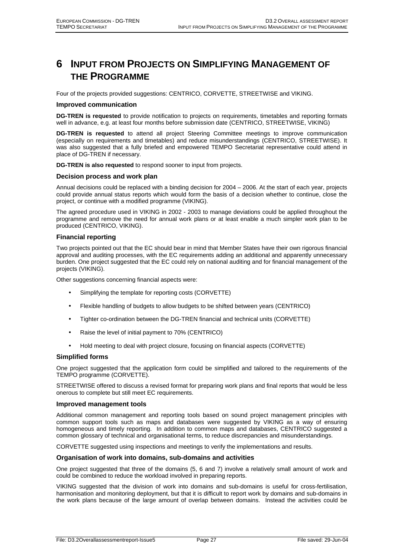## **6 INPUT FROM PROJECTS ON SIMPLIFYING MANAGEMENT OF THE PROGRAMME**

Four of the projects provided suggestions: CENTRICO, CORVETTE, STREETWISE and VIKING.

#### **Improved communication**

**DG-TREN is requested** to provide notification to projects on requirements, timetables and reporting formats well in advance, e.g. at least four months before submission date (CENTRICO, STREETWISE, VIKING)

**DG-TREN is requested** to attend all project Steering Committee meetings to improve communication (especially on requirements and timetables) and reduce misunderstandings (CENTRICO, STREETWISE). It was also suggested that a fully briefed and empowered TEMPO Secretariat representative could attend in place of DG-TREN if necessary.

**DG-TREN is also requested** to respond sooner to input from projects.

#### **Decision process and work plan**

Annual decisions could be replaced with a binding decision for 2004 – 2006. At the start of each year, projects could provide annual status reports which would form the basis of a decision whether to continue, close the project, or continue with a modified programme (VIKING).

The agreed procedure used in VIKING in 2002 - 2003 to manage deviations could be applied throughout the programme and remove the need for annual work plans or at least enable a much simpler work plan to be produced (CENTRICO, VIKING).

#### **Financial reporting**

Two projects pointed out that the EC should bear in mind that Member States have their own rigorous financial approval and auditing processes, with the EC requirements adding an additional and apparently unnecessary burden. One project suggested that the EC could rely on national auditing and for financial management of the projects (VIKING).

Other suggestions concerning financial aspects were:

- Simplifying the template for reporting costs (CORVETTE)
- Flexible handling of budgets to allow budgets to be shifted between years (CENTRICO)
- Tighter co-ordination between the DG-TREN financial and technical units (CORVETTE)
- Raise the level of initial payment to 70% (CENTRICO)
- Hold meeting to deal with project closure, focusing on financial aspects (CORVETTE)

#### **Simplified forms**

One project suggested that the application form could be simplified and tailored to the requirements of the TEMPO programme (CORVETTE).

STREETWISE offered to discuss a revised format for preparing work plans and final reports that would be less onerous to complete but still meet EC requirements.

#### **Improved management tools**

Additional common management and reporting tools based on sound project management principles with common support tools such as maps and databases were suggested by VIKING as a way of ensuring homogeneous and timely reporting. In addition to common maps and databases, CENTRICO suggested a common glossary of technical and organisational terms, to reduce discrepancies and misunderstandings.

CORVETTE suggested using inspections and meetings to verify the implementations and results.

#### **Organisation of work into domains, sub-domains and activities**

One project suggested that three of the domains (5, 6 and 7) involve a relatively small amount of work and could be combined to reduce the workload involved in preparing reports.

VIKING suggested that the division of work into domains and sub-domains is useful for cross-fertilisation, harmonisation and monitoring deployment, but that it is difficult to report work by domains and sub-domains in the work plans because of the large amount of overlap between domains. Instead the activities could be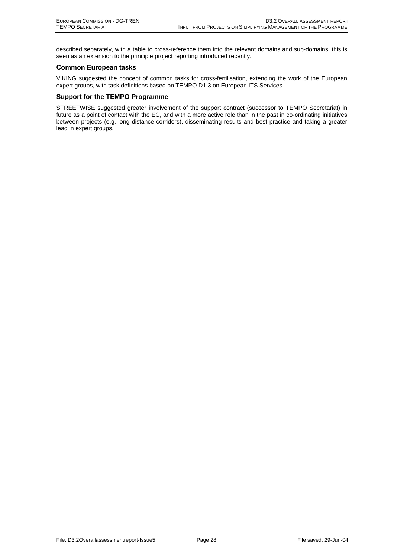described separately, with a table to cross-reference them into the relevant domains and sub-domains; this is seen as an extension to the principle project reporting introduced recently.

#### **Common European tasks**

VIKING suggested the concept of common tasks for cross-fertilisation, extending the work of the European expert groups, with task definitions based on TEMPO D1.3 on European ITS Services.

#### **Support for the TEMPO Programme**

STREETWISE suggested greater involvement of the support contract (successor to TEMPO Secretariat) in future as a point of contact with the EC, and with a more active role than in the past in co-ordinating initiatives between projects (e.g. long distance corridors), disseminating results and best practice and taking a greater lead in expert groups.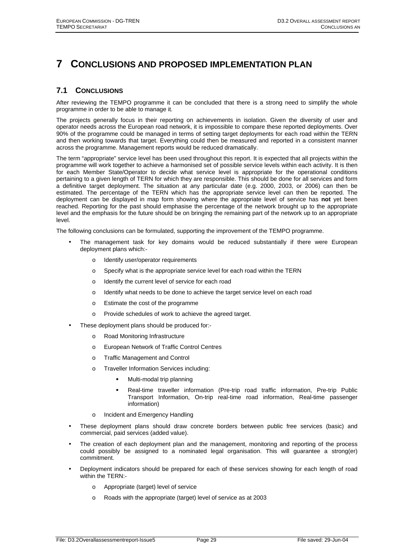## **7 CONCLUSIONS AND PROPOSED IMPLEMENTATION PLAN**

## **7.1 CONCLUSIONS**

After reviewing the TEMPO programme it can be concluded that there is a strong need to simplify the whole programme in order to be able to manage it.

The projects generally focus in their reporting on achievements in isolation. Given the diversity of user and operator needs across the European road network, it is impossible to compare these reported deployments. Over 90% of the programme could be managed in terms of setting target deployments for each road within the TERN and then working towards that target. Everything could then be measured and reported in a consistent manner across the programme. Management reports would be reduced dramatically.

The term "appropriate" service level has been used throughout this report. It is expected that all projects within the programme will work together to achieve a harmonised set of possible service levels within each activity. It is then for each Member State/Operator to decide what service level is appropriate for the operational conditions pertaining to a given length of TERN for which they are responsible. This should be done for all services and form a definitive target deployment. The situation at any particular date (e.g. 2000, 2003, or 2006) can then be estimated. The percentage of the TERN which has the appropriate service level can then be reported. The deployment can be displayed in map form showing where the appropriate level of service has **not** yet been reached. Reporting for the past should emphasise the percentage of the network brought up to the appropriate level and the emphasis for the future should be on bringing the remaining part of the network up to an appropriate level.

The following conclusions can be formulated, supporting the improvement of the TEMPO programme.

- The management task for key domains would be reduced substantially if there were European deployment plans which:
	- o Identify user/operator requirements
	- o Specify what is the appropriate service level for each road within the TERN
	- o Identify the current level of service for each road
	- o Identify what needs to be done to achieve the target service level on each road
	- o Estimate the cost of the programme
	- o Provide schedules of work to achieve the agreed target.
- These deployment plans should be produced for:
	- o Road Monitoring Infrastructure
	- o European Network of Traffic Control Centres
	- o Traffic Management and Control
	- o Traveller Information Services including:
		- Multi-modal trip planning
		- Real-time traveller information (Pre-trip road traffic information, Pre-trip Public Transport Information, On-trip real-time road information, Real-time passenger information)
	- o Incident and Emergency Handling
- These deployment plans should draw concrete borders between public free services (basic) and commercial, paid services (added value).
- The creation of each deployment plan and the management, monitoring and reporting of the process could possibly be assigned to a nominated legal organisation. This will guarantee a strong(er) commitment.
- Deployment indicators should be prepared for each of these services showing for each length of road within the TERN:
	- o Appropriate (target) level of service
	- o Roads with the appropriate (target) level of service as at 2003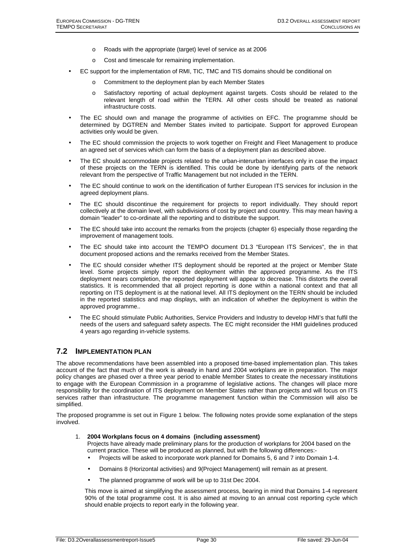- o Roads with the appropriate (target) level of service as at 2006
- o Cost and timescale for remaining implementation.
- EC support for the implementation of RMI, TIC, TMC and TIS domains should be conditional on
	- o Commitment to the deployment plan by each Member States
	- o Satisfactory reporting of actual deployment against targets. Costs should be related to the relevant length of road within the TERN. All other costs should be treated as national infrastructure costs.
- The EC should own and manage the programme of activities on EFC. The programme should be determined by DGTREN and Member States invited to participate. Support for approved European activities only would be given.
- The EC should commission the projects to work together on Freight and Fleet Management to produce an agreed set of services which can form the basis of a deployment plan as described above.
- The EC should accommodate projects related to the urban-interurban interfaces only in case the impact of these projects on the TERN is identified. This could be done by identifying parts of the network relevant from the perspective of Traffic Management but not included in the TERN.
- The EC should continue to work on the identification of further European ITS services for inclusion in the agreed deployment plans.
- The EC should discontinue the requirement for projects to report individually. They should report collectively at the domain level, with subdivisions of cost by project and country. This may mean having a domain "leader" to co-ordinate all the reporting and to distribute the support.
- The EC should take into account the remarks from the projects (chapter 6) especially those regarding the improvement of management tools.
- The EC should take into account the TEMPO document D1.3 "European ITS Services", the in that document proposed actions and the remarks received from the Member States.
- The EC should consider whether ITS deployment should be reported at the project or Member State level. Some projects simply report the deployment within the approved programme. As the ITS deployment nears completion, the reported deployment will appear to decrease. This distorts the overall statistics. It is recommended that all project reporting is done within a national context and that all reporting on ITS deployment is at the national level. All ITS deployment on the TERN should be included in the reported statistics and map displays, with an indication of whether the deployment is within the approved programme..
- The EC should stimulate Public Authorities, Service Providers and Industry to develop HMI's that fulfil the needs of the users and safeguard safety aspects. The EC might reconsider the HMI guidelines produced 4 years ago regarding in-vehicle systems.

## **7.2 IMPLEMENTATION PLAN**

The above recommendations have been assembled into a proposed time-based implementation plan. This takes account of the fact that much of the work is already in hand and 2004 workplans are in preparation. The major policy changes are phased over a three year period to enable Member States to create the necessary institutions to engage with the European Commission in a programme of legislative actions. The changes will place more responsibility for the coordination of ITS deployment on Member States rather than projects and will focus on ITS services rather than infrastructure. The programme management function within the Commission will also be simplified.

The proposed programme is set out in Figure 1 below. The following notes provide some explanation of the steps involved.

#### 1. **2004 Workplans focus on 4 domains (including assessment)**

Projects have already made preliminary plans for the production of workplans for 2004 based on the current practice. These will be produced as planned, but with the following differences:-

- Projects will be asked to incorporate work planned for Domains 5, 6 and 7 into Domain 1-4.
- Domains 8 (Horizontal activities) and 9(Project Management) will remain as at present.
- The planned programme of work will be up to 31st Dec 2004.

This move is aimed at simplifying the assessment process, bearing in mind that Domains 1-4 represent 90% of the total programme cost. It is also aimed at moving to an annual cost reporting cycle which should enable projects to report early in the following year.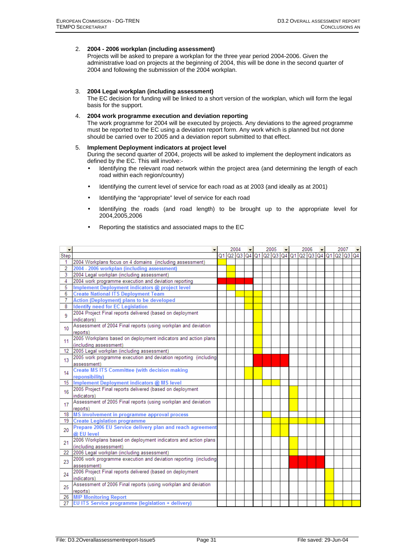#### 2. **2004 - 2006 workplan (including assessment)**

Projects will be asked to prepare a workplan for the three year period 2004-2006. Given the administrative load on projects at the beginning of 2004, this will be done in the second quarter of 2004 and following the submission of the 2004 workplan.

#### 3. **2004 Legal workplan (including assessment)**

The EC decision for funding will be linked to a short version of the workplan, which will form the legal basis for the support.

#### 4. **2004 work programme execution and deviation reporting**

The work programme for 2004 will be executed by projects. Any deviations to the agreed programme must be reported to the EC using a deviation report form. Any work which is planned but not done should be carried over to 2005 and a deviation report submitted to that effect.

#### 5. **Implement Deployment indicators at project level**

During the second quarter of 2004, projects will be asked to implement the deployment indicators as defined by the EC. This will involve:-

- Identifying the relevant road network within the project area (and determining the length of each road within each region/country)
- Identifying the current level of service for each road as at 2003 (and ideally as at 2001)
- Identifying the "appropriate" level of service for each road
- Identifying the roads (and road length) to be brought up to the appropriate level for 2004,2005,2006
- Reporting the statistics and associated maps to the EC

|                |                                                                  | 2004 |  | 2005 |  |  | 2006 |                                                                | 2007 |  |
|----------------|------------------------------------------------------------------|------|--|------|--|--|------|----------------------------------------------------------------|------|--|
| Step           |                                                                  |      |  |      |  |  |      | Q1  Q2  Q3  Q4  Q1  Q2  Q3  Q4  Q1  Q2  Q3  Q4  Q1  Q2  Q3  Q4 |      |  |
| 1.             | 2004 Workplans focus on 4 domains (including assessment)         |      |  |      |  |  |      |                                                                |      |  |
| $\overline{2}$ | 2004 - 2006 workplan (including assessment)                      |      |  |      |  |  |      |                                                                |      |  |
| 3              | 2004 Legal workplan (including assessment)                       |      |  |      |  |  |      |                                                                |      |  |
| 4              | 2004 work programme execution and deviation reporting            |      |  |      |  |  |      |                                                                |      |  |
| 5              | Implement Deployment indicators @ project level                  |      |  |      |  |  |      |                                                                |      |  |
| 6              | <b>Create National ITS Deployment Team</b>                       |      |  |      |  |  |      |                                                                |      |  |
| 7              | <b>Action (Deployment) plans to be developed</b>                 |      |  |      |  |  |      |                                                                |      |  |
| 8              | <b>Identify need for EC Legislation</b>                          |      |  |      |  |  |      |                                                                |      |  |
| 9              | 2004 Project Final reports delivered (based on deployment        |      |  |      |  |  |      |                                                                |      |  |
|                | indicators)                                                      |      |  |      |  |  |      |                                                                |      |  |
| 10             | Assessment of 2004 Final reports (using workplan and deviation   |      |  |      |  |  |      |                                                                |      |  |
|                | reports)                                                         |      |  |      |  |  |      |                                                                |      |  |
| 11             | 2005 Workplans based on deployment indicators and action plans   |      |  |      |  |  |      |                                                                |      |  |
|                | (including assessment)                                           |      |  |      |  |  |      |                                                                |      |  |
| 12             | 2005 Legal workplan (including assessment)                       |      |  |      |  |  |      |                                                                |      |  |
| 13             | 2005 work programme execution and deviation reporting (including |      |  |      |  |  |      |                                                                |      |  |
|                | assessment)                                                      |      |  |      |  |  |      |                                                                |      |  |
| 14             | <b>Create MS ITS Committee (with decision making</b>             |      |  |      |  |  |      |                                                                |      |  |
|                | reponsibility)                                                   |      |  |      |  |  |      |                                                                |      |  |
| 15             | Implement Deployment indicators @ MS level                       |      |  |      |  |  |      |                                                                |      |  |
| 16             | 2005 Project Final reports delivered (based on deployment        |      |  |      |  |  |      |                                                                |      |  |
|                | indicators)                                                      |      |  |      |  |  |      |                                                                |      |  |
| 17             | Assessment of 2005 Final reports (using workplan and deviation   |      |  |      |  |  |      |                                                                |      |  |
|                | reports)                                                         |      |  |      |  |  |      |                                                                |      |  |
| 18             | MS involvement in programme approval process                     |      |  |      |  |  |      |                                                                |      |  |
| 19             | <b>Create Legislation programme</b>                              |      |  |      |  |  |      |                                                                |      |  |
| 20             | Prepare 2006 EU Service delivery plan and reach agreement        |      |  |      |  |  |      |                                                                |      |  |
|                | @ EU level                                                       |      |  |      |  |  |      |                                                                |      |  |
| 21             | 2006 Workplans based on deployment indicators and action plans   |      |  |      |  |  |      |                                                                |      |  |
|                | (including assessment)                                           |      |  |      |  |  |      |                                                                |      |  |
| 22             | 2006 Legal workplan (including assessment)                       |      |  |      |  |  |      |                                                                |      |  |
| 23             | 2006 work programme execution and deviation reporting (including |      |  |      |  |  |      |                                                                |      |  |
|                | assessment)                                                      |      |  |      |  |  |      |                                                                |      |  |
| 24             | 2006 Project Final reports delivered (based on deployment        |      |  |      |  |  |      |                                                                |      |  |
|                | indicators)                                                      |      |  |      |  |  |      |                                                                |      |  |
| 25             | Assessment of 2006 Final reports (using workplan and deviation   |      |  |      |  |  |      |                                                                |      |  |
|                | reports)                                                         |      |  |      |  |  |      |                                                                |      |  |
| 26.            | <b>MIP Monitoring Report</b>                                     |      |  |      |  |  |      |                                                                |      |  |
| 27             | EU ITS Service programme (legislation + delivery)                |      |  |      |  |  |      |                                                                |      |  |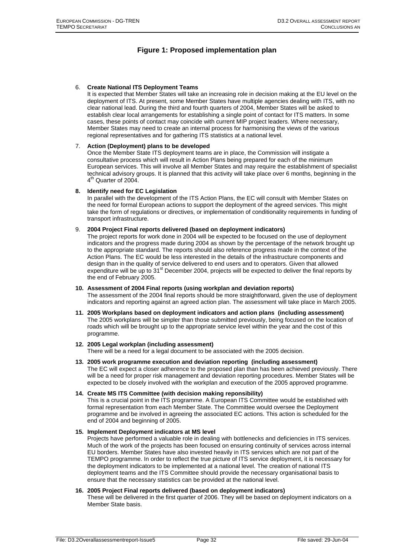## **Figure 1: Proposed implementation plan**

#### 6. **Create National ITS Deployment Teams**

It is expected that Member States will take an increasing role in decision making at the EU level on the deployment of ITS. At present, some Member States have multiple agencies dealing with ITS, with no clear national lead. During the third and fourth quarters of 2004, Member States will be asked to establish clear local arrangements for establishing a single point of contact for ITS matters. In some cases, these points of contact may coincide with current MIP project leaders. Where necessary, Member States may need to create an internal process for harmonising the views of the various regional representatives and for gathering ITS statistics at a national level.

#### 7. **Action (Deployment) plans to be developed**

Once the Member State ITS deployment teams are in place, the Commission will instigate a consultative process which will result in Action Plans being prepared for each of the minimum European services. This will involve all Member States and may require the establishment of specialist technical advisory groups. It is planned that this activity will take place over 6 months, beginning in the 4<sup>th</sup> Quarter of 2004.

#### **8. Identify need for EC Legislation**

In parallel with the development of the ITS Action Plans, the EC will consult with Member States on the need for formal European actions to support the deployment of the agreed services. This might take the form of regulations or directives, or implementation of conditionality requirements in funding of transport infrastructure.

#### 9. **2004 Project Final reports delivered (based on deployment indicators)**

The project reports for work done in 2004 will be expected to be focused on the use of deployment indicators and the progress made during 2004 as shown by the percentage of the network brought up to the appropriate standard. The reports should also reference progress made in the context of the Action Plans. The EC would be less interested in the details of the infrastructure components and design than in the quality of service delivered to end users and to operators. Given that allowed expenditure will be up to 31<sup>st</sup> December 2004, projects will be expected to deliver the final reports by the end of February 2005.

#### **10. Assessment of 2004 Final reports (using workplan and deviation reports)**

The assessment of the 2004 final reports should be more straightforward, given the use of deployment indicators and reporting against an agreed action plan. The assessment will take place in March 2005.

**11. 2005 Workplans based on deployment indicators and action plans (including assessment)**  The 2005 workplans will be simpler than those submitted previously, being focused on the location of roads which will be brought up to the appropriate service level within the year and the cost of this programme.

#### **12. 2005 Legal workplan (including assessment)**

There will be a need for a legal document to be associated with the 2005 decision.

**13. 2005 work programme execution and deviation reporting (including assessment)**  The EC will expect a closer adherence to the proposed plan than has been achieved previously. There will be a need for proper risk management and deviation reporting procedures. Member States will be expected to be closely involved with the workplan and execution of the 2005 approved programme.

#### **14. Create MS ITS Committee (with decision making reponsibility)**

This is a crucial point in the ITS programme. A European ITS Committee would be established with formal representation from each Member State. The Committee would oversee the Deployment programme and be involved in agreeing the associated EC actions. This action is scheduled for the end of 2004 and beginning of 2005.

#### **15. Implement Deployment indicators at MS level**

Projects have performed a valuable role in dealing with bottlenecks and deficiencies in ITS services. Much of the work of the projects has been focused on ensuring continuity of services across internal EU borders. Member States have also invested heavily in ITS services which are not part of the TEMPO programme. In order to reflect the true picture of ITS service deployment, it is necessary for the deployment indicators to be implemented at a national level. The creation of national ITS deployment teams and the ITS Committee should provide the necessary organisational basis to ensure that the necessary statistics can be provided at the national level.

#### **16. 2005 Project Final reports delivered (based on deployment indicators)**

These will be delivered in the first quarter of 2006. They will be based on deployment indicators on a Member State basis.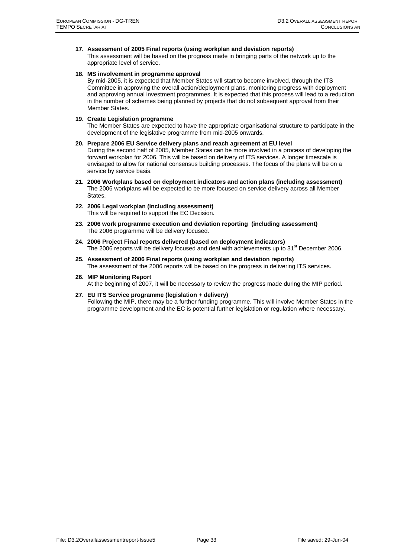**17. Assessment of 2005 Final reports (using workplan and deviation reports)** 

This assessment will be based on the progress made in bringing parts of the network up to the appropriate level of service.

#### **18. MS involvement in programme approval**

By mid-2005, it is expected that Member States will start to become involved, through the ITS Committee in approving the overall action/deployment plans, monitoring progress with deployment and approving annual investment programmes. It is expected that this process will lead to a reduction in the number of schemes being planned by projects that do not subsequent approval from their Member States.

#### **19. Create Legislation programme**

The Member States are expected to have the appropriate organisational structure to participate in the development of the legislative programme from mid-2005 onwards.

#### **20. Prepare 2006 EU Service delivery plans and reach agreement at EU level**

During the second half of 2005, Member States can be more involved in a process of developing the forward workplan for 2006. This will be based on delivery of ITS services. A longer timescale is envisaged to allow for national consensus building processes. The focus of the plans will be on a service by service basis.

- **21. 2006 Workplans based on deployment indicators and action plans (including assessment)**  The 2006 workplans will be expected to be more focused on service delivery across all Member States.
- **22. 2006 Legal workplan (including assessment)**  This will be required to support the EC Decision.
- **23. 2006 work programme execution and deviation reporting (including assessment)**  The 2006 programme will be delivery focused.
- **24. 2006 Project Final reports delivered (based on deployment indicators)**  The 2006 reports will be delivery focused and deal with achievements up to  $31<sup>st</sup>$  December 2006.
- **25. Assessment of 2006 Final reports (using workplan and deviation reports)**  The assessment of the 2006 reports will be based on the progress in delivering ITS services.
- **26. MIP Monitoring Report**  At the beginning of 2007, it will be necessary to review the progress made during the MIP period.
- **27. EU ITS Service programme (legislation + delivery)**  Following the MIP, there may be a further funding programme. This will involve Member States in the programme development and the EC is potential further legislation or regulation where necessary.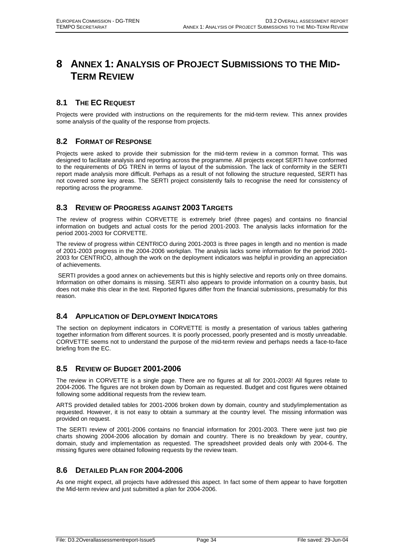## **8 ANNEX 1: ANALYSIS OF PROJECT SUBMISSIONS TO THE MID-TERM REVIEW**

## **8.1 THE EC REQUEST**

Projects were provided with instructions on the requirements for the mid-term review. This annex provides some analysis of the quality of the response from projects.

## **8.2 FORMAT OF RESPONSE**

Projects were asked to provide their submission for the mid-term review in a common format. This was designed to facilitate analysis and reporting across the programme. All projects except SERTI have conformed to the requirements of DG TREN in terms of layout of the submission. The lack of conformity in the SERTI report made analysis more difficult. Perhaps as a result of not following the structure requested, SERTI has not covered some key areas. The SERTI project consistently fails to recognise the need for consistency of reporting across the programme.

## **8.3 REVIEW OF PROGRESS AGAINST 2003 TARGETS**

The review of progress within CORVETTE is extremely brief (three pages) and contains no financial information on budgets and actual costs for the period 2001-2003. The analysis lacks information for the period 2001-2003 for CORVETTE.

The review of progress within CENTRICO during 2001-2003 is three pages in length and no mention is made of 2001-2003 progress in the 2004-2006 workplan. The analysis lacks some information for the period 2001- 2003 for CENTRICO, although the work on the deployment indicators was helpful in providing an appreciation of achievements.

 SERTI provides a good annex on achievements but this is highly selective and reports only on three domains. Information on other domains is missing. SERTI also appears to provide information on a country basis, but does not make this clear in the text. Reported figures differ from the financial submissions, presumably for this reason.

## **8.4 APPLICATION OF DEPLOYMENT INDICATORS**

The section on deployment indicators in CORVETTE is mostly a presentation of various tables gathering together information from different sources. It is poorly processed, poorly presented and is mostly unreadable. CORVETTE seems not to understand the purpose of the mid-term review and perhaps needs a face-to-face briefing from the EC.

## **8.5 REVIEW OF BUDGET 2001-2006**

The review in CORVETTE is a single page. There are no figures at all for 2001-2003! All figures relate to 2004-2006. The figures are not broken down by Domain as requested. Budget and cost figures were obtained following some additional requests from the review team.

ARTS provided detailed tables for 2001-2006 broken down by domain, country and study/implementation as requested. However, it is not easy to obtain a summary at the country level. The missing information was provided on request.

The SERTI review of 2001-2006 contains no financial information for 2001-2003. There were just two pie charts showing 2004-2006 allocation by domain and country. There is no breakdown by year, country, domain, study and implementation as requested. The spreadsheet provided deals only with 2004-6. The missing figures were obtained following requests by the review team.

## **8.6 DETAILED PLAN FOR 2004-2006**

As one might expect, all projects have addressed this aspect. In fact some of them appear to have forgotten the Mid-term review and just submitted a plan for 2004-2006.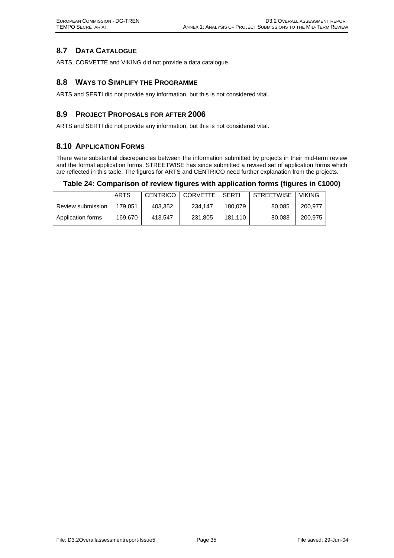## **8.7 DATA CATALOGUE**

ARTS, CORVETTE and VIKING did not provide a data catalogue.

## **8.8 WAYS TO SIMPLIFY THE PROGRAMME**

ARTS and SERTI did not provide any information, but this is not considered vital.

## **8.9 PROJECT PROPOSALS FOR AFTER 2006**

ARTS and SERTI did not provide any information, but this is not considered vital.

## **8.10 APPLICATION FORMS**

There were substantial discrepancies between the information submitted by projects in their mid-term review and the formal application forms. STREETWISE has since submitted a revised set of application forms which are reflected in this table. The figures for ARTS and CENTRICO need further explanation from the projects.

#### **Table 24: Comparison of review figures with application forms (figures in €1000)**

|                   | ARTS    |         | CENTRICO   CORVETTE   SERTI |         | I STREETWISE | <b>VIKING</b> |
|-------------------|---------|---------|-----------------------------|---------|--------------|---------------|
| Review submission | 179.051 | 403,352 | 234.147                     | 180.079 | 80.085       | 200.977       |
| Application forms | 169.670 | 413.547 | 231,805                     | 181.110 | 80.083       | 200.975       |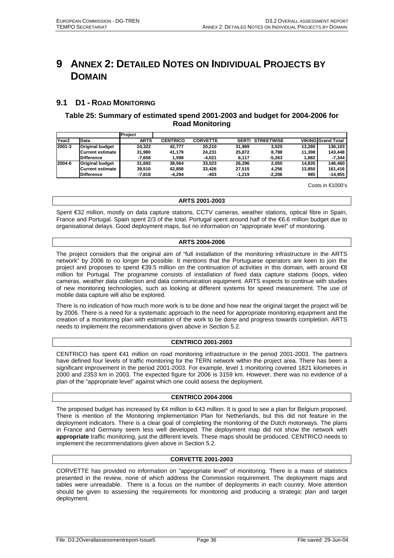## **9 ANNEX 2: DETAILED NOTES ON INDIVIDUAL PROJECTS BY DOMAIN**

## **9.1 D1 - ROAD MONITORING**

## **Table 25: Summary of estimated spend 2001-2003 and budget for 2004-2006 for Road Monitoring**

|                   |                        | <b>Project</b> |                 |                 |              |                   |        |                           |
|-------------------|------------------------|----------------|-----------------|-----------------|--------------|-------------------|--------|---------------------------|
| Year <sub>2</sub> | Data                   | <b>ARTS</b>    | <b>CENTRICO</b> | <b>CORVETTE</b> | <b>SERTI</b> | <b>STREETWISE</b> |        | <b>VIKING Grand Total</b> |
| 2001-3            | <b>Original budget</b> | 24.322         | 42.777          | 20.210          | 31.989       | 3.525             | 13.280 | 136.103                   |
|                   | Current estimate       | 31.980         | 41.179          | 24.231          | 25.872       | 8.788             | 11.398 | 143.448                   |
|                   | <b>Difference</b>      | -7.658         | .598            | -4.021          | 6.117        | -5.263            | 1.882  | $-7.344$                  |
| 2004-6            | <b>Original budget</b> | 31.692         | 38.564          | 33.023          | 26.296       | 2.050             | 14.835 | 146.460                   |
|                   | Current estimate       | 39.510         | 42.858          | 33.426          | 27.515       | 4.256             | 13.850 | 161.416                   |
|                   | <b>Difference</b>      | $-7.818$       | -4.294          | -403            | $-1.219$     | $-2.206$          | 985    | -14,955                   |

Costs in €1000's

#### **ARTS 2001-2003**

Spent €32 million, mostly on data capture stations, CCTV cameras, weather stations, optical fibre in Spain, France and Portugal. Spain spent 2/3 of the total. Portugal spent around half of the €6.6 million budget due to organisational delays. Good deployment maps, but no information on "appropriate level" of monitoring.

#### **ARTS 2004-2006**

The project considers that the original aim of "full installation of the monitoring infrastructure in the ARTS network" by 2006 to no longer be possible. It mentions that the Portuguese operators are keen to join the project and proposes to spend €39.5 million on the continuation of activities in this domain, with around €8 million for Portugal. The programme consists of installation of fixed data capture stations (loops, video cameras, weather data collection and data communication equipment. ARTS expects to continue with studies of new monitoring technologies, such as looking at different systems for speed measurement. The use of mobile data capture will also be explored.

There is no indication of how much more work is to be done and how near the original target the project will be by 2006. There is a need for a systematic approach to the need for appropriate monitoring equipment and the creation of a monitoring plan with estimation of the work to be done and progress towards completion. ARTS needs to implement the recommendations given above in Section 5.2.

#### **CENTRICO 2001-2003**

CENTRICO has spent €41 million on road monitoring infrastructure in the period 2001-2003. The partners have defined four levels of traffic monitoring for the TERN network within the project area. There has been a significant improvement in the period 2001-2003. For example, level 1 monitoring covered 1821 kilometres in 2000 and 2353 km in 2003. The expected figure for 2006 is 3159 km. However, there was no evidence of a plan of the "appropriate level" against which one could assess the deployment.

#### **CENTRICO 2004-2006**

The proposed budget has increased by €4 million to €43 million. It is good to see a plan for Belgium proposed. There is mention of the Monitoring Implementation Plan for Netherlands, but this did not feature in the deployment indicators. There is a clear goal of completing the monitoring of the Dutch motorways. The plans in France and Germany seem less well developed. The deployment map did not show the network with **appropriate** traffic monitoring, just the different levels. These maps should be produced. CENTRICO needs to implement the recommendations given above in Section 5.2.

#### **CORVETTE 2001-2003**

CORVETTE has provided no information on "appropriate level" of monitoring. There is a mass of statistics presented in the review, none of which address the Commission requirement. The deployment maps and tables were unreadable. There is a focus on the number of deployments in each country. More attention should be given to assessing the requirements for monitoring and producing a strategic plan and target deployment.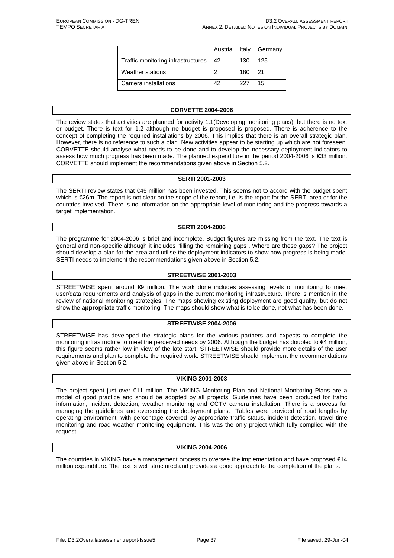|                                    |    |     | Austria   Italy   Germany |
|------------------------------------|----|-----|---------------------------|
| Traffic monitoring infrastructures | 42 | 130 | 125                       |
| Weather stations                   |    | 180 | 21                        |
| Camera installations               | 42 | 227 | 15                        |

#### **CORVETTE 2004-2006**

The review states that activities are planned for activity 1.1(Developing monitoring plans), but there is no text or budget. There is text for 1.2 although no budget is proposed is proposed. There is adherence to the concept of completing the required installations by 2006. This implies that there is an overall strategic plan. However, there is no reference to such a plan. New activities appear to be starting up which are not foreseen. CORVETTE should analyse what needs to be done and to develop the necessary deployment indicators to assess how much progress has been made. The planned expenditure in the period 2004-2006 is €33 million. CORVETTE should implement the recommendations given above in Section 5.2.

#### **SERTI 2001-2003**

The SERTI review states that €45 million has been invested. This seems not to accord with the budget spent which is €26m. The report is not clear on the scope of the report, i.e. is the report for the SERTI area or for the countries involved. There is no information on the appropriate level of monitoring and the progress towards a target implementation.

#### **SERTI 2004-2006**

The programme for 2004-2006 is brief and incomplete. Budget figures are missing from the text. The text is general and non-specific although it includes "filling the remaining gaps". Where are these gaps? The project should develop a plan for the area and utilise the deployment indicators to show how progress is being made. SERTI needs to implement the recommendations given above in Section 5.2.

#### **STREETWISE 2001-2003**

STREETWISE spent around <9 million. The work done includes assessing levels of monitoring to meet user/data requirements and analysis of gaps in the current monitoring infrastructure. There is mention in the review of national monitoring strategies. The maps showing existing deployment are good quality, but do not show the **appropriate** traffic monitoring. The maps should show what is to be done, not what has been done.

#### **STREETWISE 2004-2006**

STREETWISE has developed the strategic plans for the various partners and expects to complete the monitoring infrastructure to meet the perceived needs by 2006. Although the budget has doubled to €4 million, this figure seems rather low in view of the late start. STREETWISE should provide more details of the user requirements and plan to complete the required work. STREETWISE should implement the recommendations given above in Section 5.2.

#### **VIKING 2001-2003**

The project spent just over €11 million. The VIKING Monitoring Plan and National Monitoring Plans are a model of good practice and should be adopted by all projects. Guidelines have been produced for traffic information, incident detection, weather monitoring and CCTV camera installation. There is a process for managing the guidelines and overseeing the deployment plans. Tables were provided of road lengths by operating environment, with percentage covered by appropriate traffic status, incident detection, travel time monitoring and road weather monitoring equipment. This was the only project which fully complied with the request.

#### **VIKING 2004-2006**

The countries in VIKING have a management process to oversee the implementation and have proposed €14 million expenditure. The text is well structured and provides a good approach to the completion of the plans.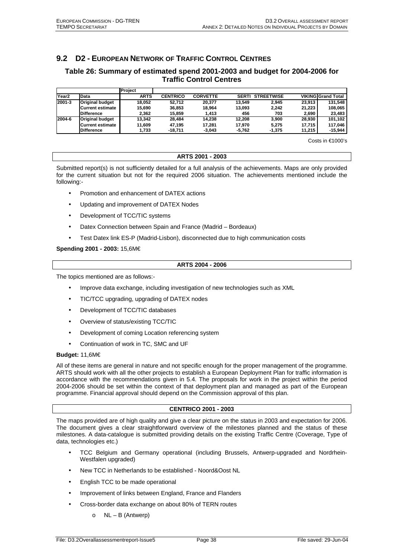## **9.2 D2 - EUROPEAN NETWORK OF TRAFFIC CONTROL CENTRES**

## **Table 26: Summary of estimated spend 2001-2003 and budget for 2004-2006 for Traffic Control Centres**

|                   |                         | Project     |                 |                 |              |                   |        |                           |
|-------------------|-------------------------|-------------|-----------------|-----------------|--------------|-------------------|--------|---------------------------|
| Year <sub>2</sub> | Data                    | <b>ARTS</b> | <b>CENTRICO</b> | <b>CORVETTE</b> | <b>SERTI</b> | <b>STREETWISE</b> |        | <b>VIKING Grand Total</b> |
| 2001-3            | <b>Original budget</b>  | 18.052      | 52.712          | 20.377          | 13.549       | 2.945             | 23.913 | 131.548                   |
|                   | <b>Current estimate</b> | 15.690      | 36.853          | 18.964          | 13.093       | 2.242             | 21.223 | 108.065                   |
|                   | <b>Difference</b>       | 2.362       | 15.859          | 1.413           | 456          | 703               | 2,690  | 23,483                    |
| 2004-6            | <b>Original budget</b>  | 13.342      | 28.484          | 14.238          | 12.208       | 3.900             | 28.930 | 101,102                   |
|                   | Current estimate        | 11.609      | 47.195          | 17.281          | 17.970       | 5.275             | 17.715 | 117.046                   |
|                   | <b>Difference</b>       | 1,733       | $-18.711$       | $-3.043$        | -5.762       | $-1,375$          | 11.215 | $-15,944$                 |

Costs in €1000's

#### **ARTS 2001 - 2003**

Submitted report(s) is not sufficiently detailed for a full analysis of the achievements. Maps are only provided for the current situation but not for the required 2006 situation. The achievements mentioned include the following:-

- Promotion and enhancement of DATEX actions
- Updating and improvement of DATEX Nodes
- Development of TCC/TIC systems
- Datex Connection between Spain and France (Madrid Bordeaux)
- Test Datex link ES-P (Madrid-Lisbon), disconnected due to high communication costs

**Spending 2001 - 2003:** 15,6M€

#### **ARTS 2004 - 2006**

The topics mentioned are as follows:-

- Improve data exchange, including investigation of new technologies such as XML
- TIC/TCC upgrading, upgrading of DATEX nodes
- Development of TCC/TIC databases
- Overview of status/existing TCC/TIC
- Development of coming Location referencing system
- Continuation of work in TC, SMC and UF

#### **Budget:** 11,6M€

All of these items are general in nature and not specific enough for the proper management of the programme. ARTS should work with all the other projects to establish a European Deployment Plan for traffic information is accordance with the recommendations given in 5.4. The proposals for work in the project within the period 2004-2006 should be set within the context of that deployment plan and managed as part of the European programme. Financial approval should depend on the Commission approval of this plan.

#### **CENTRICO 2001 - 2003**

The maps provided are of high quality and give a clear picture on the status in 2003 and expectation for 2006. The document gives a clear straightforward overview of the milestones planned and the status of these milestones. A data-catalogue is submitted providing details on the existing Traffic Centre (Coverage, Type of data, technologies etc.)

- TCC Belgium and Germany operational (including Brussels, Antwerp-upgraded and Nordrhein-Westfalen upgraded)
- New TCC in Netherlands to be established Noord&Oost NL
- English TCC to be made operational
- Improvement of links between England, France and Flanders
- Cross-border data exchange on about 80% of TERN routes
	- $\circ$  NL B (Antwerp)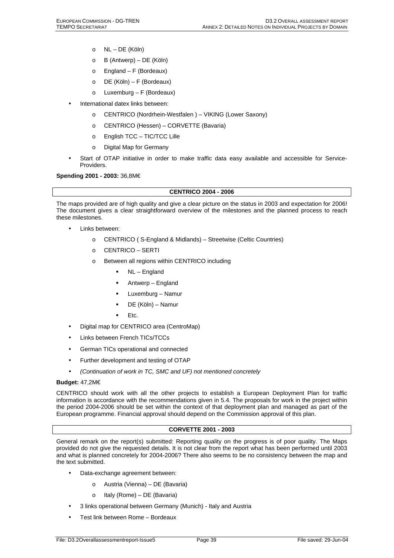- o NL DE (Köln)
- o B (Antwerp) DE (Köln)
- $\circ$  England F (Bordeaux)
- o DE (Köln) F (Bordeaux)
- o Luxemburg F (Bordeaux)
- International datex links between:
	- o CENTRICO (Nordrhein-Westfalen ) VIKING (Lower Saxony)
	- o CENTRICO (Hessen) CORVETTE (Bavaria)
	- o English TCC TIC/TCC Lille
	- o Digital Map for Germany
- Start of OTAP initiative in order to make traffic data easy available and accessible for Service-Providers.

**Spending 2001 - 2003:** 36,8M€

#### **CENTRICO 2004 - 2006**

The maps provided are of high quality and give a clear picture on the status in 2003 and expectation for 2006! The document gives a clear straightforward overview of the milestones and the planned process to reach these milestones.

- Links between:
	- o CENTRICO ( S-England & Midlands) Streetwise (Celtic Countries)
	- o CENTRICO SERTI
	- o Between all regions within CENTRICO including
		- NL England
		- Antwerp England
		- Luxemburg Namur
		- DE (Köln) Namur
		- Etc.
- Digital map for CENTRICO area (CentroMap)
- Links between French TICs/TCCs
- German TICs operational and connected
- Further development and testing of OTAP
- *(Continuation of work in TC, SMC and UF) not mentioned concretely*

#### **Budget:** 47,2M€

CENTRICO should work with all the other projects to establish a European Deployment Plan for traffic information is accordance with the recommendations given in 5.4. The proposals for work in the project within the period 2004-2006 should be set within the context of that deployment plan and managed as part of the European programme. Financial approval should depend on the Commission approval of this plan.

#### **CORVETTE 2001 - 2003**

General remark on the report(s) submitted: Reporting quality on the progress is of poor quality. The Maps provided do not give the requested details. It is not clear from the report what has been performed until 2003 and what is planned concretely for 2004-2006? There also seems to be no consistency between the map and the text submitted.

- Data-exchange agreement between:
	- o Austria (Vienna) DE (Bavaria)
	- o Italy (Rome) DE (Bavaria)
- 3 links operational between Germany (Munich) Italy and Austria
- Test link between Rome Bordeaux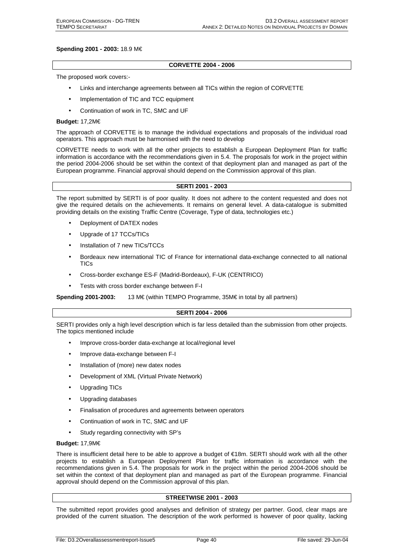#### **Spending 2001 - 2003:** 18.9 M€

#### **CORVETTE 2004 - 2006**

The proposed work covers:-

- Links and interchange agreements between all TICs within the region of CORVETTE
- Implementation of TIC and TCC equipment
- Continuation of work in TC, SMC and UF

#### **Budget:** 17,2M€

The approach of CORVETTE is to manage the individual expectations and proposals of the individual road operators. This approach must be harmonised with the need to develop

CORVETTE needs to work with all the other projects to establish a European Deployment Plan for traffic information is accordance with the recommendations given in 5.4. The proposals for work in the project within the period 2004-2006 should be set within the context of that deployment plan and managed as part of the European programme. Financial approval should depend on the Commission approval of this plan.

#### **SERTI 2001 - 2003**

The report submitted by SERTI is of poor quality. It does not adhere to the content requested and does not give the required details on the achievements. It remains on general level. A data-catalogue is submitted providing details on the existing Traffic Centre (Coverage, Type of data, technologies etc.)

- Deployment of DATEX nodes
- Upgrade of 17 TCCs/TICs
- Installation of 7 new TICs/TCCs
- Bordeaux new international TIC of France for international data-exchange connected to all national TICs
- Cross-border exchange ES-F (Madrid-Bordeaux), F-UK (CENTRICO)
- Tests with cross border exchange between F-I

**Spending 2001-2003:** 13 M€ (within TEMPO Programme, 35M€ in total by all partners)

#### **SERTI 2004 - 2006**

SERTI provides only a high level description which is far less detailed than the submission from other projects. The topics mentioned include

- Improve cross-border data-exchange at local/regional level
- Improve data-exchange between F-I
- Installation of (more) new datex nodes
- Development of XML (Virtual Private Network)
- Upgrading TICs
- Upgrading databases
- Finalisation of procedures and agreements between operators
- Continuation of work in TC, SMC and UF
- Study regarding connectivity with SP's

#### **Budget:** 17,9M€

There is insufficient detail here to be able to approve a budget of €18m. SERTI should work with all the other projects to establish a European Deployment Plan for traffic information is accordance with the recommendations given in 5.4. The proposals for work in the project within the period 2004-2006 should be set within the context of that deployment plan and managed as part of the European programme. Financial approval should depend on the Commission approval of this plan.

#### **STREETWISE 2001 - 2003**

The submitted report provides good analyses and definition of strategy per partner. Good, clear maps are provided of the current situation. The description of the work performed is however of poor quality, lacking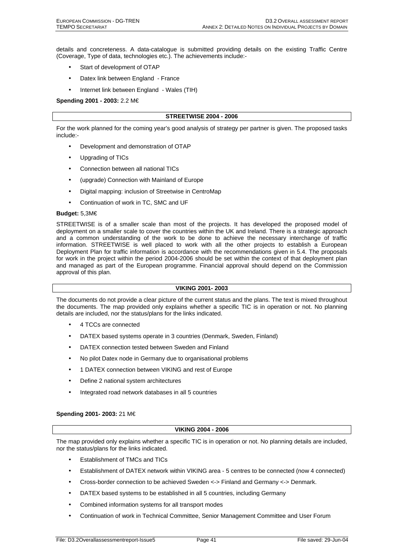details and concreteness. A data-catalogue is submitted providing details on the existing Traffic Centre (Coverage, Type of data, technologies etc.). The achievements include:-

- Start of development of OTAP
- Datex link between England France
- Internet link between England Wales (TIH)

**Spending 2001 - 2003:** 2.2 M€

#### **STREETWISE 2004 - 2006**

For the work planned for the coming year's good analysis of strategy per partner is given. The proposed tasks include:-

- Development and demonstration of OTAP
- Upgrading of TICs
- Connection between all national TICs
- (upgrade) Connection with Mainland of Europe
- Digital mapping: inclusion of Streetwise in CentroMap
- Continuation of work in TC, SMC and UF

#### **Budget:** 5,3M€

STREETWISE is of a smaller scale than most of the projects. It has developed the proposed model of deployment on a smaller scale to cover the countries within the UK and Ireland. There is a strategic approach and a common understanding of the work to be done to achieve the necessary interchange of traffic information. STREETWISE is well placed to work with all the other projects to establish a European Deployment Plan for traffic information is accordance with the recommendations given in 5.4. The proposals for work in the project within the period 2004-2006 should be set within the context of that deployment plan and managed as part of the European programme. Financial approval should depend on the Commission approval of this plan.

#### **VIKING 2001- 2003**

The documents do not provide a clear picture of the current status and the plans. The text is mixed throughout the documents. The map provided only explains whether a specific TIC is in operation or not. No planning details are included, nor the status/plans for the links indicated.

- 4 TCCs are connected
- DATEX based systems operate in 3 countries (Denmark, Sweden, Finland)
- DATEX connection tested between Sweden and Finland
- No pilot Datex node in Germany due to organisational problems
- 1 DATEX connection between VIKING and rest of Europe
- Define 2 national system architectures
- Integrated road network databases in all 5 countries

#### **Spending 2001- 2003:** 21 M€

#### **VIKING 2004 - 2006**

The map provided only explains whether a specific TIC is in operation or not. No planning details are included, nor the status/plans for the links indicated.

- Establishment of TMCs and TICs
- Establishment of DATEX network within VIKING area 5 centres to be connected (now 4 connected)
- Cross-border connection to be achieved Sweden <-> Finland and Germany <-> Denmark.
- DATEX based systems to be established in all 5 countries, including Germany
- Combined information systems for all transport modes
- Continuation of work in Technical Committee, Senior Management Committee and User Forum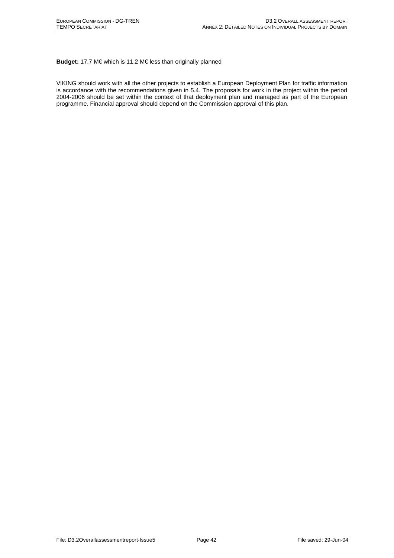**Budget:** 17.7 M€ which is 11.2 M€ less than originally planned

VIKING should work with all the other projects to establish a European Deployment Plan for traffic information is accordance with the recommendations given in 5.4. The proposals for work in the project within the period 2004-2006 should be set within the context of that deployment plan and managed as part of the European programme. Financial approval should depend on the Commission approval of this plan.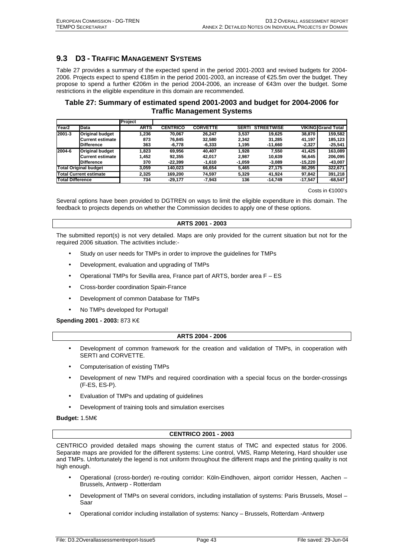## **9.3 D3 - TRAFFIC MANAGEMENT SYSTEMS**

Table 27 provides a summary of the expected spend in the period 2001-2003 and revised budgets for 2004- 2006. Projects expect to spend €185m in the period 2001-2003, an increase of €25.5m over the budget. They propose to spend a further €206m in the period 2004-2006, an increase of €43m over the budget. Some restrictions in the eligible expenditure in this domain are recommended.

## **Table 27: Summary of estimated spend 2001-2003 and budget for 2004-2006 for Traffic Management Systems**

|                         |                               | Project     |                 |                 |              |                   |           |                           |
|-------------------------|-------------------------------|-------------|-----------------|-----------------|--------------|-------------------|-----------|---------------------------|
| Year <sub>2</sub>       | Data                          | <b>ARTS</b> | <b>CENTRICO</b> | <b>CORVETTE</b> | <b>SERTI</b> | <b>STREETWISE</b> |           | <b>VIKING Grand Total</b> |
| 2001-3                  | <b>Original budget</b>        | 1.236       | 70.067          | 26.247          | 3.537        | 19.625            | 38.870    | 159.582                   |
|                         | Current estimate              | 873         | 76,845          | 32.580          | 2.342        | 31.285            | 41,197    | 185,123                   |
|                         | <b>Difference</b>             | 363         | $-6,778$        | $-6,333$        | 1.195        | -11.660           | $-2,327$  | -25,541                   |
| 2004-6                  | <b>Original budget</b>        | 1.823       | 69.956          | 40.407          | 1.928        | 7.550             | 41.425    | 163.089                   |
|                         | Current estimate              | 1,452       | 92,355          | 42.017          | 2.987        | 10.639            | 56,645    | 206,095                   |
|                         | <b>Difference</b>             | 370         | $-22.399$       | $-1.610$        | $-1,059$     | -3.089            | -15,220   | -43,007                   |
|                         | <b>Total Original budget</b>  | 3.059       | 140.023         | 66.654          | 5.465        | 27.175            | 80.295    | 322,671                   |
|                         | <b>Total Current estimate</b> | 2.325       | 169.200         | 74.597          | 5,329        | 41.924            | 97.842    | 391,218                   |
| <b>Total Difference</b> |                               | 734         | $-29,177$       | $-7,943$        | 136          | $-14.749$         | $-17,547$ | $-68,547$                 |

Costs in €1000's

Several options have been provided to DGTREN on ways to limit the eligible expenditure in this domain. The feedback to projects depends on whether the Commission decides to apply one of these options.

#### **ARTS 2001 - 2003**

The submitted report(s) is not very detailed. Maps are only provided for the current situation but not for the required 2006 situation. The activities include:-

- Study on user needs for TMPs in order to improve the guidelines for TMPs
- Development, evaluation and upgrading of TMPs
- Operational TMPs for Sevilla area, France part of ARTS, border area F ES
- Cross-border coordination Spain-France
- Development of common Database for TMPs
- No TMPs developed for Portugal!

#### **Spending 2001 - 2003:** 873 K€

#### **ARTS 2004 - 2006**

- Development of common framework for the creation and validation of TMPs, in cooperation with SERTI and CORVETTE.
- Computerisation of existing TMPs
- Development of new TMPs and required coordination with a special focus on the border-crossings (F-ES, ES-P).
- Evaluation of TMPs and updating of guidelines
- Development of training tools and simulation exercises

#### **Budget:** 1.5M€

#### **CENTRICO 2001 - 2003**

CENTRICO provided detailed maps showing the current status of TMC and expected status for 2006. Separate maps are provided for the different systems: Line control, VMS, Ramp Metering, Hard shoulder use and TMPs. Unfortunately the legend is not uniform throughout the different maps and the printing quality is not high enough.

- Operational (cross-border) re-routing corridor: Köln-Eindhoven, airport corridor Hessen, Aachen Brussels, Antwerp - Rotterdam
- Development of TMPs on several corridors, including installation of systems: Paris Brussels, Mosel Saar
- Operational corridor including installation of systems: Nancy Brussels, Rotterdam -Antwerp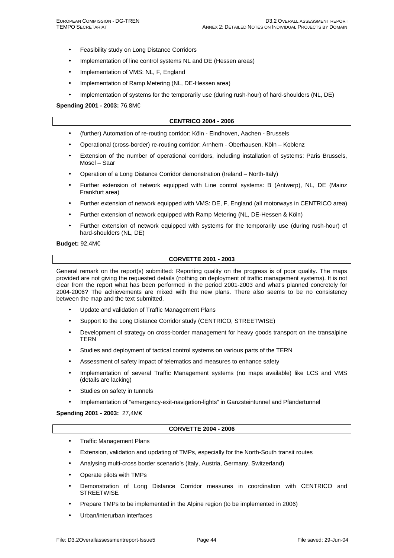- Feasibility study on Long Distance Corridors
- Implementation of line control systems NL and DE (Hessen areas)
- Implementation of VMS: NL, F, England
- Implementation of Ramp Metering (NL, DE-Hessen area)
- Implementation of systems for the temporarily use (during rush-hour) of hard-shoulders (NL, DE)

#### **Spending 2001 - 2003:** 76,8M€

#### **CENTRICO 2004 - 2006**

- (further) Automation of re-routing corridor: Köln Eindhoven, Aachen Brussels
- Operational (cross-border) re-routing corridor: Arnhem Oberhausen, Köln Koblenz
- Extension of the number of operational corridors, including installation of systems: Paris Brussels, Mosel – Saar
- Operation of a Long Distance Corridor demonstration (Ireland North-Italy)
- Further extension of network equipped with Line control systems: B (Antwerp), NL, DE (Mainz Frankfurt area)
- Further extension of network equipped with VMS: DE, F, England (all motorways in CENTRICO area)
- Further extension of network equipped with Ramp Metering (NL, DE-Hessen & Köln)
- Further extension of network equipped with systems for the temporarily use (during rush-hour) of hard-shoulders (NL, DE)

#### **Budget:** 92,4M€

#### **CORVETTE 2001 - 2003**

General remark on the report(s) submitted: Reporting quality on the progress is of poor quality. The maps provided are not giving the requested details (nothing on deployment of traffic management systems). It is not clear from the report what has been performed in the period 2001-2003 and what's planned concretely for 2004-2006? The achievements are mixed with the new plans. There also seems to be no consistency between the map and the text submitted.

- Update and validation of Traffic Management Plans
- Support to the Long Distance Corridor study (CENTRICO, STREETWISE)
- Development of strategy on cross-border management for heavy goods transport on the transalpine **TERN**
- Studies and deployment of tactical control systems on various parts of the TERN
- Assessment of safety impact of telematics and measures to enhance safety
- Implementation of several Traffic Management systems (no maps available) like LCS and VMS (details are lacking)
- Studies on safety in tunnels
- Implementation of "emergency-exit-navigation-lights" in Ganzsteintunnel and Pfändertunnel

#### **Spending 2001 - 2003:** 27,4M€

#### **CORVETTE 2004 - 2006**

- Traffic Management Plans
- Extension, validation and updating of TMPs, especially for the North-South transit routes
- Analysing multi-cross border scenario's (Italy, Austria, Germany, Switzerland)
- Operate pilots with TMPs
- Demonstration of Long Distance Corridor measures in coordination with CENTRICO and **STREETWISE**
- Prepare TMPs to be implemented in the Alpine region (to be implemented in 2006)
- Urban/interurban interfaces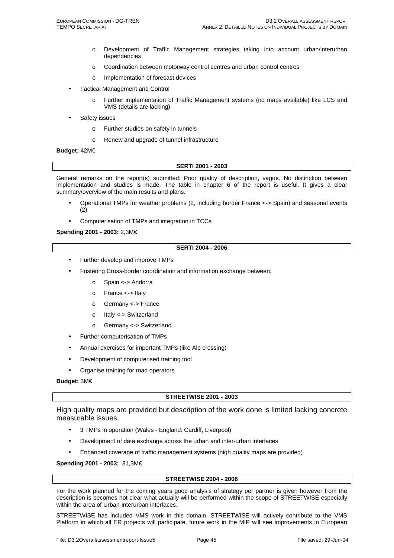- o Development of Traffic Management strategies taking into account urban/interurban dependencies
- o Coordination between motorway control centres and urban control centres
- o Implementation of forecast devices
- Tactical Management and Control
	- o Further implementation of Traffic Management systems (no maps available) like LCS and VMS (details are lacking)
- Safety issues
	- o Further studies on safety in tunnels
	- o Renew and upgrade of tunnel infrastructure

#### **Budget:** 42M€

#### **SERTI 2001 - 2003**

General remarks on the report(s) submitted: Poor quality of description, vague. No distinction between implementation and studies is made. The table in chapter 6 of the report is useful. It gives a clear summary/overview of the main results and plans.

- Operational TMPs for weather problems (2, including border France <-> Spain) and seasonal events (2)
- Computerisation of TMPs and integration in TCCs

#### **Spending 2001 - 2003:** 2,3M€

#### **SERTI 2004 - 2006**

- Further develop and improve TMPs
- Fostering Cross-border coordination and information exchange between:
	- o Spain <-> Andorra
	- o France <-> Italy
	- o Germany <-> France
	- o Italy <-> Switzerland
	- o Germany <-> Switzerland
- Further computerisation of TMPs
- Annual exercises for important TMPs (like Alp crossing)
- Development of computerised training tool
- Organise training for road operators

#### **Budget:** 3M€

#### **STREETWISE 2001 - 2003**

High quality maps are provided but description of the work done is limited lacking concrete measurable issues.

- 3 TMPs in operation (Wales England: Cardiff, Liverpool)
- Development of data exchange across the urban and inter-urban interfaces
- Enhanced coverage of traffic management systems (high quality maps are provided)

#### **Spending 2001 - 2003:** 31,3M€

#### **STREETWISE 2004 - 2006**

For the work planned for the coming years good analysis of strategy per partner is given however from the description is becomes not clear what actually will be performed within the scope of STREETWISE especially within the area of Urban-interurban interfaces.

STREETWISE has included VMS work in this domain. STREETWISE will actively contribute to the VMS Platform in which all ER projects will participate, future work in the MIP will see improvements in European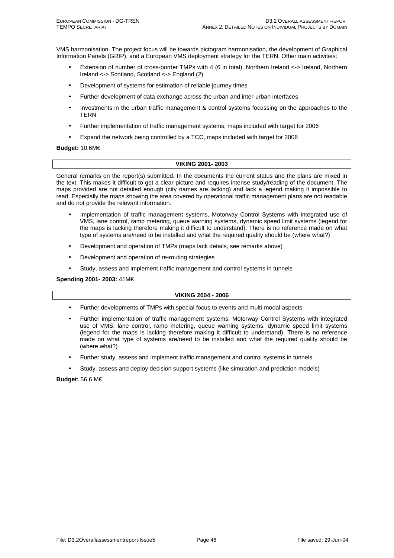VMS harmonisation. The project focus will be towards pictogram harmonisation, the development of Graphical Information Panels (GRIP), and a European VMS deployment strategy for the TERN. Other main activities:

- Extension of number of cross-border TMPs with 4 (6 in total), Northern Ireland <-> Ireland, Northern Ireland <-> Scotland, Scotland <-> England (2)
- Development of systems for estimation of reliable journey times
- Further development of data exchange across the urban and inter-urban interfaces
- Investments in the urban traffic management & control systems focussing on the approaches to the TERN
- Further implementation of traffic management systems, maps included with target for 2006
- Expand the network being controlled by a TCC, maps included with target for 2006

#### **Budget:** 10,6M€

#### **VIKING 2001- 2003**

General remarks on the report(s) submitted. In the documents the current status and the plans are mixed in the text. This makes it difficult to get a clear picture and requires intense study/reading of the document. The maps provided are not detailed enough (city names are lacking) and lack a legend making it impossible to read. Especially the maps showing the area covered by operational traffic management plans are not readable and do not provide the relevant information.

- Implementation of traffic management systems, Motorway Control Systems with integrated use of VMS, lane control, ramp metering, queue warning systems, dynamic speed limit systems (legend for the maps is lacking therefore making it difficult to understand). There is no reference made on what type of systems are/need to be installed and what the required quality should be (where what?)
- Development and operation of TMPs (maps lack details, see remarks above)
- Development and operation of re-routing strategies
- Study, assess and implement traffic management and control systems in tunnels

**Spending 2001- 2003:** 41M€

#### **VIKING 2004 - 2006**

- Further developments of TMPs with special focus to events and multi-modal aspects
- Further implementation of traffic management systems, Motorway Control Systems with integrated use of VMS, lane control, ramp metering, queue warning systems, dynamic speed limit systems (legend for the maps is lacking therefore making it difficult to understand). There is no reference made on what type of systems are/need to be installed and what the required quality should be (where what?)
- Further study, assess and implement traffic management and control systems in tunnels
- Study, assess and deploy decision support systems (like simulation and prediction models)

**Budget:** 56.6 M€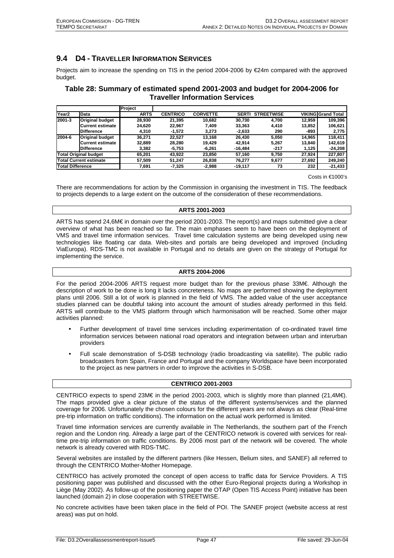## **9.4 D4 - TRAVELLER INFORMATION SERVICES**

Projects aim to increase the spending on TIS in the period 2004-2006 by €24m compared with the approved budget.

## **Table 28: Summary of estimated spend 2001-2003 and budget for 2004-2006 for Traveller Information Services**

|                               |                         | Project     |                 |                 |              |                   |        |                           |
|-------------------------------|-------------------------|-------------|-----------------|-----------------|--------------|-------------------|--------|---------------------------|
| Year <sub>2</sub>             | <b>Data</b>             | <b>ARTS</b> | <b>CENTRICO</b> | <b>CORVETTE</b> | <b>SERTI</b> | <b>STREETWISE</b> |        | <b>VIKING Grand Total</b> |
| 2001-3                        | <b>Original budget</b>  | 28,930      | 21.395          | 10.682          | 30.730       | 4.700             | 12.959 | 109.396                   |
|                               | <b>Current estimate</b> | 24.620      | 22.967          | 7.409           | 33.363       | 4.410             | 13.852 | 106.621                   |
|                               | <b>Difference</b>       | 4.310       | -1,572          | 3.273           | $-2,633$     | 290               | -893   | 2,775                     |
| 2004-6                        | <b>Original budget</b>  | 36.271      | 22.527          | 13.168          | 26.430       | 5,050             | 14.965 | 118.411                   |
|                               | <b>Current estimate</b> | 32.889      | 28.280          | 19.429          | 42.914       | 5.267             | 13.840 | 142.619                   |
|                               | <b>Difference</b>       | 3.382       | $-5,753$        | $-6.261$        | $-16.484$    | $-217$            | 1,125  | $-24,208$                 |
| <b>Total Original budget</b>  |                         | 65.201      | 43.922          | 23,850          | 57.160       | 9.750             | 27.924 | 227,807                   |
| <b>Total Current estimate</b> |                         | 57.509      | 51.247          | 26.838          | 76.277       | 9.677             | 27.692 | 249.240                   |
| <b>Total Difference</b>       |                         | 7.691       | $-7,325$        | $-2.988$        | $-19.117$    | 73                | 232    | $-21,433$                 |

Costs in €1000's

There are recommendations for action by the Commission in organising the investment in TIS. The feedback to projects depends to a large extent on the outcome of the consideration of these recommendations.

#### **ARTS 2001-2003**

ARTS has spend 24,6M€ in domain over the period 2001-2003. The report(s) and maps submitted give a clear overview of what has been reached so far. The main emphases seem to have been on the deployment of VMS and travel time information services. Travel time calculation systems are being developed using new technologies like floating car data. Web-sites and portals are being developed and improved (including ViaEuropa). RDS-TMC is not available in Portugal and no details are given on the strategy of Portugal for implementing the service.

#### **ARTS 2004-2006**

For the period 2004-2006 ARTS request more budget than for the previous phase 33M€. Although the description of work to be done is long it lacks concreteness. No maps are performed showing the deployment plans until 2006. Still a lot of work is planned in the field of VMS. The added value of the user acceptance studies planned can be doubtful taking into account the amount of studies already performed in this field. ARTS will contribute to the VMS platform through which harmonisation will be reached. Some other major activities planned:

- Further development of travel time services including experimentation of co-ordinated travel time information services between national road operators and integration between urban and interurban providers
- Full scale demonstration of S-DSB technology (radio broadcasting via satellite). The public radio broadcasters from Spain, France and Portugal and the company Worldspace have been incorporated to the project as new partners in order to improve the activities in S-DSB.

#### **CENTRICO 2001-2003**

CENTRICO expects to spend 23M€ in the period 2001-2003, which is slightly more than planned (21,4M€). The maps provided give a clear picture of the status of the different systems/services and the planned coverage for 2006. Unfortunately the chosen colours for the different years are not always as clear (Real-time pre-trip information on traffic conditions). The information on the actual work performed is limited.

Travel time information services are currently available in The Netherlands, the southern part of the French region and the London ring. Already a large part of the CENTRICO network is covered with services for realtime pre-trip information on traffic conditions. By 2006 most part of the network will be covered. The whole network is already covered with RDS-TMC.

Several websites are installed by the different partners (like Hessen, Belium sites, and SANEF) all referred to through the CENTRICO Mother-Mother Homepage.

CENTRICO has actively promoted the concept of open access to traffic data for Service Providers. A TIS positioning paper was published and discussed with the other Euro-Regional projects during a Workshop in Liège (May 2002). As follow-up of the positioning paper the OTAP (Open TIS Access Point) initiative has been launched (domain 2) in close cooperation with STREETWISE.

No concrete activities have been taken place in the field of POI. The SANEF project (website access at rest areas) was put on hold.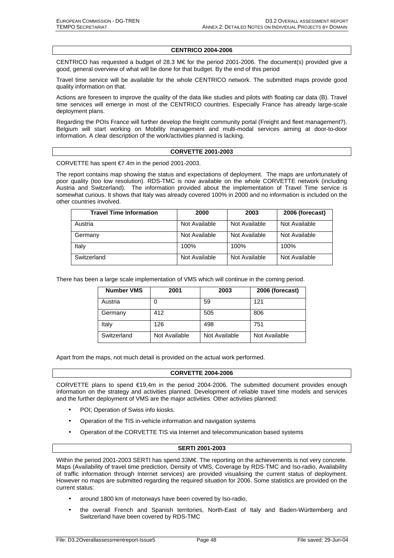#### **CENTRICO 2004-2006**

CENTRICO has requested a budget of 28.3 M€ for the period 2001-2006. The document(s) provided give a good, general overview of what will be done for that budget. By the end of this period

Travel time service will be available for the whole CENTRICO network. The submitted maps provide good quality information on that.

Actions are foreseen to improve the quality of the data like studies and pilots with floating car data (B). Travel time services will emerge in most of the CENTRICO countries. Especially France has already large-scale deployment plans.

Regarding the POIs France will further develop the freight community portal (Freight and fleet management?). Belgium will start working on Mobility management and multi-modal services aiming at door-to-door information. A clear description of the work/activities planned is lacking.

#### **CORVETTE 2001-2003**

CORVETTE has spent €7.4m in the period 2001-2003.

The report contains map showing the status and expectations of deployment. The maps are unfortunately of poor quality (too low resolution). RDS-TMC is now available on the whole CORVETTE network (including Austria and Switzerland). The information provided about the implementation of Travel Time service is somewhat curious. It shows that Italy was already covered 100% in 2000 and no information is included on the other countries involved.

| <b>Travel Time Information</b> | 2000          | 2003          | 2006 (forecast) |
|--------------------------------|---------------|---------------|-----------------|
| Austria                        | Not Available | Not Available | Not Available   |
| Germany                        | Not Available | Not Available | Not Available   |
| Italy                          | 100%          | 100%          | 100%            |
| Switzerland                    | Not Available | Not Available | Not Available   |

There has been a large scale implementation of VMS which will continue in the coming period.

| <b>Number VMS</b> | 2001          | 2003          | 2006 (forecast) |
|-------------------|---------------|---------------|-----------------|
| Austria           |               | 59            | 121             |
| Germany           | 412           | 505           | 806             |
| Italy             | 126           | 498           | 751             |
| Switzerland       | Not Available | Not Available | Not Available   |

Apart from the maps, not much detail is provided on the actual work performed.

#### **CORVETTE 2004-2006**

CORVETTE plans to spend €19,4m in the period 2004-2006. The submitted document provides enough information on the strategy and activities planned. Development of reliable travel time models and services and the further deployment of VMS are the major activities. Other activities planned:

- POI; Operation of Swiss info kiosks.
- Operation of the TIS in-vehicle information and navigation systems
- Operation of the CORVETTE TIS via Internet and telecommunication based systems

#### **SERTI 2001-2003**

Within the period 2001-2003 SERTI has spend 33M€. The reporting on the achievements is not very concrete. Maps (Availability of travel time prediction, Density of VMS, Coverage by RDS-TMC and Iso-radio, Availability of traffic information through Internet services) are provided visualising the current status of deployment. However no maps are submitted regarding the required situation for 2006. Some statistics are provided on the current status:

- around 1800 km of motorways have been covered by Iso-radio,
- the overall French and Spanish territories, North-East of Italy and Baden-Württemberg and Switzerland have been covered by RDS-TMC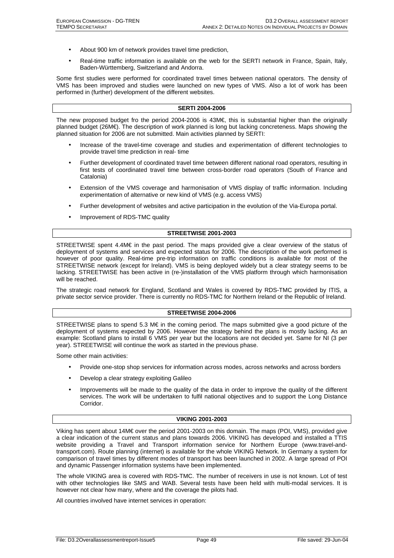- About 900 km of network provides travel time prediction,
- Real-time traffic information is available on the web for the SERTI network in France, Spain, Italy, Baden-Württemberg, Switzerland and Andorra.

Some first studies were performed for coordinated travel times between national operators. The density of VMS has been improved and studies were launched on new types of VMS. Also a lot of work has been performed in (further) development of the different websites.

#### **SERTI 2004-2006**

The new proposed budget fro the period 2004-2006 is 43M€, this is substantial higher than the originally planned budget (26M€). The description of work planned is long but lacking concreteness. Maps showing the planned situation for 2006 are not submitted. Main activities planned by SERTI:

- Increase of the travel-time coverage and studies and experimentation of different technologies to provide travel time prediction in real- time
- Further development of coordinated travel time between different national road operators, resulting in first tests of coordinated travel time between cross-border road operators (South of France and Catalonia)
- Extension of the VMS coverage and harmonisation of VMS display of traffic information. Including experimentation of alternative or new kind of VMS (e.g. access VMS)
- Further development of websites and active participation in the evolution of the Via-Europa portal.
- Improvement of RDS-TMC quality

#### **STREETWISE 2001-2003**

STREETWISE spent 4.4M€ in the past period. The maps provided give a clear overview of the status of deployment of systems and services and expected status for 2006. The description of the work performed is however of poor quality. Real-time pre-trip information on traffic conditions is available for most of the STREETWISE network (except for Ireland). VMS is being deployed widely but a clear strategy seems to be lacking. STREETWISE has been active in (re-)installation of the VMS platform through which harmonisation will be reached.

The strategic road network for England, Scotland and Wales is covered by RDS-TMC provided by ITIS, a private sector service provider. There is currently no RDS-TMC for Northern Ireland or the Republic of Ireland.

#### **STREETWISE 2004-2006**

STREETWISE plans to spend 5.3 M€ in the coming period. The maps submitted give a good picture of the deployment of systems expected by 2006. However the strategy behind the plans is mostly lacking. As an example: Scotland plans to install 6 VMS per year but the locations are not decided yet. Same for NI (3 per year). STREETWISE will continue the work as started in the previous phase.

Some other main activities:

- Provide one-stop shop services for information across modes, across networks and across borders
- Develop a clear strategy exploiting Galileo
- Improvements will be made to the quality of the data in order to improve the quality of the different services. The work will be undertaken to fulfil national objectives and to support the Long Distance Corridor.

#### **VIKING 2001-2003**

Viking has spent about 14M€ over the period 2001-2003 on this domain. The maps (POI, VMS), provided give a clear indication of the current status and plans towards 2006. VIKING has developed and installed a TTIS website providing a Travel and Transport information service for Northern Europe (www.travel-andtransport.com). Route planning (internet) is available for the whole VIKING Network. In Germany a system for comparison of travel times by different modes of transport has been launched in 2002. A large spread of POI and dynamic Passenger information systems have been implemented.

The whole VIKING area is covered with RDS-TMC. The number of receivers in use is not known. Lot of test with other technologies like SMS and WAB. Several tests have been held with multi-modal services. It is however not clear how many, where and the coverage the pilots had.

All countries involved have internet services in operation: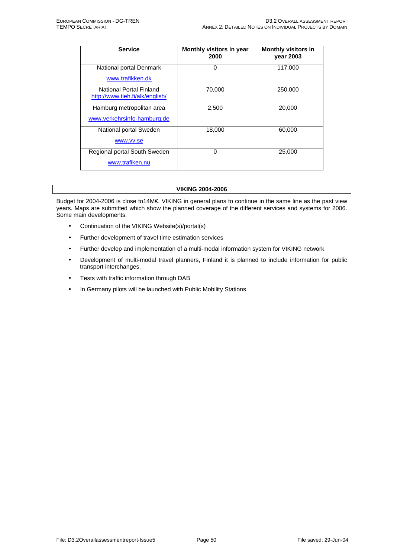| <b>Service</b>                                             | Monthly visitors in year<br>2000 | <b>Monthly visitors in</b><br><b>vear 2003</b> |
|------------------------------------------------------------|----------------------------------|------------------------------------------------|
| National portal Denmark                                    | 0                                | 117,000                                        |
| www.trafikken.dk                                           |                                  |                                                |
| National Portal Finland<br>http://www.tieh.fi/alk/english/ | 70.000                           | 250,000                                        |
| Hamburg metropolitan area                                  | 2,500                            | 20,000                                         |
| www.verkehrsinfo-hamburg.de                                |                                  |                                                |
| National portal Sweden                                     | 18,000                           | 60,000                                         |
| www.vv.se                                                  |                                  |                                                |
| Regional portal South Sweden                               | 0                                | 25,000                                         |
| www.trafiken.nu                                            |                                  |                                                |

#### **VIKING 2004-2006**

Budget for 2004-2006 is close to14M€. VIKING in general plans to continue in the same line as the past view years. Maps are submitted which show the planned coverage of the different services and systems for 2006. Some main developments:

- Continuation of the VIKING Website(s)/portal(s)
- Further development of travel time estimation services
- Further develop and implementation of a multi-modal information system for VIKING network
- Development of multi-modal travel planners, Finland it is planned to include information for public transport interchanges.
- Tests with traffic information through DAB
- In Germany pilots will be launched with Public Mobility Stations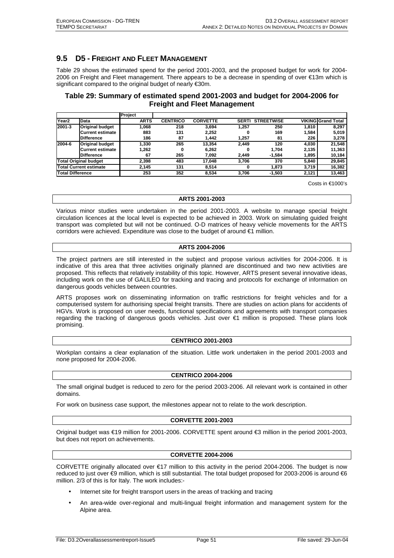## **9.5 D5 - FREIGHT AND FLEET MANAGEMENT**

Table 29 shows the estimated spend for the period 2001-2003, and the proposed budget for work for 2004- 2006 on Freight and Fleet management. There appears to be a decrease in spending of over €13m which is significant compared to the original budget of nearly €30m.

## **Table 29: Summary of estimated spend 2001-2003 and budget for 2004-2006 for Freight and Fleet Management**

|                               |                         | Project     |                 |                 |              |                   |       |                           |
|-------------------------------|-------------------------|-------------|-----------------|-----------------|--------------|-------------------|-------|---------------------------|
| Year <sub>2</sub>             | <b>Data</b>             | <b>ARTS</b> | <b>CENTRICO</b> | <b>CORVETTE</b> | <b>SERTI</b> | <b>STREETWISE</b> |       | <b>VIKING Grand Total</b> |
| 2001-3                        | <b>Original budget</b>  | 1.068       | 218             | 3.694           | 1.257        | 250               | 1,810 | 8.297                     |
|                               | Current estimate        | 883         | 131             | 2.252           | 0            | 169               | 1,584 | 5,019                     |
|                               | <b>Difference</b>       | 186         | 87              | 1.442           | 1.257        | 81                | 226   | 3,278                     |
| 2004-6                        | <b>Original budget</b>  | 1.330       | 265             | 13.354          | 2.449        | 120               | 4,030 | 21,548                    |
|                               | <b>Current estimate</b> | 1,262       | 0               | 6.262           | o            | 1.704             | 2,135 | 11,363                    |
|                               | <b>Difference</b>       | 67          | 265             | 7.092           | 2.449        | $-1,584$          | 1,895 | 10,184                    |
| <b>Total Original budget</b>  |                         | 2.398       | 483             | 17.048          | 3,706        | 370               | 5,840 | 29,845                    |
| <b>Total Current estimate</b> |                         | 2.145       | 131             | 8.514           | 0            | 1.873             | 3,719 | 16,382                    |
| <b>Total Difference</b>       |                         | 253         | 352             | 8.534           | 3.706        | $-1.503$          | 2,121 | 13,463                    |

Costs in €1000's

#### **ARTS 2001-2003**

Various minor studies were undertaken in the period 2001-2003. A website to manage special freight circulation licences at the local level is expected to be achieved in 2003. Work on simulating guided freight transport was completed but will not be continued. O-D matrices of heavy vehicle movements for the ARTS corridors were achieved. Expenditure was close to the budget of around €1 million.

#### **ARTS 2004-2006**

The project partners are still interested in the subject and propose various activities for 2004-2006. It is indicative of this area that three activities originally planned are discontinued and two new activities are proposed. This reflects that relatively instability of this topic. However, ARTS present several innovative ideas, including work on the use of GALILEO for tracking and tracing and protocols for exchange of information on dangerous goods vehicles between countries.

ARTS proposes work on disseminating information on traffic restrictions for freight vehicles and for a computerised system for authorising special freight transits. There are studies on action plans for accidents of HGVs. Work is proposed on user needs, functional specifications and agreements with transport companies regarding the tracking of dangerous goods vehicles. Just over €1 million is proposed. These plans look promising.

#### **CENTRICO 2001-2003**

Workplan contains a clear explanation of the situation. Little work undertaken in the period 2001-2003 and none proposed for 2004-2006.

#### **CENTRICO 2004-2006**

The small original budget is reduced to zero for the period 2003-2006. All relevant work is contained in other domains.

For work on business case support, the milestones appear not to relate to the work description.

#### **CORVETTE 2001-2003**

Original budget was €19 million for 2001-2006. CORVETTE spent around €3 million in the period 2001-2003, but does not report on achievements.

#### **CORVETTE 2004-2006**

CORVETTE originally allocated over €17 million to this activity in the period 2004-2006. The budget is now reduced to just over  $bigoplus$  million, which is still substantial. The total budget proposed for 2003-2006 is around €6 million. 2/3 of this is for Italy. The work includes:-

- Internet site for freight transport users in the areas of tracking and tracing
- An area-wide over-regional and multi-lingual freight information and management system for the Alpine area.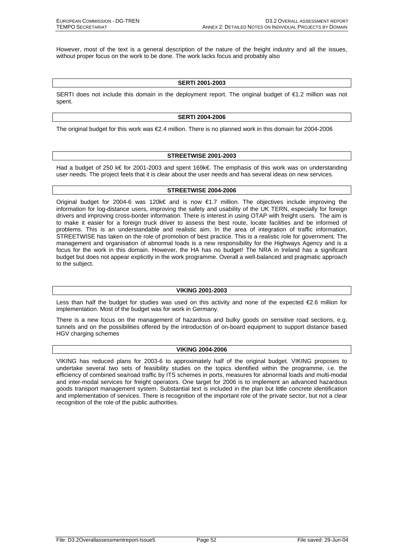However, most of the text is a general description of the nature of the freight industry and all the issues, without proper focus on the work to be done. The work lacks focus and probably also

#### **SERTI 2001-2003**

SERTI does not include this domain in the deployment report. The original budget of €1.2 million was not spent.

#### **SERTI 2004-2006**

The original budget for this work was €2.4 million. There is no planned work in this domain for 2004-2006

#### **STREETWISE 2001-2003**

Had a budget of 250 k€ for 2001-2003 and spent 169k€. The emphasis of this work was on understanding user needs. The project feels that it is clear about the user needs and has several ideas on new services.

#### **STREETWISE 2004-2006**

Original budget for 2004-6 was 120k€ and is now €1.7 million. The objectives include improving the information for log-distance users, improving the safety and usability of the UK TERN, especially for foreign drivers and improving cross-border information. There is interest in using OTAP with freight users. The aim is to make it easier for a foreign truck driver to assess the best route, locate facilities and be informed of problems. This is an understandable and realistic aim. In the area of integration of traffic information, STREETWISE has taken on the role of promotion of best practice. This is a realistic role for government. The management and organisation of abnormal loads is a new responsibility for the Highways Agency and is a focus for the work in this domain. However, the HA has no budget! The NRA in Ireland has a significant budget but does not appear explicitly in the work programme. Overall a well-balanced and pragmatic approach to the subject.

#### **VIKING 2001-2003**

Less than half the budget for studies was used on this activity and none of the expected €2.6 million for implementation. Most of the budget was for work in Germany.

There is a new focus on the management of hazardous and bulky goods on sensitive road sections, e.g. tunnels and on the possibilities offered by the introduction of on-board equipment to support distance based HGV charging schemes

#### **VIKING 2004-2006**

VIKING has reduced plans for 2003-6 to approximately half of the original budget. VIKING proposes to undertake several two sets of feasibility studies on the topics identified within the programme, i.e. the efficiency of combined sea/road traffic by ITS schemes in ports, measures for abnormal loads and multi-modal and inter-modal services for freight operators. One target for 2006 is to implement an advanced hazardous goods transport management system. Substantial text is included in the plan but lit**t**le concrete identification and implementation of services. There is recognition of the important role of the private sector, but not a clear recognition of the role of the public authorities.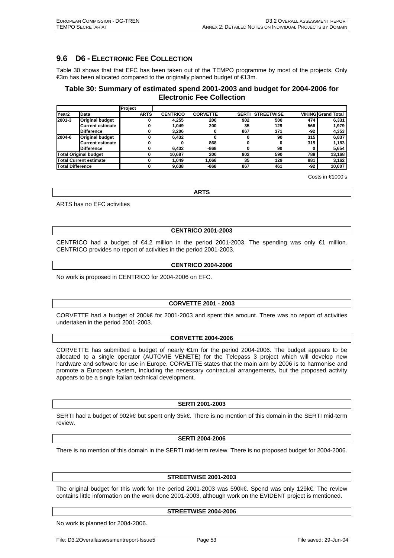## **9.6 D6 - ELECTRONIC FEE COLLECTION**

Table 30 shows that that EFC has been taken out of the TEMPO programme by most of the projects. Only €3m has been allocated compared to the originally planned budget of €13m.

## **Table 30: Summary of estimated spend 2001-2003 and budget for 2004-2006 for Electronic Fee Collection**

|                               |                        | Project     |                 |                 |              |                   |     |                           |
|-------------------------------|------------------------|-------------|-----------------|-----------------|--------------|-------------------|-----|---------------------------|
| Year <sub>2</sub>             | Data                   | <b>ARTS</b> | <b>CENTRICO</b> | <b>CORVETTE</b> | <b>SERTI</b> | <b>STREETWISE</b> |     | <b>VIKING</b> Grand Total |
| 2001-3                        | <b>Original budget</b> |             | 4.255           | 200             | 902          | 500               | 474 | 6,331                     |
|                               | Current estimate       |             | 1.049           | 200             | 35           | 129               | 566 | 1,979                     |
|                               | <b>Difference</b>      |             | 3.206           |                 | 867          | 371               | -92 | 4,353                     |
| 2004-6                        | <b>Original budget</b> |             | 6.432           |                 |              | 90                | 315 | 6,837                     |
|                               | Current estimate       |             |                 | 868             |              |                   | 315 | 1.183                     |
|                               | <b>Difference</b>      |             | 6.432           | $-868$          |              | 90                |     | 5,654                     |
| <b>Total Original budget</b>  |                        |             | 10.687          | 200             | 902          | 590               | 789 | 13,168                    |
| <b>Total Current estimate</b> |                        |             | 1.049           | 068. ا          | 35           | 129               | 881 | 3,162                     |
| <b>Total Difference</b>       |                        |             | 9.638           | -868            | 867          | 461               | -92 | 10.007                    |

Costs in €1000's

**ARTS** 

ARTS has no EFC activities

#### **CENTRICO 2001-2003**

CENTRICO had a budget of €4.2 million in the period 2001-2003. The spending was only €1 million. CENTRICO provides no report of activities in the period 2001-2003.

#### **CENTRICO 2004-2006**

No work is proposed in CENTRICO for 2004-2006 on EFC.

#### **CORVETTE 2001 - 2003**

CORVETTE had a budget of 200k€ for 2001-2003 and spent this amount. There was no report of activities undertaken in the period 2001-2003.

#### **CORVETTE 2004-2006**

CORVETTE has submitted a budget of nearly €1m for the period 2004-2006. The budget appears to be allocated to a single operator (AUTOVIE VENETE) for the Telepass 3 project which will develop new hardware and software for use in Europe. CORVETTE states that the main aim by 2006 is to harmonise and promote a European system, including the necessary contractual arrangements, but the proposed activity appears to be a single Italian technical development.

#### **SERTI 2001-2003**

SERTI had a budget of 902k€ but spent only 35k€. There is no mention of this domain in the SERTI mid-term review.

#### **SERTI 2004-2006**

There is no mention of this domain in the SERTI mid-term review. There is no proposed budget for 2004-2006.

#### **STREETWISE 2001-2003**

The original budget for this work for the period 2001-2003 was 590k€. Spend was only 129k€. The review contains little information on the work done 2001-2003, although work on the EVIDENT project is mentioned.

#### **STREETWISE 2004-2006**

No work is planned for 2004-2006.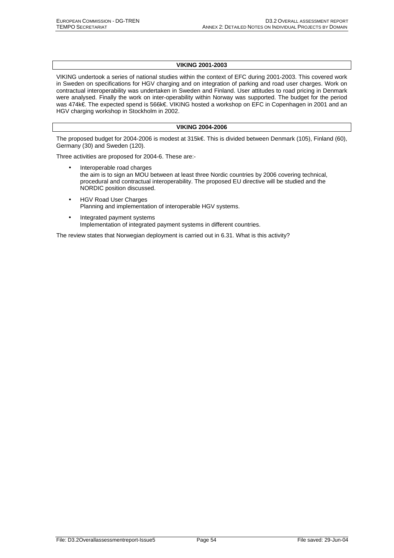## **VIKING 2001-2003**

VIKING undertook a series of national studies within the context of EFC during 2001-2003. This covered work in Sweden on specifications for HGV charging and on integration of parking and road user charges. Work on contractual interoperability was undertaken in Sweden and Finland. User attitudes to road pricing in Denmark were analysed. Finally the work on inter-operability within Norway was supported. The budget for the period was 474k€. The expected spend is 566k€. VIKING hosted a workshop on EFC in Copenhagen in 2001 and an HGV charging workshop in Stockholm in 2002.

#### **VIKING 2004-2006**

The proposed budget for 2004-2006 is modest at 315k€. This is divided between Denmark (105), Finland (60), Germany (30) and Sweden (120).

Three activities are proposed for 2004-6. These are:-

- Interoperable road charges the aim is to sign an MOU between at least three Nordic countries by 2006 covering technical, procedural and contractual interoperability. The proposed EU directive will be studied and the NORDIC position discussed.
- HGV Road User Charges Planning and implementation of interoperable HGV systems.
- Integrated payment systems Implementation of integrated payment systems in different countries.

The review states that Norwegian deployment is carried out in 6.31. What is this activity?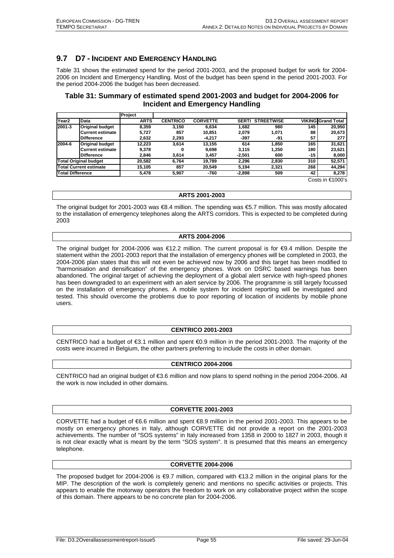## **9.7 D7 - INCIDENT AND EMERGENCY HANDLING**

Table 31 shows the estimated spend for the period 2001-2003, and the proposed budget for work for 2004- 2006 on Incident and Emergency Handling. Most of the budget has been spend in the period 2001-2003. For the period 2004-2006 the budget has been decreased.

## **Table 31: Summary of estimated spend 2001-2003 and budget for 2004-2006 for Incident and Emergency Handling**

|                               |                         | Project     |                 |                 |              |                   |       |                           |
|-------------------------------|-------------------------|-------------|-----------------|-----------------|--------------|-------------------|-------|---------------------------|
| Year <sub>2</sub>             | Data                    | <b>ARTS</b> | <b>CENTRICO</b> | <b>CORVETTE</b> | <b>SERTI</b> | <b>STREETWISE</b> |       | <b>VIKING Grand Total</b> |
| 2001-3                        | <b>Original budget</b>  | 8,359       | 3,150           | 6.634           | 1.682        | 980               | 145   | 20,950                    |
|                               | <b>Current estimate</b> | 5,727       | 857             | 10.851          | 2.079        | 1,071             | 88    | 20,673                    |
|                               | <b>Difference</b>       | 2,632       | 2,293           | $-4,217$        | -397         | -91               | 57    | 277                       |
| 2004-6                        | <b>Original budget</b>  | 12.223      | 3.614           | 13.155          | 614          | 1.850             | 165   | 31,621                    |
|                               | Current estimate        | 9.378       | 0               | 9,698           | 3.115        | 1.250             | 180   | 23,621                    |
|                               | <b>Difference</b>       | 2.846       | 3,614           | 3,457           | $-2.501$     | 600               | $-15$ | 8,000                     |
| <b>Total Original budget</b>  |                         | 20.582      | 6.764           | 19.789          | 2.296        | 2.830             | 310   | 52,571                    |
| <b>Total Current estimate</b> |                         | 15,105      | 857             | 20.549          | 5.194        | 2.321             | 268   | 44,294                    |
| <b>Total Difference</b>       |                         | 5,478       | 5,907           | $-760$          | $-2,898$     | 509               | 42    | 8,278                     |

Costs in €1000's

#### **ARTS 2001-2003**

The original budget for 2001-2003 was €8.4 million. The spending was €5.7 million. This was mostly allocated to the installation of emergency telephones along the ARTS corridors. This is expected to be completed during 2003

#### **ARTS 2004-2006**

The original budget for 2004-2006 was €12.2 million. The current proposal is for €9.4 million. Despite the statement within the 2001-2003 report that the installation of emergency phones will be completed in 2003, the 2004-2006 plan states that this will not even be achieved now by 2006 and this target has been modified to "harmonisation and densification" of the emergency phones. Work on DSRC based warnings has been abandoned. The original target of achieving the deployment of a global alert service with high-speed phones has been downgraded to an experiment with an alert service by 2006. The programme is still largely focussed on the installation of emergency phones. A mobile system for incident reporting will be investigated and tested. This should overcome the problems due to poor reporting of location of incidents by mobile phone users.

#### **CENTRICO 2001-2003**

CENTRICO had a budget of €3.1 million and spent €0.9 million in the period 2001-2003. The majority of the costs were incurred in Belgium, the other partners preferring to include the costs in other domain.

#### **CENTRICO 2004-2006**

CENTRICO had an original budget of €3.6 million and now plans to spend nothing in the period 2004-2006. All the work is now included in other domains.

#### **CORVETTE 2001-2003**

CORVETTE had a budget of €6.6 million and spent €8.9 million in the period 2001-2003. This appears to be mostly on emergency phones in Italy, although CORVETTE did not provide a report on the 2001-2003 achievements. The number of "SOS systems" in Italy increased from 1358 in 2000 to 1827 in 2003, though it is not clear exactly what is meant by the term "SOS system". It is presumed that this means an emergency telephone.

#### **CORVETTE 2004-2006**

The proposed budget for 2004-2006 is €9.7 million, compared with €13.2 million in the original plans for the MIP. The description of the work is completely generic and mentions no specific activities or projects. This appears to enable the motorway operators the freedom to work on any collaborative project within the scope of this domain. There appears to be no concrete plan for 2004-2006.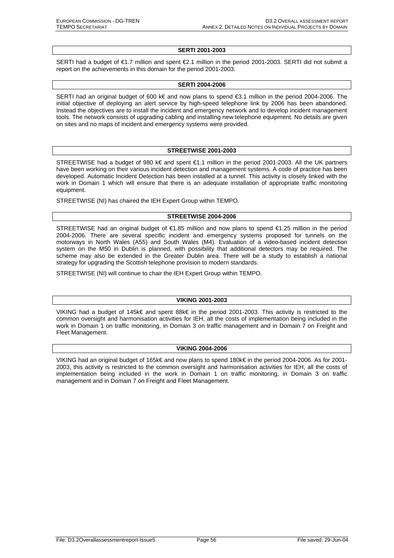#### **SERTI 2001-2003**

SERTI had a budget of €1.7 million and spent €2.1 million in the period 2001-2003. SERTI did not submit a report on the achievements in this domain for the period 2001-2003.

#### **SERTI 2004-2006**

SERTI had an original budget of 600 k€ and now plans to spend €3.1 million in the period 2004-2006. The initial objective of deploying an alert service by high-speed telephone link by 2006 has been abandoned. Instead the objectives are to install the incident and emergency network and to develop incident management tools. The network consists of upgrading cabling and installing new telephone equipment. No details are given on sites and no maps of incident and emergency systems were provided.

#### **STREETWISE 2001-2003**

STREETWISE had a budget of 980 k€ and spent €1.1 million in the period 2001-2003. All the UK partners have been working on their various incident detection and management systems. A code of practice has been developed. Automatic Incident Detection has been installed at a tunnel. This activity is closely linked with the work in Domain 1 which will ensure that there is an adequate installation of appropriate traffic monitoring equipment.

STREETWISE (NI) has chaired the IEH Expert Group within TEMPO.

#### **STREETWISE 2004-2006**

STREETWISE had an original budget of €1.85 million and now plans to spend €1.25 million in the period 2004-2006. There are several specific incident and emergency systems proposed for tunnels on the motorways in North Wales (A55) and South Wales (M4). Evaluation of a video-based incident detection system on the M50 in Dublin is planned, with possibility that additional detectors may be required. The scheme may also be extended in the Greater Dublin area. There will be a study to establish a national strategy for upgrading the Scottish telephone provision to modern standards.

STREETWISE (NI) will continue to chair the IEH Expert Group within TEMPO.

#### **VIKING 2001-2003**

VIKING had a budget of 145k€ and spent 88k€ in the period 2001-2003. This activity is restricted to the common oversight and harmonisation activities for IEH, all the costs of implementation being included in the work in Domain 1 on traffic monitoring, in Domain 3 on traffic management and in Domain 7 on Freight and Fleet Management.

#### **VIKING 2004-2006**

VIKING had an original budget of 165k€ and now plans to spend 180k€ in the period 2004-2006. As for 2001- 2003, this activity is restricted to the common oversight and harmonisation activities for IEH, all the costs of implementation being included in the work in Domain 1 on traffic monitoring, in Domain 3 on traffic management and in Domain 7 on Freight and Fleet Management.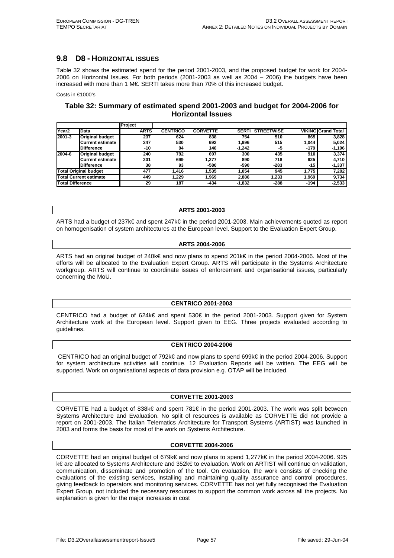## **9.8 D8 - HORIZONTAL ISSUES**

Table 32 shows the estimated spend for the period 2001-2003, and the proposed budget for work for 2004- 2006 on Horizontal Issues. For both periods (2001-2003 as well as 2004 – 2006) the budgets have been increased with more than 1 M€. SERTI takes more than 70% of this increased budget.

Costs in €1000's

## **Table 32: Summary of estimated spend 2001-2003 and budget for 2004-2006 for Horizontal Issues**

|                               |                        | Project     |                 |                 |              |                   |        |                           |
|-------------------------------|------------------------|-------------|-----------------|-----------------|--------------|-------------------|--------|---------------------------|
| Year <sub>2</sub>             | Data                   | <b>ARTS</b> | <b>CENTRICO</b> | <b>CORVETTE</b> | <b>SERTI</b> | <b>STREETWISE</b> |        | <b>VIKING Grand Total</b> |
| 2001-3                        | <b>Original budget</b> | 237         | 624             | 838             | 754          | 510               | 865    | 3,828                     |
|                               | Current estimate       | 247         | 530             | 692             | 1.996        | 515               | 1.044  | 5,024                     |
|                               | <b>Difference</b>      | $-10$       | 94              | 146             | $-1.242$     | -5                | -179   | -1,196                    |
| 2004-6                        | <b>Original budget</b> | 240         | 792             | 697             | 300          | 435               | 910    | 3,374                     |
|                               | Current estimate       | 201         | 699             | 1.277           | 890          | 718               | 925    | 4,710                     |
|                               | <b>Difference</b>      | 38          | 93              | -580            | -590         | -283              | -15    | $-1,337$                  |
| <b>Total Original budget</b>  |                        | 477         | 1.416           | 1,535           | 1.054        | 945               | 1.775  | 7,202                     |
| <b>Total Current estimate</b> |                        | 449         | 1.229           | 1.969           | 2.886        | 1.233             | 1,969  | 9,734                     |
| <b>Total Difference</b>       |                        | 29          | 187             | $-434$          | $-1.832$     | $-288$            | $-194$ | $-2,533$                  |

#### **ARTS 2001-2003**

ARTS had a budget of 237k€ and spent 247k€ in the period 2001-2003. Main achievements quoted as report on homogenisation of system architectures at the European level. Support to the Evaluation Expert Group.

#### **ARTS 2004-2006**

ARTS had an original budget of 240k€ and now plans to spend 201k€ in the period 2004-2006. Most of the efforts will be allocated to the Evaluation Expert Group. ARTS will participate in the Systems Architecture workgroup. ARTS will continue to coordinate issues of enforcement and organisational issues, particularly concerning the MoU.

#### **CENTRICO 2001-2003**

CENTRICO had a budget of 624k€ and spent 530€ in the period 2001-2003. Support given for System Architecture work at the European level. Support given to EEG. Three projects evaluated according to guidelines.

#### **CENTRICO 2004-2006**

 CENTRICO had an original budget of 792k€ and now plans to spend 699k€ in the period 2004-2006. Support for system architecture activities will continue. 12 Evaluation Reports will be written. The EEG will be supported. Work on organisational aspects of data provision e.g. OTAP will be included.

#### **CORVETTE 2001-2003**

CORVETTE had a budget of 838k€ and spent 781€ in the period 2001-2003. The work was split between Systems Architecture and Evaluation. No split of resources is available as CORVETTE did not provide a report on 2001-2003. The Italian Telematics Architecture for Transport Systems (ARTIST) was launched in 2003 and forms the basis for most of the work on Systems Architecture.

#### **CORVETTE 2004-2006**

CORVETTE had an original budget of 679k€ and now plans to spend 1,277k€ in the period 2004-2006. 925 k€ are allocated to Systems Architecture and 352k€ to evaluation. Work on ARTIST will continue on validation, communication, disseminate and promotion of the tool. On evaluation, the work consists of checking the evaluations of the existing services, installing and maintaining quality assurance and control procedures, giving feedback to operators and monitoring services. CORVETTE has not yet fully recognised the Evaluation Expert Group, not included the necessary resources to support the common work across all the projects. No explanation is given for the major increases in cost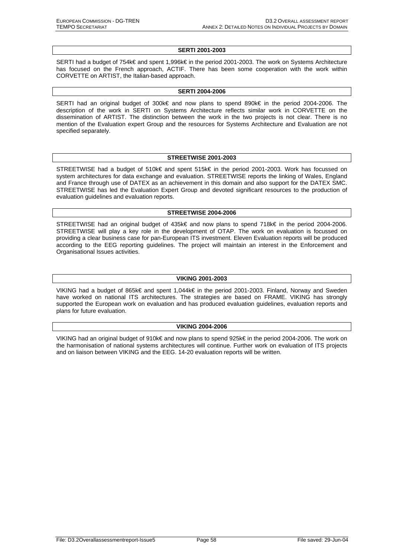#### **SERTI 2001-2003**

SERTI had a budget of 754k€ and spent 1,996k€ in the period 2001-2003. The work on Systems Architecture has focused on the French approach, ACTIF. There has been some cooperation with the work within CORVETTE on ARTIST, the Italian-based approach.

#### **SERTI 2004-2006**

SERTI had an original budget of 300k€ and now plans to spend 890k€ in the period 2004-2006. The description of the work in SERTI on Systems Architecture reflects similar work in CORVETTE on the dissemination of ARTIST. The distinction between the work in the two projects is not clear. There is no mention of the Evaluation expert Group and the resources for Systems Architecture and Evaluation are not specified separately.

#### **STREETWISE 2001-2003**

STREETWISE had a budget of 510k€ and spent 515k€ in the period 2001-2003. Work has focussed on system architectures for data exchange and evaluation. STREETWISE reports the linking of Wales, England and France through use of DATEX as an achievement in this domain and also support for the DATEX SMC. STREETWISE has led the Evaluation Expert Group and devoted significant resources to the production of evaluation guidelines and evaluation reports.

#### **STREETWISE 2004-2006**

STREETWISE had an original budget of 435k€ and now plans to spend 718k€ in the period 2004-2006. STREETWISE will play a key role in the development of OTAP. The work on evaluation is focussed on providing a clear business case for pan-European ITS investment. Eleven Evaluation reports will be produced according to the EEG reporting guidelines. The project will maintain an interest in the Enforcement and Organisational Issues activities.

#### **VIKING 2001-2003**

VIKING had a budget of 865k€ and spent 1,044k€ in the period 2001-2003. Finland, Norway and Sweden have worked on national ITS architectures. The strategies are based on FRAME. VIKING has strongly supported the European work on evaluation and has produced evaluation guidelines, evaluation reports and plans for future evaluation.

#### **VIKING 2004-2006**

VIKING had an original budget of 910k€ and now plans to spend 925k€ in the period 2004-2006. The work on the harmonisation of national systems architectures will continue. Further work on evaluation of ITS projects and on liaison between VIKING and the EEG. 14-20 evaluation reports will be written.